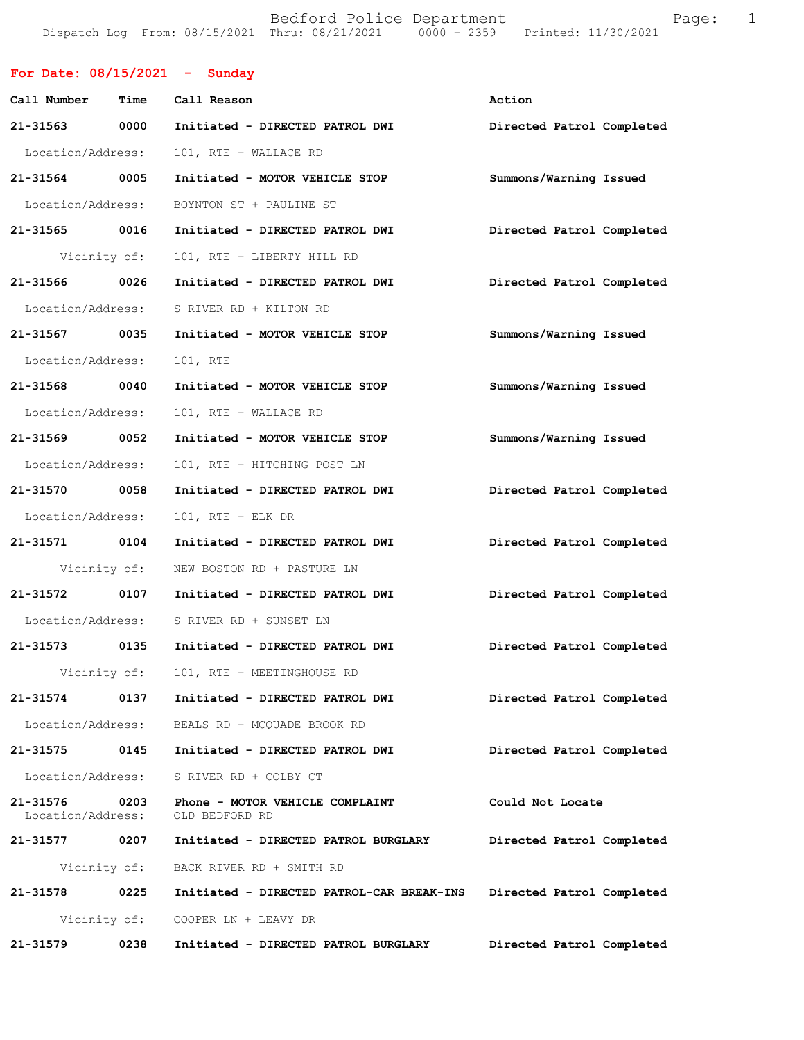Bedford Police Department Fage: 1 Dispatch Log From: 08/15/2021 Thru: 08/21/2021 0000 - 2359 Printed: 11/30/2021

| For Date: $08/15/2021$ - Sunday |              |                                                   |                           |
|---------------------------------|--------------|---------------------------------------------------|---------------------------|
| Call Number Time                |              | Call Reason                                       | Action                    |
|                                 |              | 21-31563 0000 Initiated - DIRECTED PATROL DWI     | Directed Patrol Completed |
| Location/Address:               |              | 101, RTE + WALLACE RD                             |                           |
| 21-31564 0005                   |              | Initiated - MOTOR VEHICLE STOP                    | Summons/Warning Issued    |
|                                 |              | Location/Address: BOYNTON ST + PAULINE ST         |                           |
| 21-31565 0016                   |              | Initiated - DIRECTED PATROL DWI                   | Directed Patrol Completed |
| Vicinity of:                    |              | 101, RTE + LIBERTY HILL RD                        |                           |
| 21-31566 0026                   |              | Initiated - DIRECTED PATROL DWI                   | Directed Patrol Completed |
| Location/Address:               |              | S RIVER RD + KILTON RD                            |                           |
| 21-31567 0035                   |              | Initiated - MOTOR VEHICLE STOP                    | Summons/Warning Issued    |
| Location/Address:               |              | 101, RTE                                          |                           |
| 21-31568 0040                   |              | Initiated - MOTOR VEHICLE STOP                    | Summons/Warning Issued    |
| Location/Address:               |              | 101, RTE + WALLACE RD                             |                           |
| 21-31569 0052                   |              | Initiated - MOTOR VEHICLE STOP                    | Summons/Warning Issued    |
| Location/Address:               |              | 101, RTE + HITCHING POST LN                       |                           |
| 21-31570 0058                   |              | Initiated - DIRECTED PATROL DWI                   | Directed Patrol Completed |
| Location/Address:               |              | 101, RTE + ELK DR                                 |                           |
| 21-31571 0104                   |              | Initiated - DIRECTED PATROL DWI                   | Directed Patrol Completed |
|                                 |              | Vicinity of: NEW BOSTON RD + PASTURE LN           |                           |
| 21-31572 0107                   |              | Initiated - DIRECTED PATROL DWI                   | Directed Patrol Completed |
|                                 |              | Location/Address: S RIVER RD + SUNSET LN          |                           |
| 21-31573                        | 0135         | Initiated - DIRECTED PATROL DWI                   | Directed Patrol Completed |
|                                 |              | Vicinity of: 101, RTE + MEETINGHOUSE RD           |                           |
| 21-31574 0137                   |              | Initiated - DIRECTED PATROL DWI                   | Directed Patrol Completed |
| Location/Address:               |              | BEALS RD + MCQUADE BROOK RD                       |                           |
| 21-31575                        | 0145         | Initiated - DIRECTED PATROL DWI                   | Directed Patrol Completed |
| Location/Address:               |              | S RIVER RD + COLBY CT                             |                           |
| 21-31576<br>Location/Address:   | 0203         | Phone - MOTOR VEHICLE COMPLAINT<br>OLD BEDFORD RD | Could Not Locate          |
| 21-31577 0207                   |              | Initiated - DIRECTED PATROL BURGLARY              | Directed Patrol Completed |
| Vicinity of:                    |              | BACK RIVER RD + SMITH RD                          |                           |
| 21-31578                        | 0225         | Initiated - DIRECTED PATROL-CAR BREAK-INS         | Directed Patrol Completed |
|                                 | Vicinity of: | COOPER LN + LEAVY DR                              |                           |
| 21-31579                        | 0238         | Initiated - DIRECTED PATROL BURGLARY              | Directed Patrol Completed |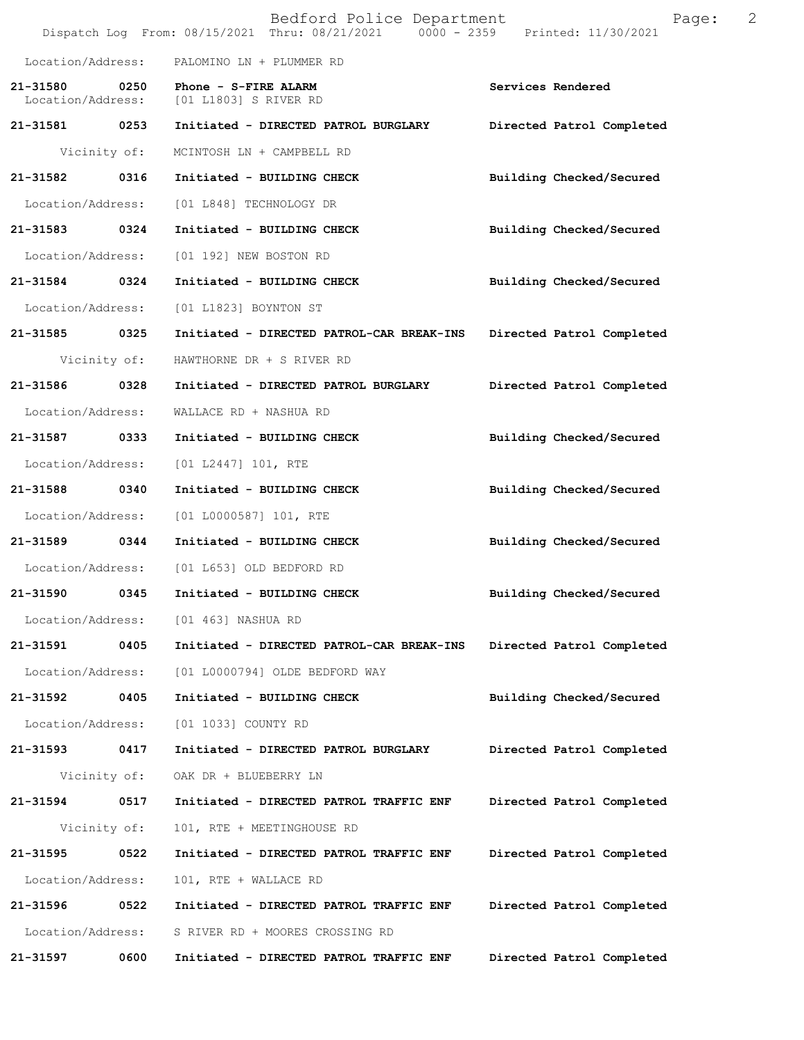|                   |      | Bedford Police Department<br>Dispatch Log From: 08/15/2021 Thru: 08/21/2021 0000 - 2359 Printed: 11/30/2021 |                           | Page: | 2 |
|-------------------|------|-------------------------------------------------------------------------------------------------------------|---------------------------|-------|---|
| Location/Address: |      | PALOMINO LN + PLUMMER RD                                                                                    |                           |       |   |
|                   |      | 21-31580 0250 Phone - S-FIRE ALARM<br>Location/Address: [01 L1803] S RIVER RD                               | Services Rendered         |       |   |
| 21-31581 0253     |      | Initiated - DIRECTED PATROL BURGLARY                                                                        | Directed Patrol Completed |       |   |
| Vicinity of:      |      | MCINTOSH LN + CAMPBELL RD                                                                                   |                           |       |   |
| 21-31582 0316     |      | Initiated - BUILDING CHECK                                                                                  | Building Checked/Secured  |       |   |
| Location/Address: |      | [01 L848] TECHNOLOGY DR                                                                                     |                           |       |   |
| 21-31583 0324     |      | Initiated - BUILDING CHECK                                                                                  | Building Checked/Secured  |       |   |
| Location/Address: |      | [01 192] NEW BOSTON RD                                                                                      |                           |       |   |
| 21-31584 0324     |      | Initiated - BUILDING CHECK                                                                                  | Building Checked/Secured  |       |   |
| Location/Address: |      | [01 L1823] BOYNTON ST                                                                                       |                           |       |   |
| 21-31585 0325     |      | Initiated - DIRECTED PATROL-CAR BREAK-INS                                                                   | Directed Patrol Completed |       |   |
| Vicinity of:      |      | HAWTHORNE DR + S RIVER RD                                                                                   |                           |       |   |
| 21-31586 0328     |      | Initiated - DIRECTED PATROL BURGLARY                                                                        | Directed Patrol Completed |       |   |
| Location/Address: |      | WALLACE RD + NASHUA RD                                                                                      |                           |       |   |
| 21-31587          | 0333 | Initiated - BUILDING CHECK                                                                                  | Building Checked/Secured  |       |   |
| Location/Address: |      | [01 L2447] 101, RTE                                                                                         |                           |       |   |
| 21-31588 0340     |      | Initiated - BUILDING CHECK                                                                                  | Building Checked/Secured  |       |   |
| Location/Address: |      | $[01  L0000587] 101$ , RTE                                                                                  |                           |       |   |
| 21-31589 0344     |      | Initiated - BUILDING CHECK                                                                                  | Building Checked/Secured  |       |   |
|                   |      | Location/Address: [01 L653] OLD BEDFORD RD                                                                  |                           |       |   |
| 21-31590          | 0345 | Initiated - BUILDING CHECK                                                                                  | Building Checked/Secured  |       |   |
| Location/Address: |      | [01 463] NASHUA RD                                                                                          |                           |       |   |
| 21-31591          | 0405 | Initiated - DIRECTED PATROL-CAR BREAK-INS                                                                   | Directed Patrol Completed |       |   |
| Location/Address: |      | [01 L0000794] OLDE BEDFORD WAY                                                                              |                           |       |   |
| 21-31592          | 0405 | Initiated - BUILDING CHECK                                                                                  | Building Checked/Secured  |       |   |
| Location/Address: |      | [01 1033] COUNTY RD                                                                                         |                           |       |   |
| 21-31593          | 0417 | Initiated - DIRECTED PATROL BURGLARY                                                                        | Directed Patrol Completed |       |   |
| Vicinity of:      |      | OAK DR + BLUEBERRY LN                                                                                       |                           |       |   |
| 21-31594          | 0517 | Initiated - DIRECTED PATROL TRAFFIC ENF                                                                     | Directed Patrol Completed |       |   |
| Vicinity of:      |      | 101, RTE + MEETINGHOUSE RD                                                                                  |                           |       |   |
| 21-31595          | 0522 | Initiated - DIRECTED PATROL TRAFFIC ENF                                                                     | Directed Patrol Completed |       |   |
| Location/Address: |      | 101, RTE + WALLACE RD                                                                                       |                           |       |   |
| 21-31596          | 0522 | Initiated - DIRECTED PATROL TRAFFIC ENF                                                                     | Directed Patrol Completed |       |   |
| Location/Address: |      | S RIVER RD + MOORES CROSSING RD                                                                             |                           |       |   |
| 21-31597          | 0600 | Initiated - DIRECTED PATROL TRAFFIC ENF                                                                     | Directed Patrol Completed |       |   |
|                   |      |                                                                                                             |                           |       |   |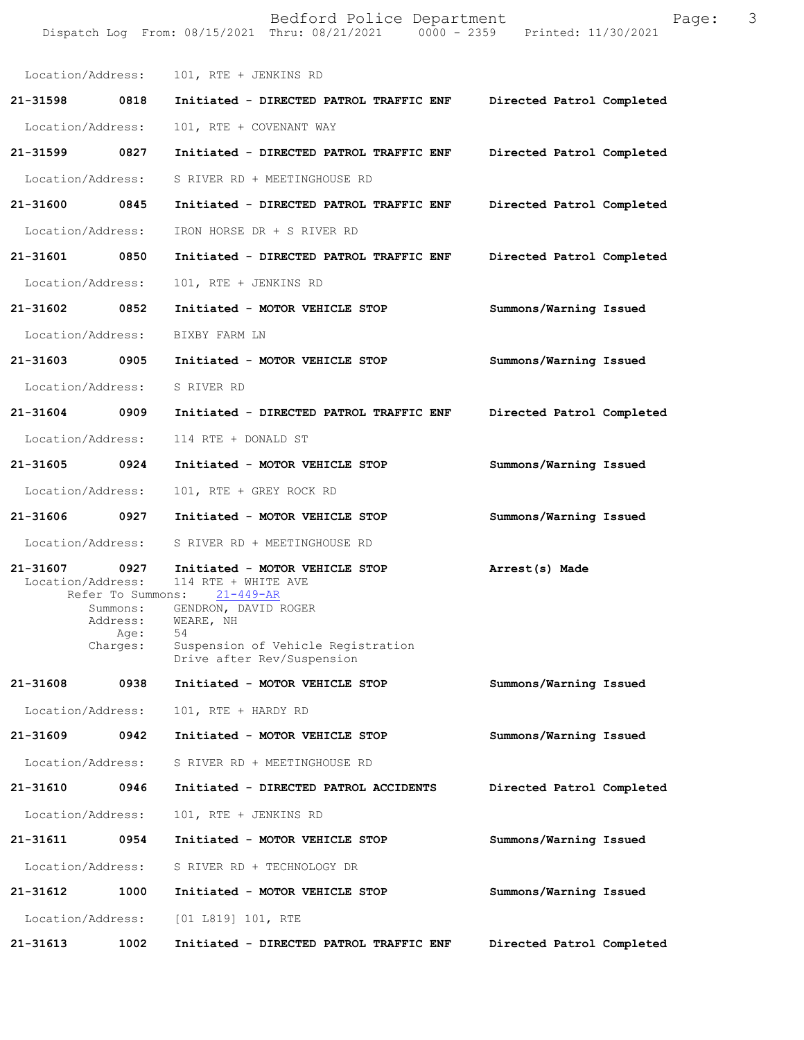|                                    |                                          | Bedford Police Department<br>Dispatch Log From: 08/15/2021 Thru: 08/21/2021 0000 - 2359 Printed: 11/30/2021                                                                                         | Page:                     | 3 |
|------------------------------------|------------------------------------------|-----------------------------------------------------------------------------------------------------------------------------------------------------------------------------------------------------|---------------------------|---|
|                                    |                                          | Location/Address: 101, RTE + JENKINS RD                                                                                                                                                             |                           |   |
| 21-31598 0818                      |                                          | Initiated - DIRECTED PATROL TRAFFIC ENF Directed Patrol Completed                                                                                                                                   |                           |   |
| Location/Address:                  |                                          | 101, RTE + COVENANT WAY                                                                                                                                                                             |                           |   |
| 21-31599 0827                      |                                          | Initiated - DIRECTED PATROL TRAFFIC ENF                                                                                                                                                             | Directed Patrol Completed |   |
| Location/Address:                  |                                          | S RIVER RD + MEETINGHOUSE RD                                                                                                                                                                        |                           |   |
| 21-31600 0845                      |                                          | Initiated - DIRECTED PATROL TRAFFIC ENF                                                                                                                                                             | Directed Patrol Completed |   |
| Location/Address:                  |                                          | IRON HORSE DR + S RIVER RD                                                                                                                                                                          |                           |   |
| 21-31601 0850                      |                                          | Initiated - DIRECTED PATROL TRAFFIC ENF                                                                                                                                                             | Directed Patrol Completed |   |
| Location/Address:                  |                                          | 101, RTE + JENKINS RD                                                                                                                                                                               |                           |   |
| 21-31602 0852                      |                                          | Initiated - MOTOR VEHICLE STOP                                                                                                                                                                      | Summons/Warning Issued    |   |
| Location/Address:                  |                                          | BIXBY FARM LN                                                                                                                                                                                       |                           |   |
|                                    |                                          | 21-31603 0905 Initiated - MOTOR VEHICLE STOP                                                                                                                                                        | Summons/Warning Issued    |   |
| Location/Address:                  |                                          | S RIVER RD                                                                                                                                                                                          |                           |   |
| 21-31604 0909                      |                                          | Initiated - DIRECTED PATROL TRAFFIC ENF                                                                                                                                                             | Directed Patrol Completed |   |
| Location/Address:                  |                                          | 114 RTE + DONALD ST                                                                                                                                                                                 |                           |   |
| 21-31605 0924                      |                                          | Initiated - MOTOR VEHICLE STOP                                                                                                                                                                      | Summons/Warning Issued    |   |
| Location/Address:                  |                                          | 101, RTE + GREY ROCK RD                                                                                                                                                                             |                           |   |
| 21-31606 0927                      |                                          | Initiated - MOTOR VEHICLE STOP                                                                                                                                                                      | Summons/Warning Issued    |   |
|                                    |                                          | Location/Address: S RIVER RD + MEETINGHOUSE RD                                                                                                                                                      |                           |   |
| 21-31607 0927<br>Location/Address: | Summons:<br>Address:<br>Age:<br>Charges: | Initiated - MOTOR VEHICLE STOP<br>114 RTE + WHITE AVE<br>Refer To Summons: 21-449-AR<br>GENDRON, DAVID ROGER<br>WEARE, NH<br>54<br>Suspension of Vehicle Registration<br>Drive after Rev/Suspension | Arrest(s) Made            |   |
| 21-31608                           | 0938                                     | Initiated - MOTOR VEHICLE STOP                                                                                                                                                                      | Summons/Warning Issued    |   |
| Location/Address:                  |                                          | 101, RTE + HARDY RD                                                                                                                                                                                 |                           |   |
| 21-31609                           | 0942                                     | Initiated - MOTOR VEHICLE STOP                                                                                                                                                                      | Summons/Warning Issued    |   |
| Location/Address:                  |                                          | S RIVER RD + MEETINGHOUSE RD                                                                                                                                                                        |                           |   |
| 21-31610                           | 0946                                     | Initiated - DIRECTED PATROL ACCIDENTS                                                                                                                                                               | Directed Patrol Completed |   |
| Location/Address:                  |                                          | 101, RTE + JENKINS RD                                                                                                                                                                               |                           |   |
| 21–31611                           | 0954                                     | Initiated - MOTOR VEHICLE STOP                                                                                                                                                                      | Summons/Warning Issued    |   |
| Location/Address:                  |                                          | S RIVER RD + TECHNOLOGY DR                                                                                                                                                                          |                           |   |
| 21-31612                           | 1000                                     | Initiated - MOTOR VEHICLE STOP                                                                                                                                                                      | Summons/Warning Issued    |   |
| Location/Address:                  |                                          | [01 L819] 101, RTE                                                                                                                                                                                  |                           |   |
| 21-31613                           | 1002                                     | Initiated - DIRECTED PATROL TRAFFIC ENF                                                                                                                                                             | Directed Patrol Completed |   |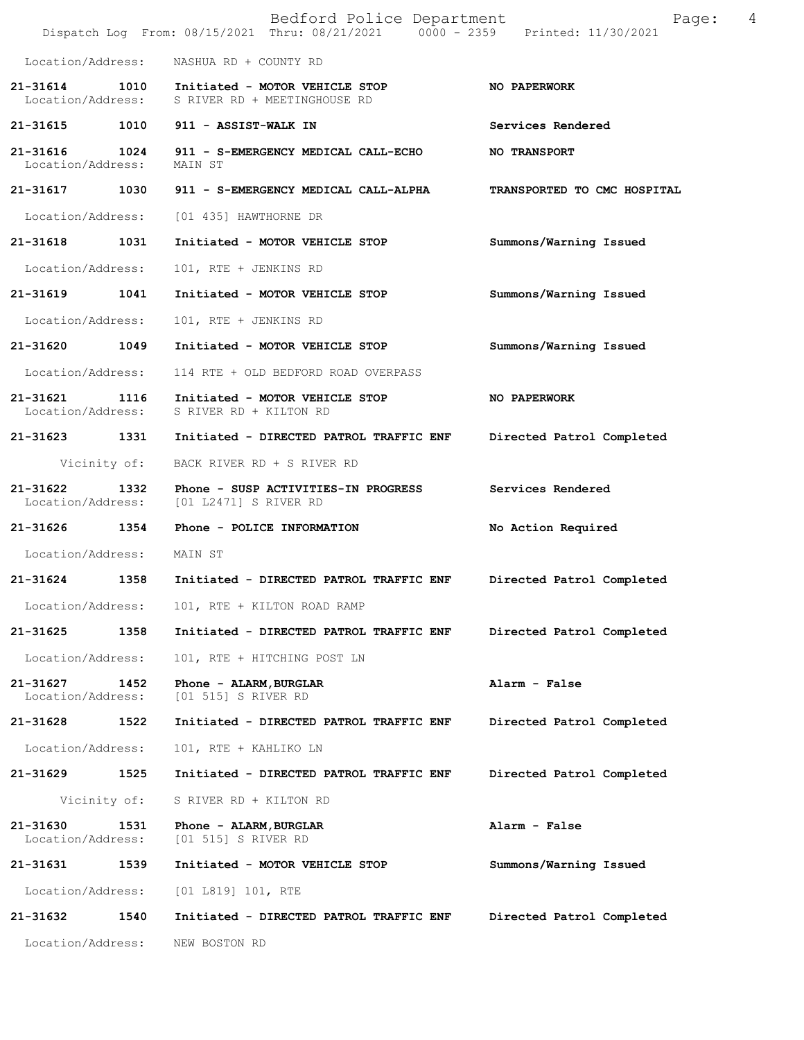|                                       | Bedford Police Department<br>Dispatch Log From: 08/15/2021 Thru: 08/21/2021 0000 - 2359 Printed: 11/30/2021    | Page:                       | 4 |
|---------------------------------------|----------------------------------------------------------------------------------------------------------------|-----------------------------|---|
| Location/Address:                     | NASHUA RD + COUNTY RD                                                                                          |                             |   |
|                                       | 21-31614 1010 Initiated - MOTOR VEHICLE STOP<br>Location/Address: SRIVER RD + MEETINGHOUSE RD                  | NO PAPERWORK                |   |
|                                       | 21-31615 1010 911 - ASSIST-WALK IN                                                                             | Services Rendered           |   |
| Location/Address:                     | 21-31616 1024 911 - S-EMERGENCY MEDICAL CALL-ECHO<br>MAIN ST                                                   | <b>NO TRANSPORT</b>         |   |
|                                       | 21-31617 1030 911 - S-EMERGENCY MEDICAL CALL-ALPHA                                                             | TRANSPORTED TO CMC HOSPITAL |   |
|                                       | Location/Address: [01 435] HAWTHORNE DR                                                                        |                             |   |
| 21-31618 1031                         | Initiated - MOTOR VEHICLE STOP                                                                                 | Summons/Warning Issued      |   |
|                                       | Location/Address: 101, RTE + JENKINS RD                                                                        |                             |   |
|                                       | 21-31619 1041 Initiated - MOTOR VEHICLE STOP                                                                   | Summons/Warning Issued      |   |
| Location/Address:                     | 101, RTE + JENKINS RD                                                                                          |                             |   |
| 21-31620 1049                         | Initiated - MOTOR VEHICLE STOP                                                                                 | Summons/Warning Issued      |   |
|                                       | Location/Address: 114 RTE + OLD BEDFORD ROAD OVERPASS                                                          |                             |   |
|                                       | 21-31621 1116 Initiated - MOTOR VEHICLE STOP<br>Location/Address: S RIVER RD + KILTON RD                       | NO PAPERWORK                |   |
|                                       | 21-31623 1331 Initiated - DIRECTED PATROL TRAFFIC ENF                                                          | Directed Patrol Completed   |   |
|                                       | Vicinity of: BACK RIVER RD + S RIVER RD                                                                        |                             |   |
|                                       | 21-31622 1332 Phone - SUSP ACTIVITIES-IN PROGRESS Services Rendered<br>Location/Address: [01 L2471] S RIVER RD |                             |   |
|                                       | 21-31626   1354   Phone - POLICE INFORMATION                                                                   | No Action Required          |   |
| Location/Address: MAIN ST             |                                                                                                                |                             |   |
| 21-31624 1358                         | Initiated - DIRECTED PATROL TRAFFIC ENF                                                                        | Directed Patrol Completed   |   |
| Location/Address:                     | 101, RTE + KILTON ROAD RAMP                                                                                    |                             |   |
| 21-31625<br>1358                      | Initiated - DIRECTED PATROL TRAFFIC ENF                                                                        | Directed Patrol Completed   |   |
| Location/Address:                     | 101, RTE + HITCHING POST LN                                                                                    |                             |   |
| 21-31627<br>1452<br>Location/Address: | Phone - ALARM, BURGLAR<br>[01 515] S RIVER RD                                                                  | Alarm - False               |   |
| 21-31628<br>1522                      | Initiated - DIRECTED PATROL TRAFFIC ENF                                                                        | Directed Patrol Completed   |   |
| Location/Address:                     | 101, RTE + KAHLIKO LN                                                                                          |                             |   |
| 21-31629<br>1525                      | Initiated - DIRECTED PATROL TRAFFIC ENF                                                                        | Directed Patrol Completed   |   |
| Vicinity of:                          | S RIVER RD + KILTON RD                                                                                         |                             |   |
| 21-31630<br>1531<br>Location/Address: | Phone - ALARM, BURGLAR<br>[01 515] S RIVER RD                                                                  | Alarm - False               |   |
| 21-31631<br>1539                      | Initiated - MOTOR VEHICLE STOP                                                                                 | Summons/Warning Issued      |   |
| Location/Address:                     | [01 1819] 101, RTE                                                                                             |                             |   |
| 21-31632<br>1540                      | Initiated - DIRECTED PATROL TRAFFIC ENF                                                                        | Directed Patrol Completed   |   |
| Location/Address:                     | NEW BOSTON RD                                                                                                  |                             |   |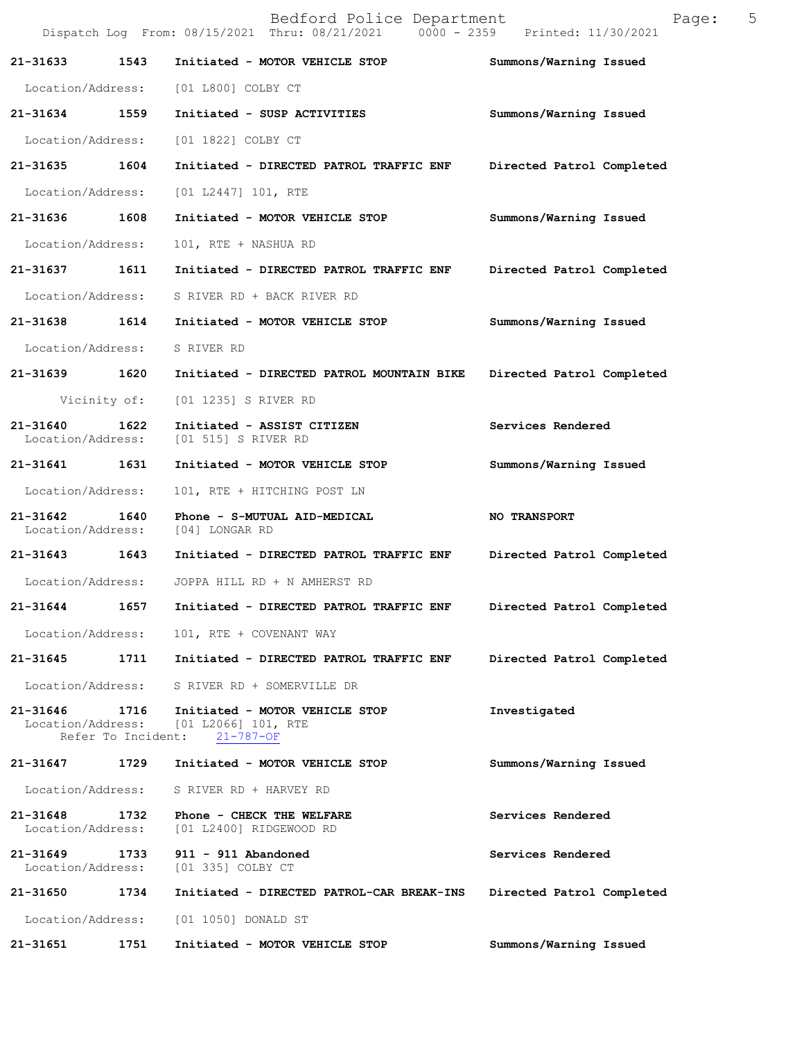|                                    |                    | Bedford Police Department<br>Dispatch Log From: 08/15/2021 Thru: 08/21/2021   0000 - 2359   Printed: 11/30/2021 | Page:                     | 5 |
|------------------------------------|--------------------|-----------------------------------------------------------------------------------------------------------------|---------------------------|---|
| 21-31633 1543                      |                    | Initiated - MOTOR VEHICLE STOP                                                                                  | Summons/Warning Issued    |   |
| Location/Address:                  |                    | [01 L800] COLBY CT                                                                                              |                           |   |
| 21-31634 1559                      |                    | Initiated - SUSP ACTIVITIES                                                                                     | Summons/Warning Issued    |   |
| Location/Address:                  |                    | [01 1822] COLBY CT                                                                                              |                           |   |
| 21-31635 1604                      |                    | Initiated - DIRECTED PATROL TRAFFIC ENF                                                                         | Directed Patrol Completed |   |
| Location/Address:                  |                    | [01 L2447] 101, RTE                                                                                             |                           |   |
| 21-31636 1608                      |                    | Initiated - MOTOR VEHICLE STOP                                                                                  | Summons/Warning Issued    |   |
| Location/Address:                  |                    | 101, RTE + NASHUA RD                                                                                            |                           |   |
| 21-31637 1611                      |                    | Initiated - DIRECTED PATROL TRAFFIC ENF                                                                         | Directed Patrol Completed |   |
|                                    |                    | Location/Address: S RIVER RD + BACK RIVER RD                                                                    |                           |   |
|                                    |                    | 21-31638 1614 Initiated - MOTOR VEHICLE STOP                                                                    | Summons/Warning Issued    |   |
| Location/Address:                  |                    | S RIVER RD                                                                                                      |                           |   |
| 21-31639 1620                      |                    | Initiated - DIRECTED PATROL MOUNTAIN BIKE                                                                       | Directed Patrol Completed |   |
|                                    | Vicinity of:       | [01 1235] S RIVER RD                                                                                            |                           |   |
| 21-31640                           | 1622               | Initiated - ASSIST CITIZEN<br>Location/Address: [01 515] S RIVER RD                                             | Services Rendered         |   |
| 21-31641 1631                      |                    | Initiated - MOTOR VEHICLE STOP                                                                                  | Summons/Warning Issued    |   |
| Location/Address:                  |                    | 101, RTE + HITCHING POST LN                                                                                     |                           |   |
| 21-31642<br>Location/Address:      | 1640               | Phone - S-MUTUAL AID-MEDICAL<br>[04] LONGAR RD                                                                  | <b>NO TRANSPORT</b>       |   |
|                                    |                    |                                                                                                                 | Directed Patrol Completed |   |
| Location/Address:                  |                    | JOPPA HILL RD + N AMHERST RD                                                                                    |                           |   |
| 21-31644                           | 1657               | Initiated - DIRECTED PATROL TRAFFIC ENF                                                                         | Directed Patrol Completed |   |
| Location/Address:                  |                    | 101, RTE + COVENANT WAY                                                                                         |                           |   |
| 21-31645                           | 1711               | Initiated - DIRECTED PATROL TRAFFIC ENF                                                                         | Directed Patrol Completed |   |
| Location/Address:                  |                    | S RIVER RD + SOMERVILLE DR                                                                                      |                           |   |
| 21-31646 1716                      | Refer To Incident: | Initiated - MOTOR VEHICLE STOP<br>Location/Address: [01 L2066] 101, RTE<br>$21 - 787 - OF$                      | Investigated              |   |
|                                    |                    | 21-31647 1729 Initiated - MOTOR VEHICLE STOP                                                                    | Summons/Warning Issued    |   |
| Location/Address:                  |                    | S RIVER RD + HARVEY RD                                                                                          |                           |   |
| 21-31648<br>Location/Address:      | 1732               | Phone - CHECK THE WELFARE<br>[01 L2400] RIDGEWOOD RD                                                            | Services Rendered         |   |
| 21-31649 1733<br>Location/Address: |                    | 911 - 911 Abandoned<br>[01 335] COLBY CT                                                                        | Services Rendered         |   |
| 21-31650                           | 1734               | Initiated - DIRECTED PATROL-CAR BREAK-INS                                                                       | Directed Patrol Completed |   |
| Location/Address:                  |                    | [01 1050] DONALD ST                                                                                             |                           |   |
| 21-31651                           | 1751               | Initiated - MOTOR VEHICLE STOP                                                                                  | Summons/Warning Issued    |   |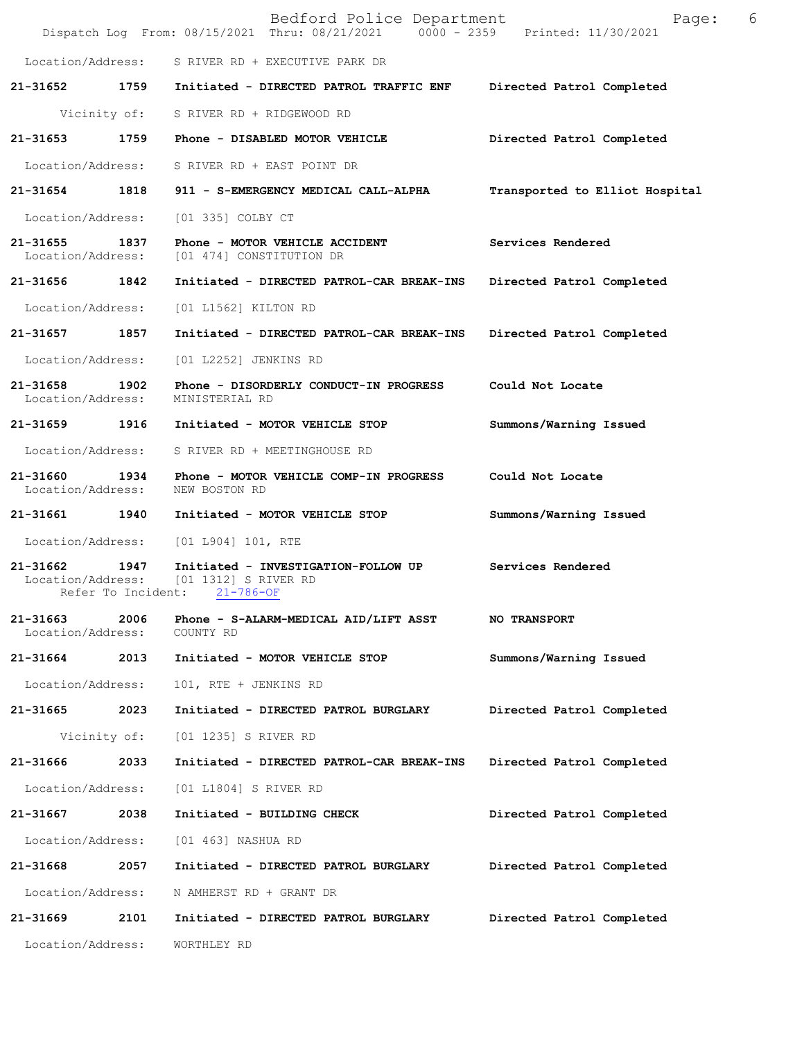|                               |                            | Bedford Police Department<br>Dispatch Log From: 08/15/2021 Thru: 08/21/2021 0000 - 2359 Printed: 11/30/2021 | 6<br>Page:                     |
|-------------------------------|----------------------------|-------------------------------------------------------------------------------------------------------------|--------------------------------|
|                               |                            | Location/Address: S RIVER RD + EXECUTIVE PARK DR                                                            |                                |
|                               |                            | 21-31652 1759 Initiated - DIRECTED PATROL TRAFFIC ENF                                                       | Directed Patrol Completed      |
|                               |                            | Vicinity of: S RIVER RD + RIDGEWOOD RD                                                                      |                                |
| 21-31653                      | 1759                       | Phone - DISABLED MOTOR VEHICLE                                                                              | Directed Patrol Completed      |
| Location/Address:             |                            | S RIVER RD + EAST POINT DR                                                                                  |                                |
|                               |                            | 21-31654 1818 911 - S-EMERGENCY MEDICAL CALL-ALPHA                                                          | Transported to Elliot Hospital |
| Location/Address:             |                            | [01 335] COLBY CT                                                                                           |                                |
| 21-31655                      | 1837                       | Phone - MOTOR VEHICLE ACCIDENT<br>Location/Address: [01 474] CONSTITUTION DR                                | Services Rendered              |
| 21-31656                      | 1842                       | Initiated - DIRECTED PATROL-CAR BREAK-INS                                                                   | Directed Patrol Completed      |
| Location/Address:             |                            | [01 L1562] KILTON RD                                                                                        |                                |
| 21-31657 1857                 |                            | Initiated - DIRECTED PATROL-CAR BREAK-INS                                                                   | Directed Patrol Completed      |
| Location/Address:             |                            | [01 L2252] JENKINS RD                                                                                       |                                |
| 21-31658<br>Location/Address: | 1902                       | Phone - DISORDERLY CONDUCT-IN PROGRESS<br>MINISTERIAL RD                                                    | Could Not Locate               |
| 21-31659                      | 1916                       | Initiated - MOTOR VEHICLE STOP                                                                              | Summons/Warning Issued         |
| Location/Address:             |                            | S RIVER RD + MEETINGHOUSE RD                                                                                |                                |
| 21-31660<br>Location/Address: | 1934                       | Phone - MOTOR VEHICLE COMP-IN PROGRESS<br>NEW BOSTON RD                                                     | Could Not Locate               |
| 21-31661                      | 1940                       | Initiated - MOTOR VEHICLE STOP                                                                              | Summons/Warning Issued         |
| Location/Address:             |                            | [01 L904] 101, RTE                                                                                          |                                |
| 21-31662                      | 1947<br>Refer To Incident: | Initiated - INVESTIGATION-FOLLOW UP<br>Location/Address: [01 1312] S RIVER RD<br>$21 - 786 - OF$            | Services Rendered              |
| 21-31663<br>Location/Address: | 2006                       | Phone - S-ALARM-MEDICAL AID/LIFT ASST<br>COUNTY RD                                                          | <b>NO TRANSPORT</b>            |
| 21-31664                      | 2013                       | Initiated - MOTOR VEHICLE STOP                                                                              | Summons/Warning Issued         |
| Location/Address:             |                            | 101, RTE + JENKINS RD                                                                                       |                                |
| 21-31665                      | 2023                       | Initiated - DIRECTED PATROL BURGLARY                                                                        | Directed Patrol Completed      |
|                               | Vicinity of:               | [01 1235] S RIVER RD                                                                                        |                                |
| 21-31666                      | 2033                       | Initiated - DIRECTED PATROL-CAR BREAK-INS                                                                   | Directed Patrol Completed      |
| Location/Address:             |                            | [01 L1804] S RIVER RD                                                                                       |                                |
| 21-31667                      | 2038                       | Initiated - BUILDING CHECK                                                                                  | Directed Patrol Completed      |
| Location/Address:             |                            | [01 463] NASHUA RD                                                                                          |                                |
| 21-31668                      | 2057                       | Initiated - DIRECTED PATROL BURGLARY                                                                        | Directed Patrol Completed      |
| Location/Address:             |                            | N AMHERST RD + GRANT DR                                                                                     |                                |
| 21-31669                      | 2101                       | Initiated - DIRECTED PATROL BURGLARY                                                                        | Directed Patrol Completed      |
| Location/Address:             |                            | WORTHLEY RD                                                                                                 |                                |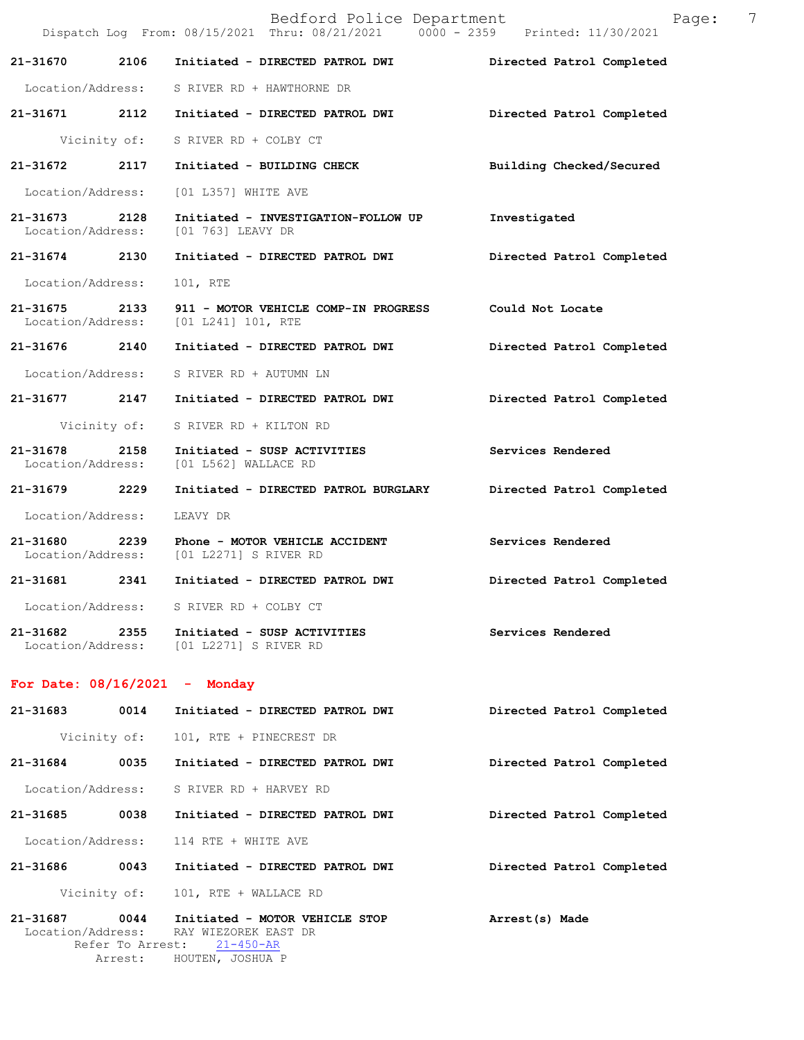|                                 |      | Bedford Police Department<br>Dispatch Log From: 08/15/2021 Thru: 08/21/2021 0000 - 2359 Printed: 11/30/2021 | 7<br>Page:                |
|---------------------------------|------|-------------------------------------------------------------------------------------------------------------|---------------------------|
| 21-31670 2106                   |      | Initiated - DIRECTED PATROL DWI                                                                             | Directed Patrol Completed |
|                                 |      | Location/Address: S RIVER RD + HAWTHORNE DR                                                                 |                           |
| 21-31671                        | 2112 | Initiated - DIRECTED PATROL DWI                                                                             | Directed Patrol Completed |
|                                 |      | Vicinity of: S RIVER RD + COLBY CT                                                                          |                           |
| 21-31672 2117                   |      | Initiated - BUILDING CHECK                                                                                  | Building Checked/Secured  |
| Location/Address:               |      | [01 L357] WHITE AVE                                                                                         |                           |
| 21-31673 2128                   |      | Initiated - INVESTIGATION-FOLLOW UP<br>Location/Address: [01 763] LEAVY DR                                  | Investigated              |
| 21-31674 2130                   |      | Initiated - DIRECTED PATROL DWI                                                                             | Directed Patrol Completed |
| Location/Address:               |      | 101, RTE                                                                                                    |                           |
| 21-31675 2133                   |      | 911 - MOTOR VEHICLE COMP-IN PROGRESS<br>Location/Address: [01 L241] 101, RTE                                | Could Not Locate          |
|                                 |      | 21-31676 2140 Initiated - DIRECTED PATROL DWI                                                               | Directed Patrol Completed |
|                                 |      | Location/Address: S RIVER RD + AUTUMN LN                                                                    |                           |
| 21-31677 2147                   |      | Initiated - DIRECTED PATROL DWI                                                                             | Directed Patrol Completed |
|                                 |      | Vicinity of: S RIVER RD + KILTON RD                                                                         |                           |
| 21-31678 2158                   |      | Initiated - SUSP ACTIVITIES<br>Location/Address: [01 L562] WALLACE RD                                       | Services Rendered         |
| 21-31679 2229                   |      | Initiated - DIRECTED PATROL BURGLARY                                                                        | Directed Patrol Completed |
| Location/Address:               |      | LEAVY DR                                                                                                    |                           |
| 21-31680 2239                   |      | Phone - MOTOR VEHICLE ACCIDENT<br>Location/Address: [01 L2271] S RIVER RD                                   | Services Rendered         |
| 21-31681 2341                   |      | Initiated - DIRECTED PATROL DWI                                                                             | Directed Patrol Completed |
|                                 |      | Location/Address: S RIVER RD + COLBY CT                                                                     |                           |
| 21-31682 2355                   |      | Initiated - SUSP ACTIVITIES<br>Location/Address: [01 L2271] S RIVER RD                                      | Services Rendered         |
| For Date: $08/16/2021$ - Monday |      |                                                                                                             |                           |
| 21-31683                        | 0014 | Initiated - DIRECTED PATROL DWI                                                                             | Directed Patrol Completed |
| Vicinity of:                    |      | 101, RTE + PINECREST DR                                                                                     |                           |

**21-31684 0035 Initiated - DIRECTED PATROL DWI Directed Patrol Completed** 

Location/Address: S RIVER RD + HARVEY RD

**21-31685 0038 Initiated - DIRECTED PATROL DWI Directed Patrol Completed** 

Location/Address: 114 RTE + WHITE AVE

**21-31686 0043 Initiated - DIRECTED PATROL DWI Directed Patrol Completed** 

Vicinity of: 101, RTE + WALLACE RD

**21-31687 0044 Initiated - MOTOR VEHICLE STOP Arrest(s) Made**  Location/Address: RAY WIEZOREK EAST DR Refer To Arrest: 21-450-AR Arrest: HOUTEN, JOSHUA P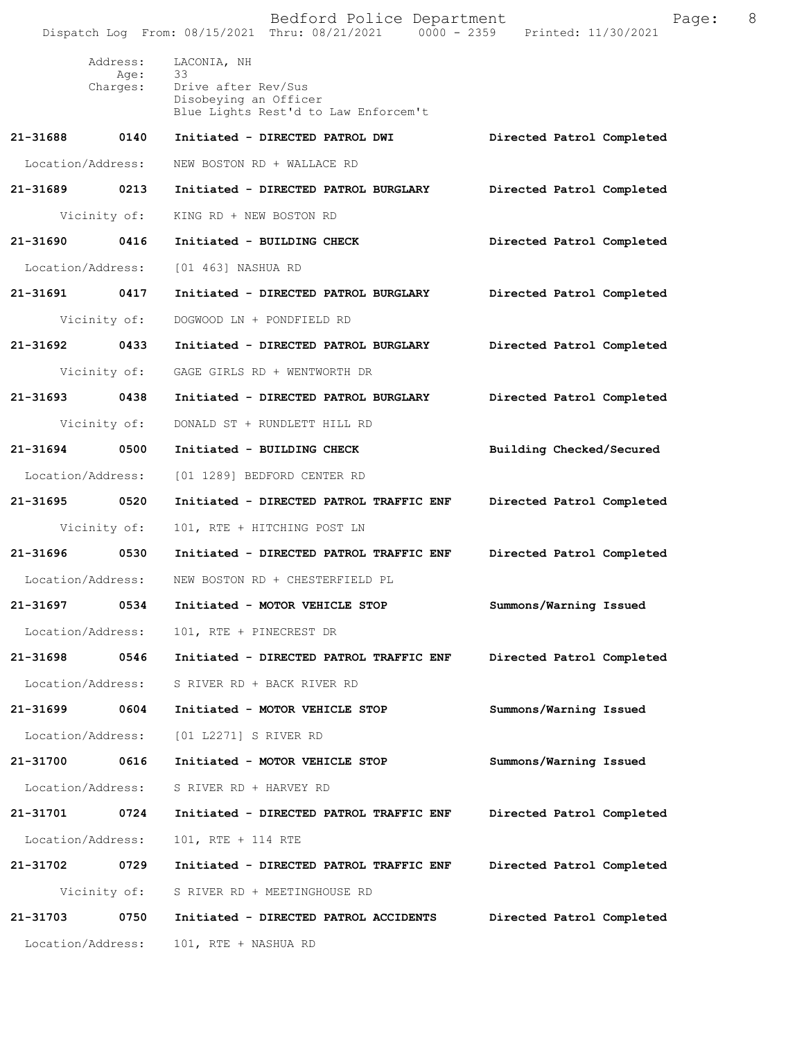|          |                              | Bedford Police Department<br>Dispatch Log From: 08/15/2021 Thru: 08/21/2021 0000 - 2359 Printed: 11/30/2021 | Page:                     | 8 |
|----------|------------------------------|-------------------------------------------------------------------------------------------------------------|---------------------------|---|
|          | Address:<br>Age:<br>Charges: | LACONIA, NH<br>33<br>Drive after Rev/Sus<br>Disobeying an Officer<br>Blue Lights Rest'd to Law Enforcem't   |                           |   |
| 21-31688 | 0140                         | Initiated - DIRECTED PATROL DWI                                                                             | Directed Patrol Completed |   |
|          | Location/Address:            | NEW BOSTON RD + WALLACE RD                                                                                  |                           |   |
|          | 21-31689 0213                | Initiated - DIRECTED PATROL BURGLARY                                                                        | Directed Patrol Completed |   |
|          | Vicinity of:                 | KING RD + NEW BOSTON RD                                                                                     |                           |   |
| 21-31690 | 0416                         | Initiated - BUILDING CHECK                                                                                  | Directed Patrol Completed |   |
|          | Location/Address:            | [01 463] NASHUA RD                                                                                          |                           |   |
|          | 21-31691 0417                | Initiated - DIRECTED PATROL BURGLARY                                                                        | Directed Patrol Completed |   |
|          | Vicinity of:                 | DOGWOOD LN + PONDFIELD RD                                                                                   |                           |   |
| 21-31692 | 0433                         | Initiated - DIRECTED PATROL BURGLARY                                                                        | Directed Patrol Completed |   |
|          | Vicinity of:                 | GAGE GIRLS RD + WENTWORTH DR                                                                                |                           |   |
|          | 21-31693 0438                | Initiated - DIRECTED PATROL BURGLARY                                                                        | Directed Patrol Completed |   |
|          | Vicinity of:                 | DONALD ST + RUNDLETT HILL RD                                                                                |                           |   |
| 21-31694 | 0500                         | Initiated - BUILDING CHECK                                                                                  | Building Checked/Secured  |   |
|          | Location/Address:            | [01 1289] BEDFORD CENTER RD                                                                                 |                           |   |
| 21-31695 | 0520                         | Initiated - DIRECTED PATROL TRAFFIC ENF                                                                     | Directed Patrol Completed |   |
|          | Vicinity of:                 | 101, RTE + HITCHING POST LN                                                                                 |                           |   |
|          | 21-31696 0530                | Initiated - DIRECTED PATROL TRAFFIC ENF                                                                     | Directed Patrol Completed |   |
|          | Location/Address:            | NEW BOSTON RD + CHESTERFIELD PL                                                                             |                           |   |
| 21-31697 | 0534                         | Initiated - MOTOR VEHICLE STOP                                                                              | Summons/Warning Issued    |   |
|          | Location/Address:            | 101, RTE + PINECREST DR                                                                                     |                           |   |
| 21-31698 | 0546                         | Initiated - DIRECTED PATROL TRAFFIC ENF                                                                     | Directed Patrol Completed |   |
|          | Location/Address:            | S RIVER RD + BACK RIVER RD                                                                                  |                           |   |
| 21-31699 | 0604                         | Initiated - MOTOR VEHICLE STOP                                                                              | Summons/Warning Issued    |   |
|          | Location/Address:            | [01 L2271] S RIVER RD                                                                                       |                           |   |
| 21-31700 | 0616                         | Initiated - MOTOR VEHICLE STOP                                                                              | Summons/Warning Issued    |   |
|          | Location/Address:            | S RIVER RD + HARVEY RD                                                                                      |                           |   |
| 21-31701 | 0724                         | Initiated - DIRECTED PATROL TRAFFIC ENF                                                                     | Directed Patrol Completed |   |
|          | Location/Address:            | 101, RTE + 114 RTE                                                                                          |                           |   |
| 21-31702 | 0729                         | Initiated - DIRECTED PATROL TRAFFIC ENF                                                                     | Directed Patrol Completed |   |
|          | Vicinity of:                 | S RIVER RD + MEETINGHOUSE RD                                                                                |                           |   |
| 21-31703 | 0750                         | Initiated - DIRECTED PATROL ACCIDENTS                                                                       | Directed Patrol Completed |   |
|          | Location/Address:            | 101, RTE + NASHUA RD                                                                                        |                           |   |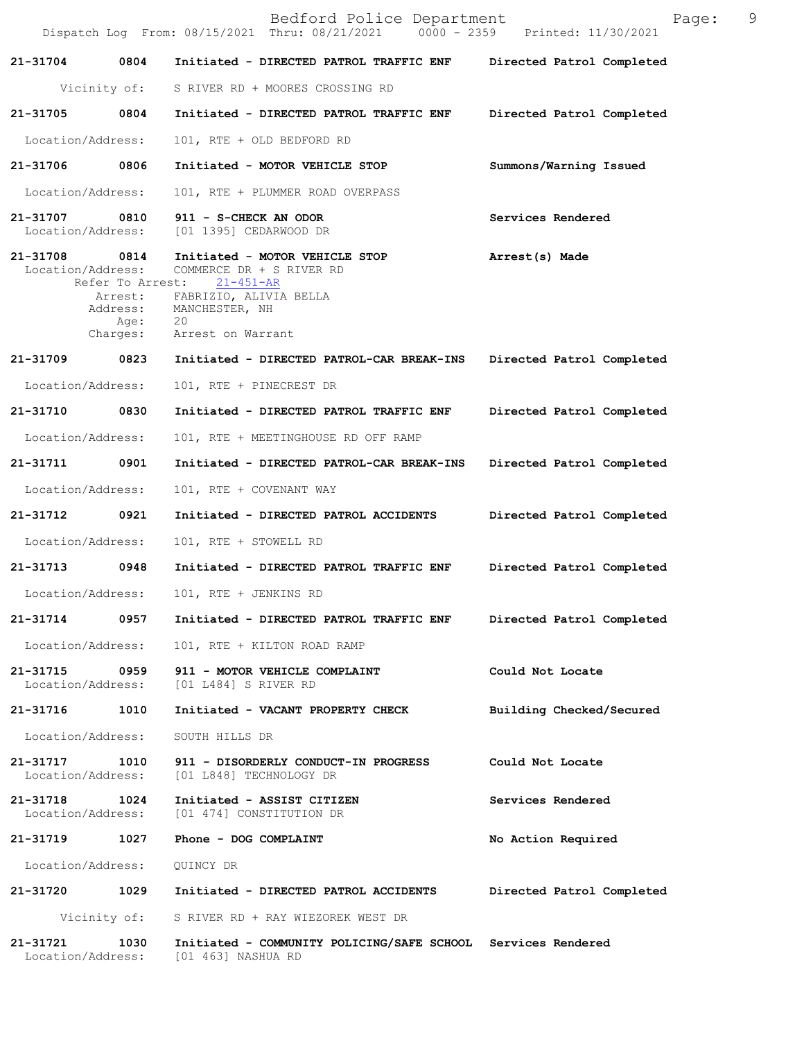|                                    |                                  | Bedford Police Department<br>Dispatch Log From: 08/15/2021 Thru: 08/21/2021 0000 - 2359 Printed: 11/30/2021                                                                | Page:                     | 9 |
|------------------------------------|----------------------------------|----------------------------------------------------------------------------------------------------------------------------------------------------------------------------|---------------------------|---|
| 21-31704 0804                      |                                  | Initiated - DIRECTED PATROL TRAFFIC ENF Directed Patrol Completed                                                                                                          |                           |   |
|                                    | Vicinity of:                     | S RIVER RD + MOORES CROSSING RD                                                                                                                                            |                           |   |
| 21-31705                           | 0804                             | Initiated - DIRECTED PATROL TRAFFIC ENF                                                                                                                                    | Directed Patrol Completed |   |
| Location/Address:                  |                                  | 101, RTE + OLD BEDFORD RD                                                                                                                                                  |                           |   |
| 21-31706 0806                      |                                  | Initiated - MOTOR VEHICLE STOP                                                                                                                                             | Summons/Warning Issued    |   |
| Location/Address:                  |                                  | 101, RTE + PLUMMER ROAD OVERPASS                                                                                                                                           |                           |   |
| 21-31707 0810<br>Location/Address: |                                  | 911 - S-CHECK AN ODOR<br>[01 1395] CEDARWOOD DR                                                                                                                            | Services Rendered         |   |
| 21-31708<br>Location/Address:      | 0814<br>Refer To Arrest:<br>Age: | Initiated - MOTOR VEHICLE STOP<br>COMMERCE DR + S RIVER RD<br>21-451-AR<br>Arrest: FABRIZIO, ALIVIA BELLA<br>Address: MANCHESTER, NH<br>- 20<br>Charges: Arrest on Warrant | Arrest(s) Made            |   |
| 21-31709 0823                      |                                  | Initiated - DIRECTED PATROL-CAR BREAK-INS                                                                                                                                  | Directed Patrol Completed |   |
| Location/Address:                  |                                  | 101, RTE + PINECREST DR                                                                                                                                                    |                           |   |
| 21-31710                           | 0830                             | Initiated - DIRECTED PATROL TRAFFIC ENF                                                                                                                                    | Directed Patrol Completed |   |
| Location/Address:                  |                                  | 101, RTE + MEETINGHOUSE RD OFF RAMP                                                                                                                                        |                           |   |
| 21-31711                           | 0901                             | Initiated - DIRECTED PATROL-CAR BREAK-INS                                                                                                                                  | Directed Patrol Completed |   |
| Location/Address:                  |                                  | 101, RTE + COVENANT WAY                                                                                                                                                    |                           |   |
| 21-31712 0921                      |                                  | Initiated - DIRECTED PATROL ACCIDENTS                                                                                                                                      | Directed Patrol Completed |   |
| Location/Address:                  |                                  | 101, RTE + STOWELL RD                                                                                                                                                      |                           |   |
| 21-31713 0948                      |                                  | Initiated - DIRECTED PATROL TRAFFIC ENF                                                                                                                                    | Directed Patrol Completed |   |
|                                    |                                  | Location/Address: 101, RTE + JENKINS RD                                                                                                                                    |                           |   |
| 21-31714                           | 0957                             | Initiated - DIRECTED PATROL TRAFFIC ENF                                                                                                                                    | Directed Patrol Completed |   |
| Location/Address:                  |                                  | 101, RTE + KILTON ROAD RAMP                                                                                                                                                |                           |   |
| 21-31715                           | 0959                             | 911 - MOTOR VEHICLE COMPLAINT<br>Location/Address: [01 L484] S RIVER RD                                                                                                    | Could Not Locate          |   |
| 21-31716 1010                      |                                  | Initiated - VACANT PROPERTY CHECK                                                                                                                                          | Building Checked/Secured  |   |
| Location/Address:                  |                                  | SOUTH HILLS DR                                                                                                                                                             |                           |   |
| 21-31717 1010<br>Location/Address: |                                  | 911 - DISORDERLY CONDUCT-IN PROGRESS<br>[01 L848] TECHNOLOGY DR                                                                                                            | Could Not Locate          |   |
| 21-31718<br>Location/Address:      | 1024                             | Initiated - ASSIST CITIZEN<br>[01 474] CONSTITUTION DR                                                                                                                     | Services Rendered         |   |
|                                    |                                  | 21-31719 1027 Phone - DOG COMPLAINT                                                                                                                                        | No Action Required        |   |
| Location/Address:                  |                                  | QUINCY DR                                                                                                                                                                  |                           |   |
|                                    |                                  | 21-31720 1029 Initiated - DIRECTED PATROL ACCIDENTS                                                                                                                        | Directed Patrol Completed |   |
|                                    |                                  | Vicinity of: S RIVER RD + RAY WIEZOREK WEST DR                                                                                                                             |                           |   |
| 21-31721<br>Location/Address:      | 1030                             | Initiated - COMMUNITY POLICING/SAFE SCHOOL Services Rendered<br>[01 463] NASHUA RD                                                                                         |                           |   |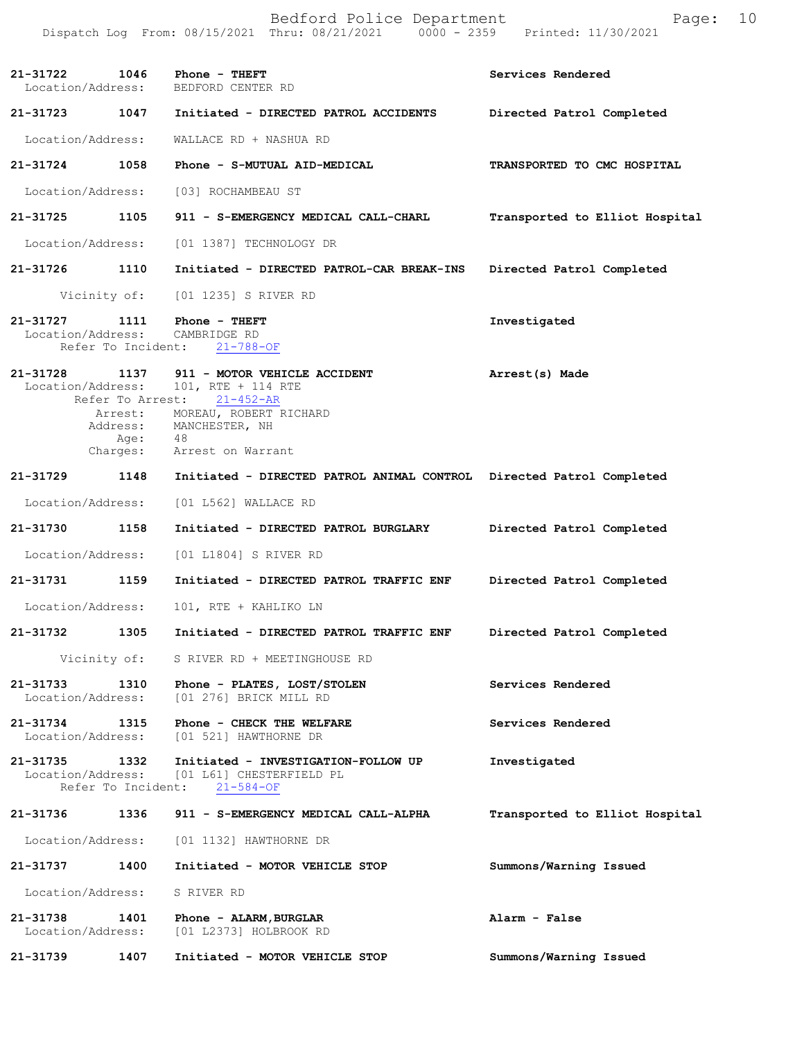Bedford Police Department Form Page: 10 Dispatch Log From: 08/15/2021 Thru: 08/21/2021 0000 - 2359 Printed: 11/30/2021 **21-31722 1046 Phone - THEFT Services Rendered** Services Rendered Location/Address: BEDFORD CENTER RD Location/Address: **21-31723 1047 Initiated - DIRECTED PATROL ACCIDENTS Directed Patrol Completed** Location/Address: WALLACE RD + NASHUA RD **21-31724 1058 Phone - S-MUTUAL AID-MEDICAL TRANSPORTED TO CMC HOSPITAL** Location/Address: [03] ROCHAMBEAU ST **21-31725 1105 911 - S-EMERGENCY MEDICAL CALL-CHARL Transported to Elliot Hospital** Location/Address: [01 1387] TECHNOLOGY DR **21-31726 1110 Initiated - DIRECTED PATROL-CAR BREAK-INS Directed Patrol Completed** Vicinity of: [01 1235] S RIVER RD 21-31727 1111 Phone - THEFT **111 Investigated**  Location/Address: CAMBRIDGE RD Refer To Incident: 21-788-OF **21-31728 1137 Arrest(s) Made 911 - MOTOR VEHICLE ACCIDENT** Location/Address: 101, RTE + 114 RTE Refer To Arrest: 21-452-AR **Directed Patrol Completed 21-31729 1148 Initiated - DIRECTED PATROL ANIMAL CONTROL Directed Patrol Completed Directed Patrol Completed Directed Patrol Completed 21-31732 1305 Initiated - DIRECTED PATROL TRAFFIC ENF Services Rendered Services Rendered 21-31735 1332 Initiated - INVESTIGATION-FOLLOW UP 1nvestigated** Location/Address: [01 L61] CHESTERFIELD PL Location/Address: [01 L61] CHESTERFIELD PL Refer To Incident: 21-584-OF **21-31736 1336 911 - S-EMERGENCY MEDICAL CALL-ALPHA Transported to Elliot Hospital** Location/Address: [01 1132] HAWTHORNE DR **21-31737 1400 Initiated - MOTOR VEHICLE STOP Summons/Warning Issued**  Location/Address: S RIVER RD **21-31738 1401 Phone - ALARM,BURGLAR Alarm - False**  Location/Address: [01 L2373] HOLBROOK RD **21-31739 1407 Initiated - MOTOR VEHICLE STOP Summons/Warning Issued**  Arrest: MOREAU, ROBERT RICHARD Address: MANCHESTER, NH Age: 48 Charges: Arrest on Warrant Location/Address: [01 L562] WALLACE RD **21-31730 1158 Initiated - DIRECTED PATROL BURGLARY** Location/Address: [01 L1804] S RIVER RD **21-31731 1159 Initiated - DIRECTED PATROL TRAFFIC ENF** Location/Address: 101, RTE + KAHLIKO LN Vicinity of: S RIVER RD + MEETINGHOUSE RD **21-31733 1310 Phone - PLATES, LOST/STOLEN** Location/Address: [01 276] BRICK MILL RD **21-31734 1315 Phone - CHECK THE WELFARE** [01 521] HAWTHORNE DR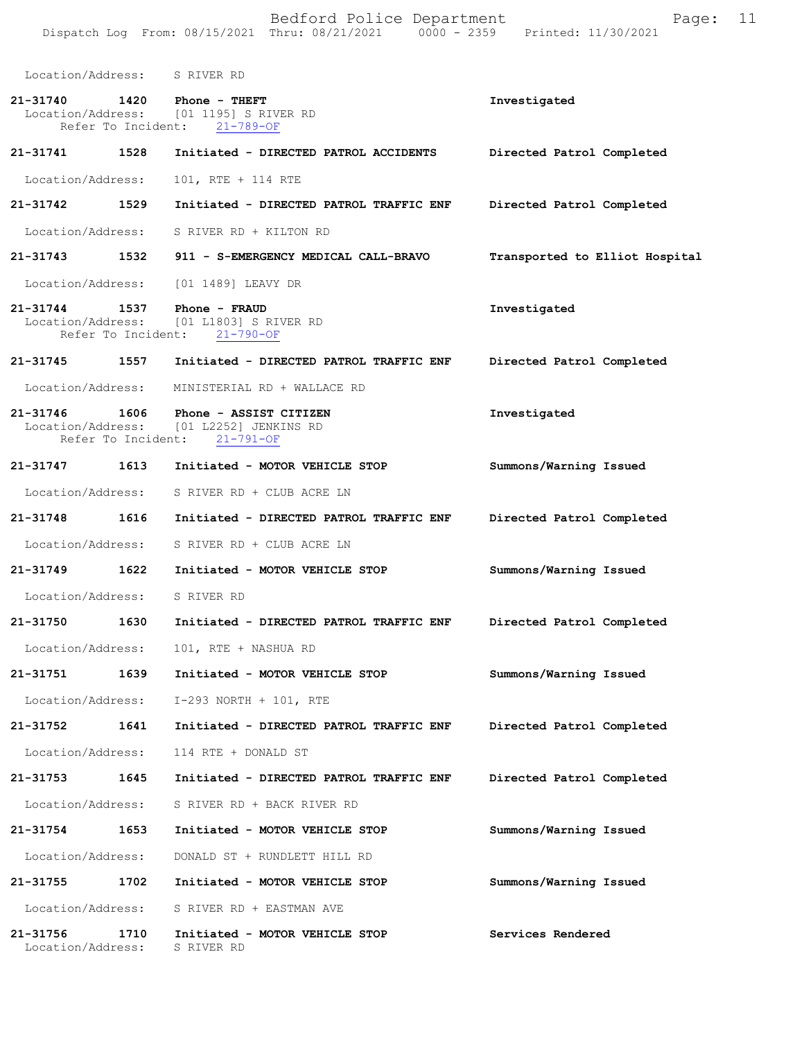Bedford Police Department Form Page: 11 Dispatch Log From: 08/15/2021 Thru: 08/21/2021 0000 - 2359 Printed: 11/30/2021 Location/Address: S RIVER RD **21-31740 1420 Phone - THEFT Investigated**  Location/Address: [01 1195] S RIVER RD Refer To Incident: 21-789-OF **21-31741 1528 Initiated - DIRECTED PATROL ACCIDENTS Directed Patrol Completed**  Location/Address: 101, RTE + 114 RTE **21-31742 1529 Initiated - DIRECTED PATROL TRAFFIC ENF Directed Patrol Completed**  Location/Address: S RIVER RD + KILTON RD **21-31743 1532 911 - S-EMERGENCY MEDICAL CALL-BRAVO Transported to Elliot Hospital** Location/Address: [01 1489] LEAVY DR **21-31744 1537 Phone - FRAUD Investigated**  Location/Address: [01 L1803] S RIVER RD Refer To Incident: 21-790-OF **21-31745 1557 Initiated - DIRECTED PATROL TRAFFIC ENF Directed Patrol Completed**  Location/Address: MINISTERIAL RD + WALLACE RD **21-31746 1606 Phone - ASSIST CITIZEN Investigated**  Location/Address: [01 L2252] JENKINS RD Refer To Incident: 21-791-OF **21-31747 1613 Initiated - MOTOR VEHICLE STOP Summons/Warning Issued**  Location/Address: S RIVER RD + CLUB ACRE LN **21-31748 1616 Initiated - DIRECTED PATROL TRAFFIC ENF Directed Patrol Completed**  Location/Address: S RIVER RD + CLUB ACRE LN **21-31749 1622 Initiated - MOTOR VEHICLE STOP Summons/Warning Issued**  Location/Address: S RIVER RD **21-31750 1630 Initiated - DIRECTED PATROL TRAFFIC ENF Directed Patrol Completed**  Location/Address: 101, RTE + NASHUA RD **21-31751 1639 Initiated - MOTOR VEHICLE STOP Summons/Warning Issued**  Location/Address: I-293 NORTH + 101, RTE **21-31752 1641 Initiated - DIRECTED PATROL TRAFFIC ENF Directed Patrol Completed**  Location/Address: 114 RTE + DONALD ST **21-31753 1645 Initiated - DIRECTED PATROL TRAFFIC ENF Directed Patrol Completed**  Location/Address: S RIVER RD + BACK RIVER RD **21-31754 1653 Initiated - MOTOR VEHICLE STOP Summons/Warning Issued**  Location/Address: DONALD ST + RUNDLETT HILL RD **21-31755 1702 Initiated - MOTOR VEHICLE STOP Summons/Warning Issued**  Location/Address: S RIVER RD + EASTMAN AVE **21-31756 1710 Initiated - MOTOR VEHICLE STOP Services Rendered**  Location/Address: S RIVER RD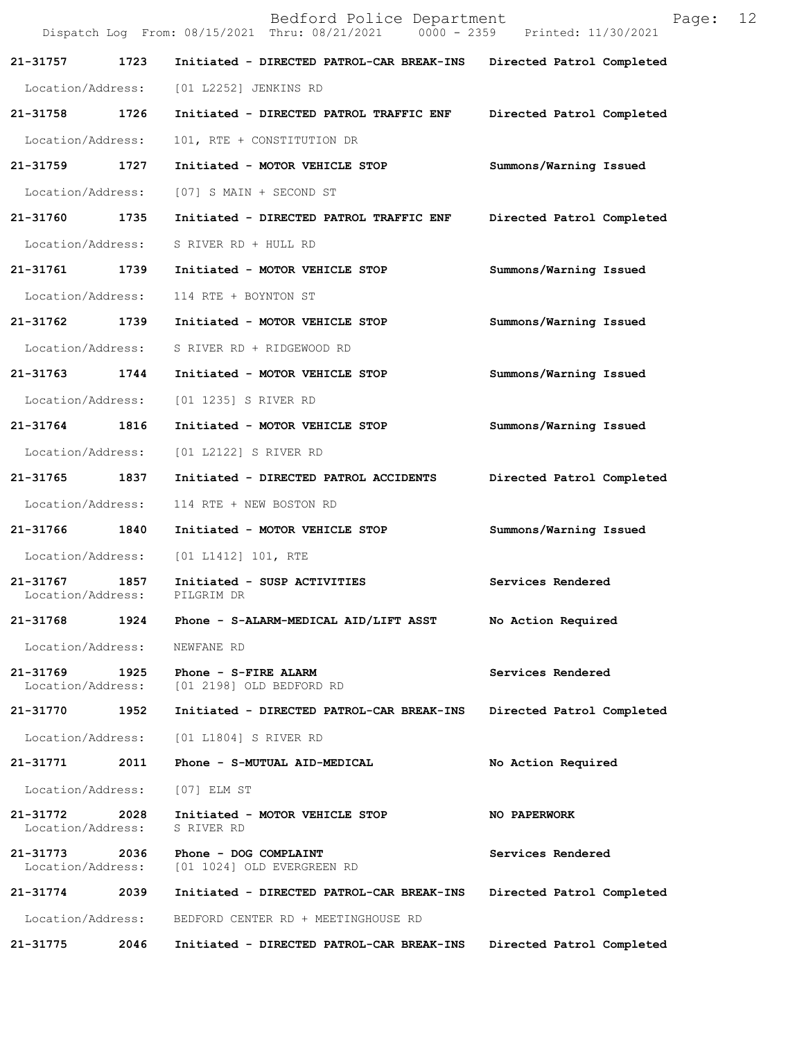|                               |      | Bedford Police Department<br>Dispatch Log From: 08/15/2021 Thru: 08/21/2021 0000 - 2359 Printed: 11/30/2021 | Page:                     | 12 |
|-------------------------------|------|-------------------------------------------------------------------------------------------------------------|---------------------------|----|
| 21-31757                      | 1723 | Initiated - DIRECTED PATROL-CAR BREAK-INS                                                                   | Directed Patrol Completed |    |
| Location/Address:             |      | [01 L2252] JENKINS RD                                                                                       |                           |    |
| 21-31758 1726                 |      | Initiated - DIRECTED PATROL TRAFFIC ENF                                                                     | Directed Patrol Completed |    |
| Location/Address:             |      | 101, RTE + CONSTITUTION DR                                                                                  |                           |    |
| 21-31759                      | 1727 | Initiated - MOTOR VEHICLE STOP                                                                              | Summons/Warning Issued    |    |
| Location/Address:             |      | [07] S MAIN + SECOND ST                                                                                     |                           |    |
| 21-31760                      | 1735 | Initiated - DIRECTED PATROL TRAFFIC ENF                                                                     | Directed Patrol Completed |    |
| Location/Address:             |      | S RIVER RD + HULL RD                                                                                        |                           |    |
| 21-31761 1739                 |      | Initiated - MOTOR VEHICLE STOP                                                                              | Summons/Warning Issued    |    |
| Location/Address:             |      | 114 RTE + BOYNTON ST                                                                                        |                           |    |
| 21-31762 1739                 |      | Initiated - MOTOR VEHICLE STOP                                                                              | Summons/Warning Issued    |    |
| Location/Address:             |      | S RIVER RD + RIDGEWOOD RD                                                                                   |                           |    |
| 21-31763                      | 1744 | Initiated - MOTOR VEHICLE STOP                                                                              | Summons/Warning Issued    |    |
| Location/Address:             |      | [01 1235] S RIVER RD                                                                                        |                           |    |
| 21-31764 1816                 |      | Initiated - MOTOR VEHICLE STOP                                                                              | Summons/Warning Issued    |    |
| Location/Address:             |      | [01 L2122] S RIVER RD                                                                                       |                           |    |
| 21-31765 1837                 |      | Initiated - DIRECTED PATROL ACCIDENTS                                                                       | Directed Patrol Completed |    |
| Location/Address:             |      | 114 RTE + NEW BOSTON RD                                                                                     |                           |    |
| 21-31766                      | 1840 | Initiated - MOTOR VEHICLE STOP                                                                              | Summons/Warning Issued    |    |
| Location/Address:             |      | [01 L1412] 101, RTE                                                                                         |                           |    |
| 21-31767<br>Location/Address: | 1857 | Initiated - SUSP ACTIVITIES<br>PILGRIM DR                                                                   | Services Rendered         |    |
| 21-31768                      | 1924 | Phone - S-ALARM-MEDICAL AID/LIFT ASST                                                                       | No Action Required        |    |
| Location/Address:             |      | NEWFANE RD                                                                                                  |                           |    |
| 21-31769<br>Location/Address: | 1925 | Phone - S-FIRE ALARM<br>[01 2198] OLD BEDFORD RD                                                            | Services Rendered         |    |
| 21-31770                      | 1952 | Initiated - DIRECTED PATROL-CAR BREAK-INS                                                                   | Directed Patrol Completed |    |
| Location/Address:             |      | [01 L1804] S RIVER RD                                                                                       |                           |    |
| 21-31771                      | 2011 | Phone - S-MUTUAL AID-MEDICAL                                                                                | No Action Required        |    |
| Location/Address:             |      | [07] ELM ST                                                                                                 |                           |    |
| 21-31772<br>Location/Address: | 2028 | Initiated - MOTOR VEHICLE STOP<br>S RIVER RD                                                                | NO PAPERWORK              |    |
| 21-31773<br>Location/Address: | 2036 | Phone - DOG COMPLAINT<br>[01 1024] OLD EVERGREEN RD                                                         | Services Rendered         |    |
| 21-31774                      | 2039 | Initiated - DIRECTED PATROL-CAR BREAK-INS                                                                   | Directed Patrol Completed |    |
| Location/Address:             |      | BEDFORD CENTER RD + MEETINGHOUSE RD                                                                         |                           |    |
| 21-31775                      | 2046 | Initiated - DIRECTED PATROL-CAR BREAK-INS                                                                   | Directed Patrol Completed |    |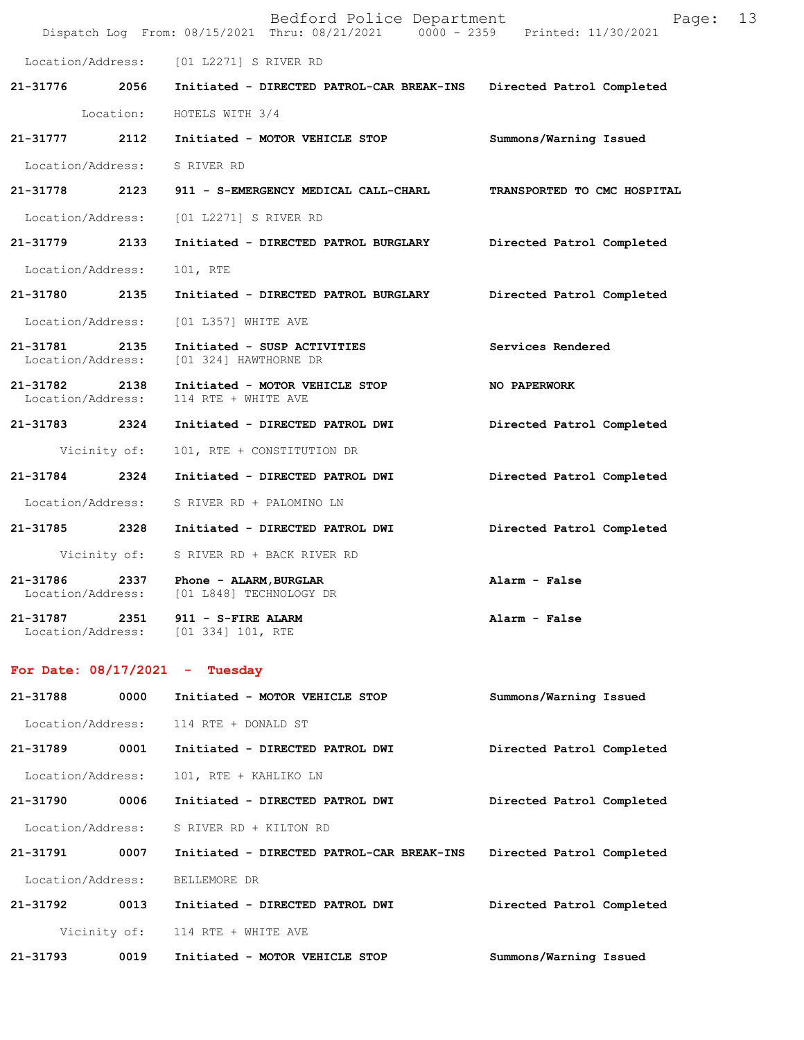|                                    |              | Bedford Police Department<br>Dispatch Log From: 08/15/2021 Thru: 08/21/2021 0000 - 2359 Printed: 11/30/2021 | Page: 13                    |  |
|------------------------------------|--------------|-------------------------------------------------------------------------------------------------------------|-----------------------------|--|
|                                    |              | Location/Address: [01 L2271] S RIVER RD                                                                     |                             |  |
|                                    |              | 21-31776 2056 Initiated - DIRECTED PATROL-CAR BREAK-INS Directed Patrol Completed                           |                             |  |
|                                    |              | Location: HOTELS WITH 3/4                                                                                   |                             |  |
| 21-31777 2112                      |              | Initiated - MOTOR VEHICLE STOP                                                                              | Summons/Warning Issued      |  |
|                                    |              | Location/Address: S RIVER RD                                                                                |                             |  |
| 21-31778 2123                      |              | 911 - S-EMERGENCY MEDICAL CALL-CHARL                                                                        | TRANSPORTED TO CMC HOSPITAL |  |
|                                    |              | Location/Address: [01 L2271] S RIVER RD                                                                     |                             |  |
| 21-31779 2133                      |              | Initiated - DIRECTED PATROL BURGLARY Directed Patrol Completed                                              |                             |  |
| Location/Address:                  |              | 101, RTE                                                                                                    |                             |  |
| 21-31780 2135                      |              | Initiated - DIRECTED PATROL BURGLARY                                                                        | Directed Patrol Completed   |  |
|                                    |              | Location/Address: [01 L357] WHITE AVE                                                                       |                             |  |
| 21-31781 2135<br>Location/Address: |              | Initiated - SUSP ACTIVITIES<br>[01 324] HAWTHORNE DR                                                        | Services Rendered           |  |
| 21-31782 2138<br>Location/Address: |              | Initiated - MOTOR VEHICLE STOP<br>114 RTE + WHITE AVE                                                       | <b>NO PAPERWORK</b>         |  |
| 21-31783 2324                      |              | Initiated - DIRECTED PATROL DWI                                                                             | Directed Patrol Completed   |  |
|                                    | Vicinity of: | 101, RTE + CONSTITUTION DR                                                                                  |                             |  |
| 21-31784                           | 2324         | Initiated - DIRECTED PATROL DWI                                                                             | Directed Patrol Completed   |  |
|                                    |              | Location/Address: S RIVER RD + PALOMINO LN                                                                  |                             |  |
|                                    |              | 21-31785 2328 Initiated - DIRECTED PATROL DWI                                                               | Directed Patrol Completed   |  |
|                                    |              | Vicinity of: S RIVER RD + BACK RIVER RD                                                                     |                             |  |
| 21-31786                           |              | 2337 Phone - ALARM, BURGLAR<br>Location/Address: [01 L848] TECHNOLOGY DR                                    | Alarm - False               |  |
| 21-31787                           | 2351         | 911 - S-FIRE ALARM<br>Location/Address: [01 334] 101, RTE                                                   | Alarm - False               |  |
|                                    |              | For Date: $08/17/2021$ - Tuesday                                                                            |                             |  |
| 21-31788                           | 0000         | Initiated - MOTOR VEHICLE STOP                                                                              | Summons/Warning Issued      |  |
| Location/Address:                  |              | 114 RTE + DONALD ST                                                                                         |                             |  |
| 21-31789                           | 0001         | Initiated - DIRECTED PATROL DWI                                                                             | Directed Patrol Completed   |  |
| Location/Address:                  |              | 101, RTE + KAHLIKO LN                                                                                       |                             |  |
| 21-31790                           | 0006         | Initiated - DIRECTED PATROL DWI                                                                             | Directed Patrol Completed   |  |
| Location/Address:                  |              | S RIVER RD + KILTON RD                                                                                      |                             |  |
| 21-31791                           | 0007         | Initiated - DIRECTED PATROL-CAR BREAK-INS                                                                   | Directed Patrol Completed   |  |
| Location/Address:                  |              | BELLEMORE DR                                                                                                |                             |  |
| 21-31792                           | 0013         | Initiated - DIRECTED PATROL DWI                                                                             | Directed Patrol Completed   |  |
|                                    | Vicinity of: | 114 RTE + WHITE AVE                                                                                         |                             |  |

**21-31793 0019 Initiated - MOTOR VEHICLE STOP Summons/Warning Issued**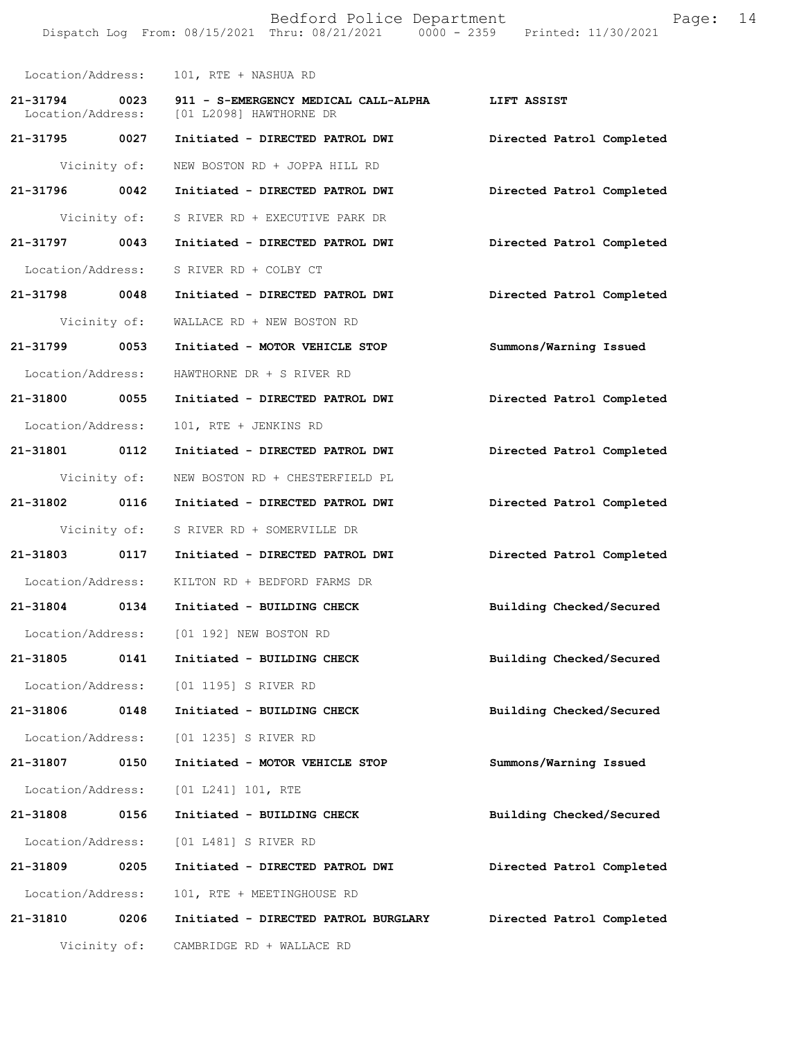Bedford Police Department Fage: 14 Dispatch Log From: 08/15/2021 Thru: 08/21/2021 0000 - 2359 Printed: 11/30/2021 Location/Address: 101, RTE + NASHUA RD **21-31794 0023 911 - S-EMERGENCY MEDICAL CALL-ALPHA LIFT ASSIST**  Location/Address: [01 L2098] HAWTHORNE DR **21-31795 0027 Initiated - DIRECTED PATROL DWI Directed Patrol Completed**  Vicinity of: NEW BOSTON RD + JOPPA HILL RD **21-31796 0042 Initiated - DIRECTED PATROL DWI Directed Patrol Completed**  Vicinity of: S RIVER RD + EXECUTIVE PARK DR **21-31797 0043 Initiated - DIRECTED PATROL DWI Directed Patrol Completed**  Location/Address: S RIVER RD + COLBY CT **21-31798 0048 Initiated - DIRECTED PATROL DWI Directed Patrol Completed**  Vicinity of: WALLACE RD + NEW BOSTON RD **21-31799 0053 Initiated - MOTOR VEHICLE STOP Summons/Warning Issued**  Location/Address: HAWTHORNE DR + S RIVER RD **21-31800 0055 Initiated - DIRECTED PATROL DWI Directed Patrol Completed**  Location/Address: 101, RTE + JENKINS RD **21-31801 0112 Initiated - DIRECTED PATROL DWI Directed Patrol Completed**  Vicinity of: NEW BOSTON RD + CHESTERFIELD PL **21-31802 0116 Initiated - DIRECTED PATROL DWI Directed Patrol Completed**  Vicinity of: S RIVER RD + SOMERVILLE DR **21-31803 0117 Initiated - DIRECTED PATROL DWI Directed Patrol Completed**  Location/Address: KILTON RD + BEDFORD FARMS DR **21-31804 0134 Initiated - BUILDING CHECK Building Checked/Secured**  Location/Address: [01 192] NEW BOSTON RD **21-31805 0141 Initiated - BUILDING CHECK Building Checked/Secured**  Location/Address: [01 1195] S RIVER RD **21-31806 0148 Initiated - BUILDING CHECK Building Checked/Secured**  Location/Address: [01 1235] S RIVER RD **21-31807 0150 Initiated - MOTOR VEHICLE STOP Summons/Warning Issued**  Location/Address: [01 L241] 101, RTE **21-31808 0156 Initiated - BUILDING CHECK Building Checked/Secured**  Location/Address: [01 L481] S RIVER RD **21-31809 0205 Initiated - DIRECTED PATROL DWI Directed Patrol Completed**  Location/Address: 101, RTE + MEETINGHOUSE RD **21-31810 0206 Initiated - DIRECTED PATROL BURGLARY Directed Patrol Completed** 

Vicinity of: CAMBRIDGE RD + WALLACE RD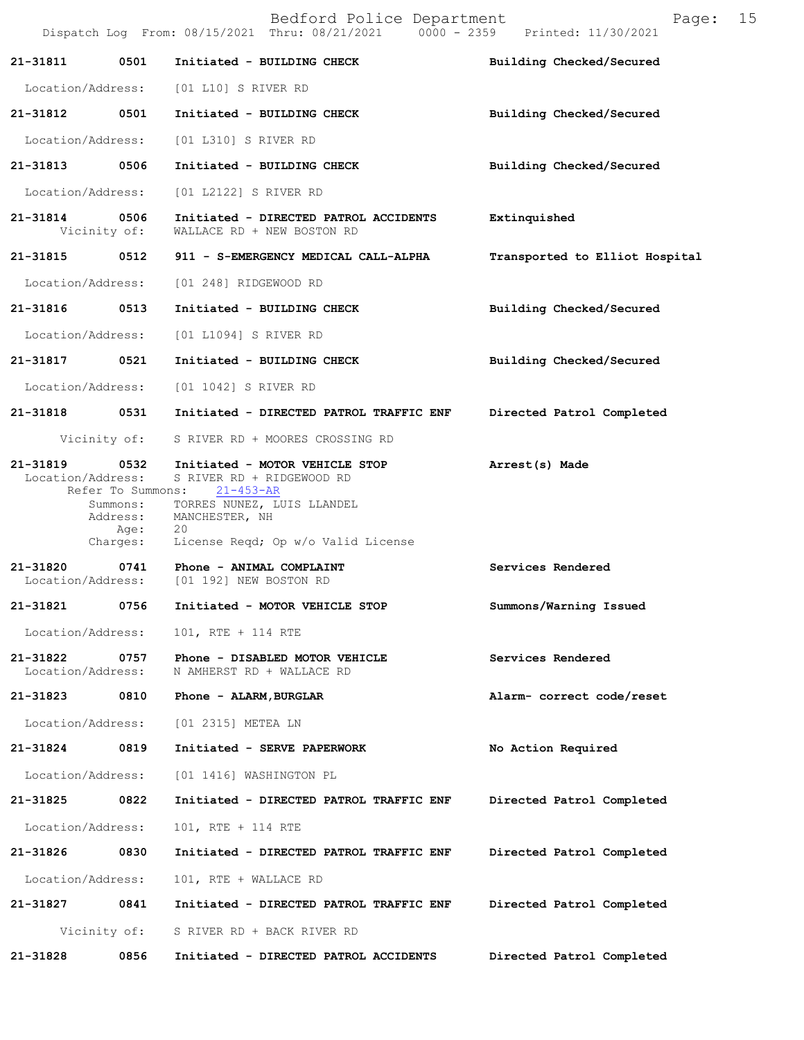|                               |                                                                       | Bedford Police Department<br>Dispatch Log From: 08/15/2021 Thru: 08/21/2021 0000 - 2359 Printed: 11/30/2021                                                                | 15<br>Page:                    |
|-------------------------------|-----------------------------------------------------------------------|----------------------------------------------------------------------------------------------------------------------------------------------------------------------------|--------------------------------|
| 21-31811                      | 0501                                                                  | Initiated - BUILDING CHECK                                                                                                                                                 | Building Checked/Secured       |
| Location/Address:             |                                                                       | [01 L10] S RIVER RD                                                                                                                                                        |                                |
| 21-31812                      | 0501                                                                  | Initiated - BUILDING CHECK                                                                                                                                                 | Building Checked/Secured       |
| Location/Address:             |                                                                       | [01 L310] S RIVER RD                                                                                                                                                       |                                |
| 21-31813                      | 0506                                                                  | Initiated - BUILDING CHECK                                                                                                                                                 | Building Checked/Secured       |
| Location/Address:             |                                                                       | [01 L2122] S RIVER RD                                                                                                                                                      |                                |
| 21-31814                      | 0506<br>Vicinity of:                                                  | Initiated - DIRECTED PATROL ACCIDENTS<br>WALLACE RD + NEW BOSTON RD                                                                                                        | Extinquished                   |
| 21-31815 0512                 |                                                                       | 911 - S-EMERGENCY MEDICAL CALL-ALPHA                                                                                                                                       | Transported to Elliot Hospital |
| Location/Address:             |                                                                       | [01 248] RIDGEWOOD RD                                                                                                                                                      |                                |
| 21-31816                      | 0513                                                                  | Initiated - BUILDING CHECK                                                                                                                                                 | Building Checked/Secured       |
| Location/Address:             |                                                                       | [01 L1094] S RIVER RD                                                                                                                                                      |                                |
| 21-31817                      | 0521                                                                  | Initiated - BUILDING CHECK                                                                                                                                                 | Building Checked/Secured       |
| Location/Address:             |                                                                       | [01 1042] S RIVER RD                                                                                                                                                       |                                |
| 21-31818 0531                 |                                                                       | Initiated - DIRECTED PATROL TRAFFIC ENF                                                                                                                                    | Directed Patrol Completed      |
|                               | Vicinity of:                                                          | S RIVER RD + MOORES CROSSING RD                                                                                                                                            |                                |
| 21-31819<br>Location/Address: | 0532<br>Refer To Summons:<br>Summons:<br>Address:<br>Age:<br>Charges: | Initiated - MOTOR VEHICLE STOP<br>S RIVER RD + RIDGEWOOD RD<br>$21 - 453 - AR$<br>TORRES NUNEZ, LUIS LLANDEL<br>MANCHESTER, NH<br>20<br>License Reqd; Op w/o Valid License | Arrest(s) Made                 |
| 21-31820<br>Location/Address: |                                                                       | 0741 Phone - ANIMAL COMPLAINT<br>[01 192] NEW BOSTON RD                                                                                                                    | Services Rendered              |
| 21-31821                      | 0756                                                                  | Initiated - MOTOR VEHICLE STOP                                                                                                                                             | Summons/Warning Issued         |
| Location/Address:             |                                                                       | 101, RTE + 114 RTE                                                                                                                                                         |                                |
| 21-31822<br>Location/Address: | 0757                                                                  | Phone - DISABLED MOTOR VEHICLE<br>N AMHERST RD + WALLACE RD                                                                                                                | Services Rendered              |
| 21-31823                      | 0810                                                                  | Phone - ALARM, BURGLAR                                                                                                                                                     | Alarm- correct code/reset      |
| Location/Address:             |                                                                       | [01 2315] METEA LN                                                                                                                                                         |                                |
| 21-31824                      | 0819                                                                  | Initiated - SERVE PAPERWORK                                                                                                                                                | No Action Required             |
| Location/Address:             |                                                                       | [01 1416] WASHINGTON PL                                                                                                                                                    |                                |
| 21-31825                      | 0822                                                                  | Initiated - DIRECTED PATROL TRAFFIC ENF                                                                                                                                    | Directed Patrol Completed      |
| Location/Address:             |                                                                       | 101, RTE + 114 RTE                                                                                                                                                         |                                |
| 21-31826                      | 0830                                                                  | Initiated - DIRECTED PATROL TRAFFIC ENF                                                                                                                                    | Directed Patrol Completed      |
| Location/Address:             |                                                                       | 101, RTE + WALLACE RD                                                                                                                                                      |                                |
| 21-31827                      | 0841                                                                  | Initiated - DIRECTED PATROL TRAFFIC ENF                                                                                                                                    | Directed Patrol Completed      |
|                               | Vicinity of:                                                          | S RIVER RD + BACK RIVER RD                                                                                                                                                 |                                |
| 21-31828                      | 0856                                                                  | Initiated - DIRECTED PATROL ACCIDENTS                                                                                                                                      | Directed Patrol Completed      |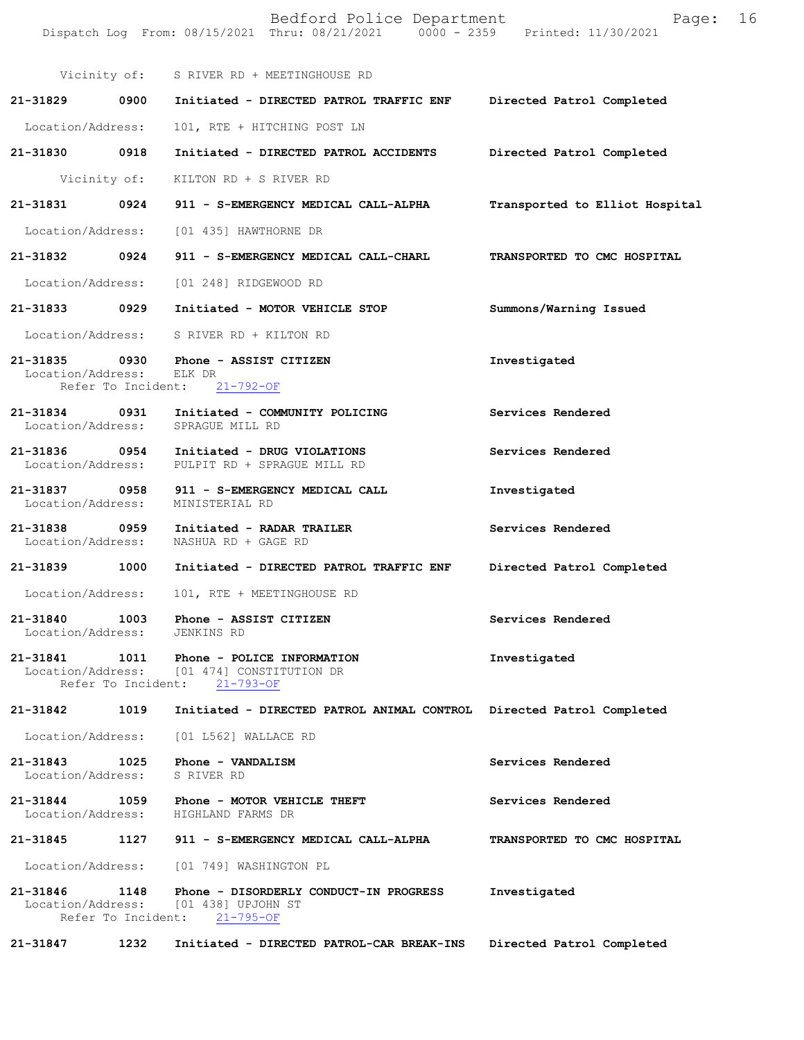|                                    |                    | Bedford Police Department<br>Dispatch Log From: 08/15/2021 Thru: 08/21/2021 0000 - 2359 Printed: 11/30/2021    | 16<br>Page:                    |
|------------------------------------|--------------------|----------------------------------------------------------------------------------------------------------------|--------------------------------|
|                                    |                    | Vicinity of: S RIVER RD + MEETINGHOUSE RD                                                                      |                                |
| 21-31829 0900                      |                    | Initiated - DIRECTED PATROL TRAFFIC ENF                                                                        | Directed Patrol Completed      |
| Location/Address:                  |                    | 101, RTE + HITCHING POST LN                                                                                    |                                |
| 21-31830 0918                      |                    | Initiated - DIRECTED PATROL ACCIDENTS                                                                          | Directed Patrol Completed      |
|                                    | Vicinity of:       | KILTON RD + S RIVER RD                                                                                         |                                |
| 21-31831                           | 0924               | 911 - S-EMERGENCY MEDICAL CALL-ALPHA                                                                           | Transported to Elliot Hospital |
|                                    |                    | Location/Address: [01 435] HAWTHORNE DR                                                                        |                                |
| 21-31832 0924                      |                    | 911 - S-EMERGENCY MEDICAL CALL-CHARL                                                                           | TRANSPORTED TO CMC HOSPITAL    |
| Location/Address:                  |                    | [01 248] RIDGEWOOD RD                                                                                          |                                |
| 21-31833 0929                      |                    | Initiated - MOTOR VEHICLE STOP                                                                                 | Summons/Warning Issued         |
| Location/Address:                  |                    | S RIVER RD + KILTON RD                                                                                         |                                |
| Location/Address:                  |                    | 21-31835 0930 Phone - ASSIST CITIZEN<br>ELK DR<br>Refer To Incident: 21-792-OF                                 | Investigated                   |
|                                    |                    | 21-31834 0931 Initiated - COMMUNITY POLICING<br>Location/Address: SPRAGUE MILL RD                              | Services Rendered              |
|                                    |                    | 21-31836 0954 Initiated - DRUG VIOLATIONS<br>Location/Address: PULPIT RD + SPRAGUE MILL RD                     | Services Rendered              |
| 21-31837 0958<br>Location/Address: |                    | 911 - S-EMERGENCY MEDICAL CALL<br>MINISTERIAL RD                                                               | Investigated                   |
| 21-31838 0959<br>Location/Address: |                    | Initiated - RADAR TRAILER<br>NASHUA RD + GAGE RD                                                               | Services Rendered              |
| 21-31839 1000                      |                    | Initiated - DIRECTED PATROL TRAFFIC ENF                                                                        | Directed Patrol Completed      |
| Location/Address:                  |                    | 101, RTE + MEETINGHOUSE RD                                                                                     |                                |
| 21-31840                           |                    | 1003 Phone - ASSIST CITIZEN<br>Location/Address: JENKINS RD                                                    | Services Rendered              |
|                                    | Refer To Incident: | 21-31841   1011   Phone - POLICE INFORMATION<br>Location/Address: [01 474] CONSTITUTION DR<br>$21 - 793 - OF$  | Investigated                   |
| 21-31842                           | 1019               | Initiated - DIRECTED PATROL ANIMAL CONTROL Directed Patrol Completed                                           |                                |
| Location/Address:                  |                    | [01 L562] WALLACE RD                                                                                           |                                |
| 21-31843                           | 1025               | Phone - VANDALISM<br>Location/Address: S RIVER RD                                                              | Services Rendered              |
|                                    |                    | 21-31844 1059 Phone - MOTOR VEHICLE THEFT<br>Location/Address: HIGHLAND FARMS DR                               | Services Rendered              |
| 21-31845                           |                    | 1127 911 - S-EMERGENCY MEDICAL CALL-ALPHA                                                                      | TRANSPORTED TO CMC HOSPITAL    |
|                                    |                    | Location/Address: [01 749] WASHINGTON PL                                                                       |                                |
| 21-31846                           | 1148               | Phone - DISORDERLY CONDUCT-IN PROGRESS<br>Location/Address: [01 438] UPJOHN ST<br>Refer To Incident: 21-795-OF | Investigated                   |
| 21-31847                           | 1232               | Initiated - DIRECTED PATROL-CAR BREAK-INS                                                                      | Directed Patrol Completed      |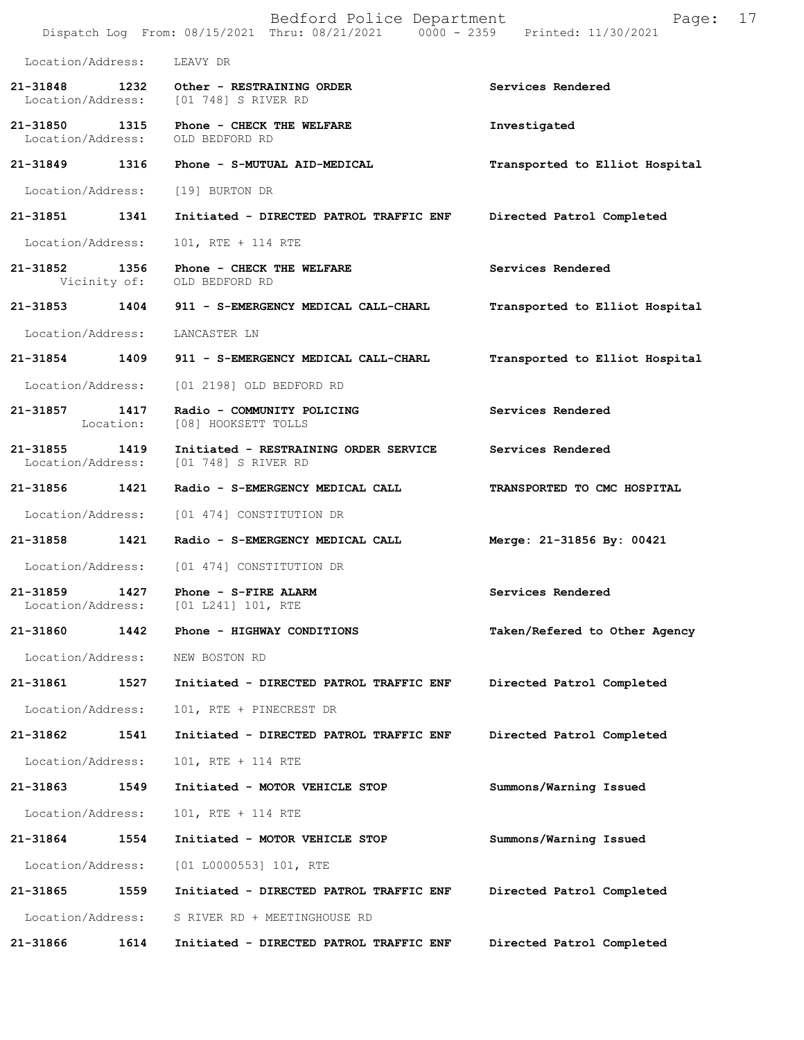|                                    |                   | Bedford Police Department<br>Dispatch Log From: 08/15/2021 Thru: 08/21/2021 0000 - 2359 Printed: 11/30/2021 | Page:                          | 17 |
|------------------------------------|-------------------|-------------------------------------------------------------------------------------------------------------|--------------------------------|----|
| Location/Address:                  |                   | LEAVY DR                                                                                                    |                                |    |
|                                    |                   | 21-31848 1232 Other - RESTRAINING ORDER<br>Location/Address: [01 748] S RIVER RD                            | Services Rendered              |    |
| 21-31850 1315<br>Location/Address: |                   | Phone - CHECK THE WELFARE<br>OLD BEDFORD RD                                                                 | Investigated                   |    |
| 21-31849                           | 1316              | Phone - S-MUTUAL AID-MEDICAL                                                                                | Transported to Elliot Hospital |    |
| Location/Address:                  |                   | [19] BURTON DR                                                                                              |                                |    |
| 21-31851 1341                      |                   | Initiated - DIRECTED PATROL TRAFFIC ENF                                                                     | Directed Patrol Completed      |    |
| Location/Address:                  |                   | 101, RTE + 114 RTE                                                                                          |                                |    |
| 21-31852 1356                      |                   | Phone - CHECK THE WELFARE<br>Vicinity of: OLD BEDFORD RD                                                    | Services Rendered              |    |
| 21-31853                           | 1404              | 911 - S-EMERGENCY MEDICAL CALL-CHARL                                                                        | Transported to Elliot Hospital |    |
| Location/Address:                  |                   | LANCASTER LN                                                                                                |                                |    |
| 21-31854 1409                      |                   | 911 - S-EMERGENCY MEDICAL CALL-CHARL                                                                        | Transported to Elliot Hospital |    |
| Location/Address:                  |                   | [01 2198] OLD BEDFORD RD                                                                                    |                                |    |
| 21-31857                           | 1417<br>Location: | Radio - COMMUNITY POLICING<br>[08] HOOKSETT TOLLS                                                           | Services Rendered              |    |
| 21-31855 1419<br>Location/Address: |                   | Initiated - RESTRAINING ORDER SERVICE<br>[01 748] S RIVER RD                                                | Services Rendered              |    |
| 21-31856 1421                      |                   | Radio - S-EMERGENCY MEDICAL CALL                                                                            | TRANSPORTED TO CMC HOSPITAL    |    |
| Location/Address:                  |                   | [01 474] CONSTITUTION DR                                                                                    |                                |    |
| 21-31858 1421                      |                   | Radio - S-EMERGENCY MEDICAL CALL                                                                            | Merge: 21-31856 By: 00421      |    |
|                                    |                   | Location/Address: [01 474] CONSTITUTION DR                                                                  |                                |    |
| 21-31859<br>Location/Address:      | 1427              | Phone - S-FIRE ALARM<br>[01 L241] 101, RTE                                                                  | Services Rendered              |    |
| 21-31860                           | 1442              | Phone - HIGHWAY CONDITIONS                                                                                  | Taken/Refered to Other Agency  |    |
| Location/Address:                  |                   | NEW BOSTON RD                                                                                               |                                |    |
| 21-31861                           | 1527              | Initiated - DIRECTED PATROL TRAFFIC ENF                                                                     | Directed Patrol Completed      |    |
| Location/Address:                  |                   | 101, RTE + PINECREST DR                                                                                     |                                |    |
| 21-31862                           | 1541              | Initiated - DIRECTED PATROL TRAFFIC ENF                                                                     | Directed Patrol Completed      |    |
| Location/Address:                  |                   | 101, RTE + 114 RTE                                                                                          |                                |    |
| 21-31863                           | 1549              | Initiated - MOTOR VEHICLE STOP                                                                              | Summons/Warning Issued         |    |
| Location/Address:                  |                   | 101, RTE + 114 RTE                                                                                          |                                |    |
| 21-31864                           | 1554              | Initiated - MOTOR VEHICLE STOP                                                                              | Summons/Warning Issued         |    |
| Location/Address:                  |                   | [01 L0000553] 101, RTE                                                                                      |                                |    |
| 21-31865                           | 1559              | Initiated - DIRECTED PATROL TRAFFIC ENF                                                                     | Directed Patrol Completed      |    |
| Location/Address:                  |                   | S RIVER RD + MEETINGHOUSE RD                                                                                |                                |    |
| 21-31866                           | 1614              | Initiated - DIRECTED PATROL TRAFFIC ENF                                                                     | Directed Patrol Completed      |    |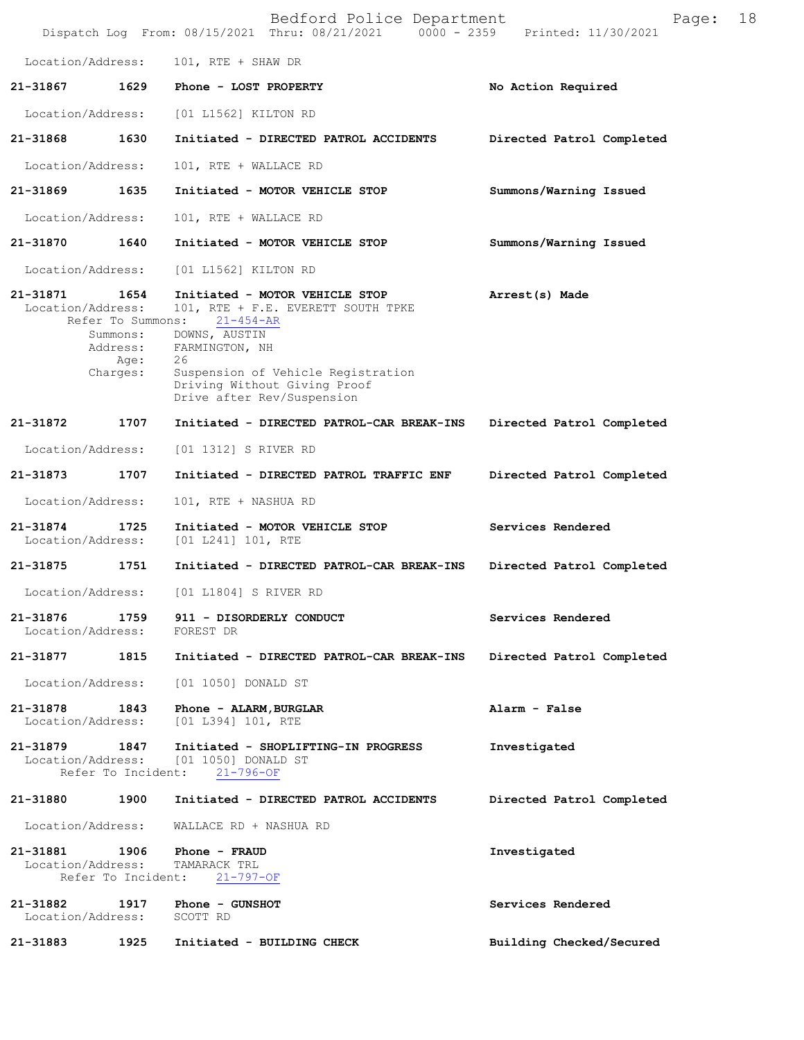|                                    |                                                                       | Bedford Police Department<br>Dispatch Log From: 08/15/2021 Thru: 08/21/2021 0000 - 2359                                                                                                                                              | Page:<br>Printed: 11/30/2021 | 18 |
|------------------------------------|-----------------------------------------------------------------------|--------------------------------------------------------------------------------------------------------------------------------------------------------------------------------------------------------------------------------------|------------------------------|----|
| Location/Address:                  |                                                                       | 101, RTE + SHAW DR                                                                                                                                                                                                                   |                              |    |
| 21-31867                           | 1629                                                                  | Phone - LOST PROPERTY                                                                                                                                                                                                                | No Action Required           |    |
| Location/Address:                  |                                                                       | [01 L1562] KILTON RD                                                                                                                                                                                                                 |                              |    |
| 21-31868                           | 1630                                                                  | Initiated - DIRECTED PATROL ACCIDENTS                                                                                                                                                                                                | Directed Patrol Completed    |    |
| Location/Address:                  |                                                                       | 101, RTE + WALLACE RD                                                                                                                                                                                                                |                              |    |
| 21-31869                           | 1635                                                                  | Initiated - MOTOR VEHICLE STOP                                                                                                                                                                                                       | Summons/Warning Issued       |    |
| Location/Address:                  |                                                                       | 101, RTE + WALLACE RD                                                                                                                                                                                                                |                              |    |
| 21-31870                           | 1640                                                                  | Initiated - MOTOR VEHICLE STOP                                                                                                                                                                                                       | Summons/Warning Issued       |    |
| Location/Address:                  |                                                                       | [01 L1562] KILTON RD                                                                                                                                                                                                                 |                              |    |
| 21-31871<br>Location/Address:      | 1654<br>Refer To Summons:<br>Summons:<br>Address:<br>Age:<br>Charges: | Initiated - MOTOR VEHICLE STOP<br>101, RTE + F.E. EVERETT SOUTH TPKE<br>$21 - 454 - AR$<br>DOWNS, AUSTIN<br>FARMINGTON, NH<br>26<br>Suspension of Vehicle Registration<br>Driving Without Giving Proof<br>Drive after Rev/Suspension | Arrest(s) Made               |    |
| 21-31872                           | 1707                                                                  | Initiated - DIRECTED PATROL-CAR BREAK-INS                                                                                                                                                                                            | Directed Patrol Completed    |    |
| Location/Address:                  |                                                                       | [01 1312] S RIVER RD                                                                                                                                                                                                                 |                              |    |
| 21-31873                           | 1707                                                                  | Initiated - DIRECTED PATROL TRAFFIC ENF                                                                                                                                                                                              | Directed Patrol Completed    |    |
| Location/Address:                  |                                                                       | 101, RTE + NASHUA RD                                                                                                                                                                                                                 |                              |    |
| 21-31874<br>Location/Address:      | 1725                                                                  | Initiated - MOTOR VEHICLE STOP<br>[01 L241] 101, RTE                                                                                                                                                                                 | Services Rendered            |    |
| 21-31875                           | 1751                                                                  | Initiated - DIRECTED PATROL-CAR BREAK-INS                                                                                                                                                                                            | Directed Patrol Completed    |    |
| Location/Address:                  |                                                                       | [01 L1804] S RIVER RD                                                                                                                                                                                                                |                              |    |
| 21-31876<br>Location/Address:      |                                                                       | 1759 911 - DISORDERLY CONDUCT<br>FOREST DR                                                                                                                                                                                           | Services Rendered            |    |
| 21-31877 1815                      |                                                                       | Initiated - DIRECTED PATROL-CAR BREAK-INS                                                                                                                                                                                            | Directed Patrol Completed    |    |
| Location/Address:                  |                                                                       | [01 1050] DONALD ST                                                                                                                                                                                                                  |                              |    |
| 21-31878<br>Location/Address:      | 1843                                                                  | Phone - ALARM, BURGLAR<br>[01 L394] 101, RTE                                                                                                                                                                                         | Alarm - False                |    |
| 21-31879<br>Location/Address:      | 1847<br>Refer To Incident:                                            | Initiated - SHOPLIFTING-IN PROGRESS<br>[01 1050] DONALD ST<br>$21 - 796 - OF$                                                                                                                                                        | Investigated                 |    |
| 21-31880                           | 1900                                                                  | Initiated - DIRECTED PATROL ACCIDENTS                                                                                                                                                                                                | Directed Patrol Completed    |    |
| Location/Address:                  |                                                                       | WALLACE RD + NASHUA RD                                                                                                                                                                                                               |                              |    |
| 21-31881 1906<br>Location/Address: | Refer To Incident:                                                    | Phone - FRAUD<br>TAMARACK TRL<br>$21 - 797 - OF$                                                                                                                                                                                     | Investigated                 |    |
| 21-31882<br>Location/Address:      | 1917                                                                  | Phone - GUNSHOT<br>SCOTT RD                                                                                                                                                                                                          | Services Rendered            |    |
| 21-31883                           | 1925                                                                  | Initiated - BUILDING CHECK                                                                                                                                                                                                           | Building Checked/Secured     |    |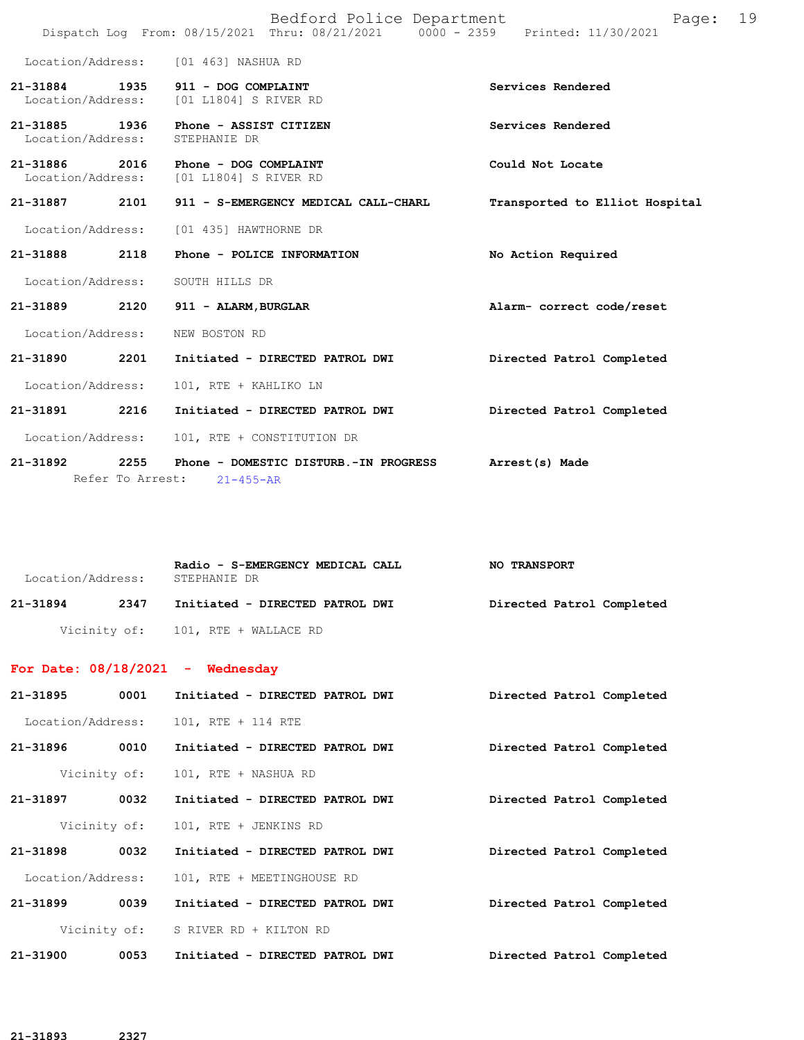|                                    |                          |                                                                | Bedford Police Department<br>Dispatch Log From: 08/15/2021 Thru: 08/21/2021 0000 - 2359 Printed: 11/30/2021 |                                | Page: | 19 |
|------------------------------------|--------------------------|----------------------------------------------------------------|-------------------------------------------------------------------------------------------------------------|--------------------------------|-------|----|
|                                    |                          | Location/Address: [01 463] NASHUA RD                           |                                                                                                             |                                |       |    |
| 21-31884                           | 1935                     | 911 - DOG COMPLAINT<br>Location/Address: [01 L1804] S RIVER RD |                                                                                                             | Services Rendered              |       |    |
| 21-31885 1936<br>Location/Address: |                          | Phone - ASSIST CITIZEN<br>STEPHANIE DR                         |                                                                                                             | Services Rendered              |       |    |
| 21-31886<br>Location/Address:      | 2016                     | Phone - DOG COMPLAINT<br>[01 L1804] S RIVER RD                 |                                                                                                             | Could Not Locate               |       |    |
| 21-31887                           | 2101                     |                                                                | 911 - S-EMERGENCY MEDICAL CALL-CHARL                                                                        | Transported to Elliot Hospital |       |    |
| Location/Address:                  |                          | [01 435] HAWTHORNE DR                                          |                                                                                                             |                                |       |    |
| 21-31888                           | 2118                     |                                                                | Phone - POLICE INFORMATION                                                                                  | No Action Required             |       |    |
| Location/Address:                  |                          | SOUTH HILLS DR                                                 |                                                                                                             |                                |       |    |
| 21-31889                           | 2120                     | 911 - ALARM, BURGLAR                                           |                                                                                                             | Alarm- correct code/reset      |       |    |
| Location/Address:                  |                          | NEW BOSTON RD                                                  |                                                                                                             |                                |       |    |
| 21-31890                           | 2201                     |                                                                | Initiated - DIRECTED PATROL DWI                                                                             | Directed Patrol Completed      |       |    |
| Location/Address:                  |                          | 101, RTE + KAHLIKO LN                                          |                                                                                                             |                                |       |    |
| 21-31891 2216                      |                          |                                                                | Initiated - DIRECTED PATROL DWI                                                                             | Directed Patrol Completed      |       |    |
| Location/Address:                  |                          | 101, RTE + CONSTITUTION DR                                     |                                                                                                             |                                |       |    |
| 21-31892                           | 2255<br>Refer To Arrest: | $21 - 455 - AR$                                                | Phone - DOMESTIC DISTURB.-IN PROGRESS                                                                       | Arrest(s) Made                 |       |    |

| Location/Address: | Radio - S-EMERGENCY MEDICAL CALL<br>STEPHANIE DR | <b>NO TRANSPORT</b>       |
|-------------------|--------------------------------------------------|---------------------------|
| 21-31894<br>2347  | Initiated - DIRECTED PATROL DWI                  | Directed Patrol Completed |
|                   | Vicinity of: 101, RTE + WALLACE RD               |                           |

## **For Date: 08/18/2021 - Wednesday**

|          |      | 21-31895 0001 Initiated - DIRECTED PATROL DWI | Directed Patrol Completed |  |
|----------|------|-----------------------------------------------|---------------------------|--|
|          |      | Location/Address: 101, RTE + 114 RTE          |                           |  |
| 21-31896 |      | 0010 Initiated - DIRECTED PATROL DWI          | Directed Patrol Completed |  |
|          |      | Vicinity of: 101, RTE + NASHUA RD             |                           |  |
| 21-31897 |      | 0032 Initiated - DIRECTED PATROL DWI          | Directed Patrol Completed |  |
|          |      | Vicinity of: 101, RTE + JENKINS RD            |                           |  |
| 21-31898 |      | 0032 Initiated - DIRECTED PATROL DWI          | Directed Patrol Completed |  |
|          |      | Location/Address: 101, RTE + MEETINGHOUSE RD  |                           |  |
| 21-31899 | 0039 | Initiated - DIRECTED PATROL DWI               | Directed Patrol Completed |  |
|          |      | Vicinity of: S RIVER RD + KILTON RD           |                           |  |
| 21-31900 | 0053 | Initiated - DIRECTED PATROL DWI               | Directed Patrol Completed |  |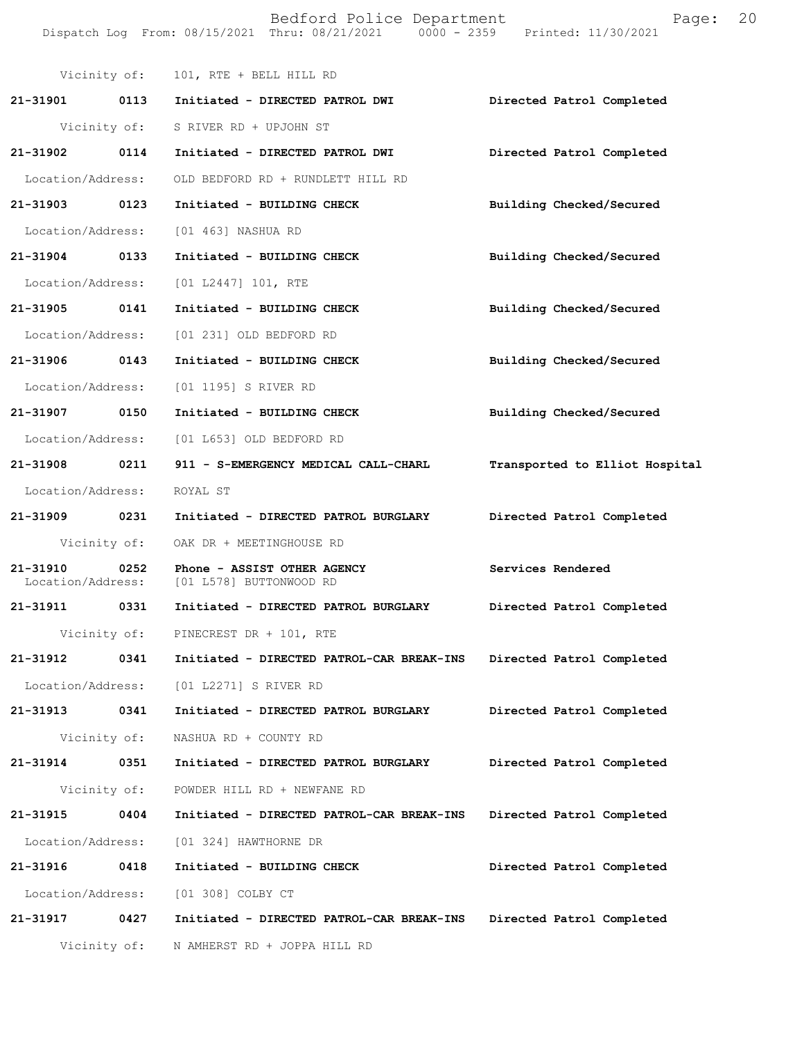Bedford Police Department Fage: 20 Dispatch Log From: 08/15/2021 Thru: 08/21/2021 0000 - 2359 Printed: 11/30/2021

|                   | Vicinity of: | 101, RTE + BELL HILL RD                                                           |                                |
|-------------------|--------------|-----------------------------------------------------------------------------------|--------------------------------|
| 21-31901 0113     |              | Initiated - DIRECTED PATROL DWI                                                   | Directed Patrol Completed      |
|                   |              | Vicinity of: S RIVER RD + UPJOHN ST                                               |                                |
| 21-31902          | 0114         | Initiated - DIRECTED PATROL DWI                                                   | Directed Patrol Completed      |
|                   |              | Location/Address: OLD BEDFORD RD + RUNDLETT HILL RD                               |                                |
| 21-31903 0123     |              | Initiated - BUILDING CHECK                                                        | Building Checked/Secured       |
|                   |              | Location/Address: [01 463] NASHUA RD                                              |                                |
| 21-31904 0133     |              | Initiated - BUILDING CHECK                                                        | Building Checked/Secured       |
|                   |              | Location/Address: [01 L2447] 101, RTE                                             |                                |
| 21-31905          | 0141         | Initiated - BUILDING CHECK                                                        | Building Checked/Secured       |
|                   |              | Location/Address: [01 231] OLD BEDFORD RD                                         |                                |
| 21-31906 0143     |              | Initiated - BUILDING CHECK                                                        | Building Checked/Secured       |
|                   |              | Location/Address: [01 1195] S RIVER RD                                            |                                |
| 21-31907 0150     |              | Initiated - BUILDING CHECK                                                        | Building Checked/Secured       |
|                   |              | Location/Address: [01 L653] OLD BEDFORD RD                                        |                                |
| 21-31908          | 0211         | 911 - S-EMERGENCY MEDICAL CALL-CHARL                                              | Transported to Elliot Hospital |
| Location/Address: |              | ROYAL ST                                                                          |                                |
| 21-31909 0231     |              | Initiated - DIRECTED PATROL BURGLARY                                              | Directed Patrol Completed      |
|                   |              | Vicinity of: OAK DR + MEETINGHOUSE RD                                             |                                |
| 21-31910          | 0252         | Phone - ASSIST OTHER AGENCY<br>Location/Address: [01 L578] BUTTONWOOD RD          | Services Rendered              |
| 21-31911 0331     |              | Initiated - DIRECTED PATROL BURGLARY                                              | Directed Patrol Completed      |
|                   |              | Vicinity of: PINECREST DR + 101, RTE                                              |                                |
|                   |              | 21-31912 0341 Initiated - DIRECTED PATROL-CAR BREAK-INS Directed Patrol Completed |                                |
|                   |              | Location/Address: [01 L2271] S RIVER RD                                           |                                |
| 21-31913 0341     |              | Initiated - DIRECTED PATROL BURGLARY                                              | Directed Patrol Completed      |
|                   |              | Vicinity of: NASHUA RD + COUNTY RD                                                |                                |
| 21-31914 0351     |              | Initiated - DIRECTED PATROL BURGLARY                                              | Directed Patrol Completed      |
|                   |              | Vicinity of: POWDER HILL RD + NEWFANE RD                                          |                                |
| 21-31915          | 0404         | Initiated - DIRECTED PATROL-CAR BREAK-INS                                         | Directed Patrol Completed      |
|                   |              | Location/Address: [01 324] HAWTHORNE DR                                           |                                |
| 21-31916          | 0418         | Initiated - BUILDING CHECK                                                        | Directed Patrol Completed      |
|                   |              | Location/Address: [01 308] COLBY CT                                               |                                |
| 21-31917 0427     |              | Initiated - DIRECTED PATROL-CAR BREAK-INS                                         | Directed Patrol Completed      |
|                   |              | Vicinity of: N AMHERST RD + JOPPA HILL RD                                         |                                |
|                   |              |                                                                                   |                                |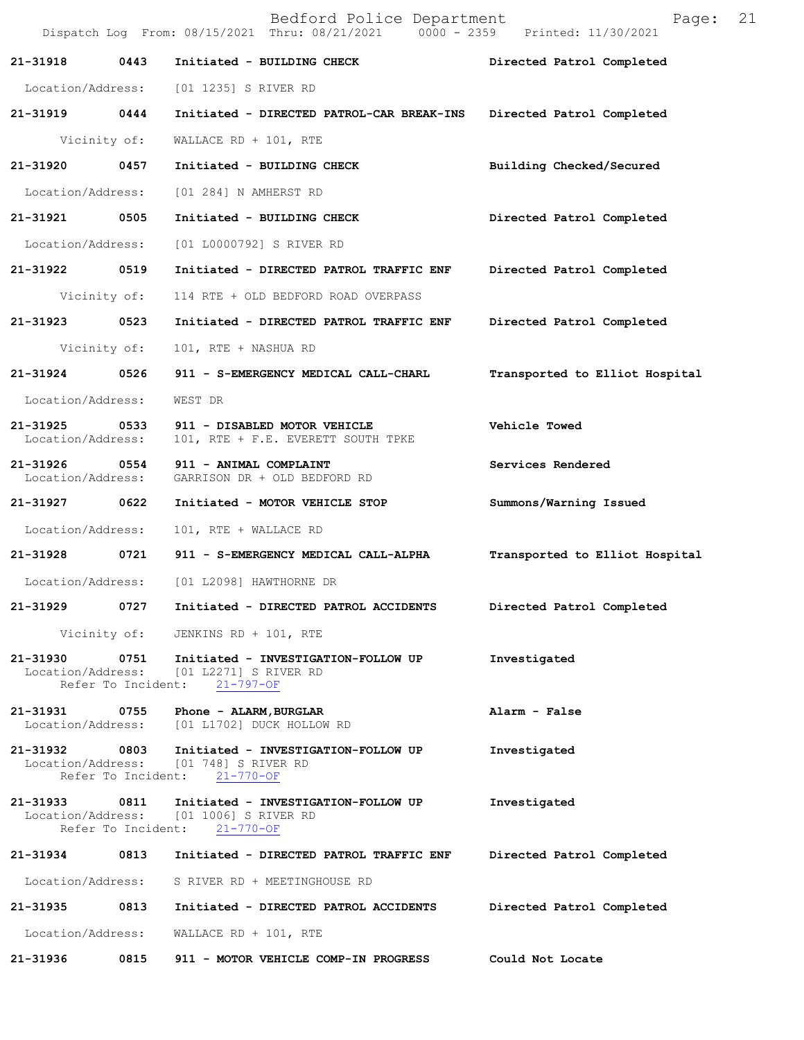|                               |      | Bedford Police Department<br>Dispatch Log From: 08/15/2021 Thru: 08/21/2021 0000 - 2359 Printed: 11/30/2021                  | 21<br>Page:                    |
|-------------------------------|------|------------------------------------------------------------------------------------------------------------------------------|--------------------------------|
| 21-31918                      | 0443 | Initiated - BUILDING CHECK                                                                                                   | Directed Patrol Completed      |
| Location/Address:             |      | [01 1235] S RIVER RD                                                                                                         |                                |
| 21-31919 0444                 |      | Initiated - DIRECTED PATROL-CAR BREAK-INS                                                                                    | Directed Patrol Completed      |
| Vicinity of:                  |      | WALLACE RD + $101$ , RTE                                                                                                     |                                |
| 21-31920                      | 0457 | Initiated - BUILDING CHECK                                                                                                   | Building Checked/Secured       |
| Location/Address:             |      | [01 284] N AMHERST RD                                                                                                        |                                |
| 21-31921                      | 0505 | Initiated - BUILDING CHECK                                                                                                   | Directed Patrol Completed      |
| Location/Address:             |      | [01 L0000792] S RIVER RD                                                                                                     |                                |
| 21-31922 0519                 |      | Initiated - DIRECTED PATROL TRAFFIC ENF                                                                                      | Directed Patrol Completed      |
| Vicinity of:                  |      | 114 RTE + OLD BEDFORD ROAD OVERPASS                                                                                          |                                |
| 21-31923 0523                 |      | Initiated - DIRECTED PATROL TRAFFIC ENF                                                                                      | Directed Patrol Completed      |
| Vicinity of:                  |      | 101, RTE + NASHUA RD                                                                                                         |                                |
| 21-31924                      | 0526 | 911 - S-EMERGENCY MEDICAL CALL-CHARL                                                                                         | Transported to Elliot Hospital |
| Location/Address:             |      | WEST DR                                                                                                                      |                                |
| 21-31925<br>Location/Address: | 0533 | 911 - DISABLED MOTOR VEHICLE<br>101, RTE + F.E. EVERETT SOUTH TPKE                                                           | Vehicle Towed                  |
| 21-31926<br>Location/Address: | 0554 | 911 - ANIMAL COMPLAINT<br>GARRISON DR + OLD BEDFORD RD                                                                       | Services Rendered              |
| 21-31927                      | 0622 | Initiated - MOTOR VEHICLE STOP                                                                                               | Summons/Warning Issued         |
| Location/Address:             |      | 101, RTE + WALLACE RD                                                                                                        |                                |
| 21-31928 0721                 |      | 911 - S-EMERGENCY MEDICAL CALL-ALPHA                                                                                         | Transported to Elliot Hospital |
|                               |      | Location/Address: [01 L2098] HAWTHORNE DR                                                                                    |                                |
| 21-31929                      | 0727 | Initiated - DIRECTED PATROL ACCIDENTS                                                                                        | Directed Patrol Completed      |
|                               |      | Vicinity of: JENKINS RD + 101, RTE                                                                                           |                                |
|                               |      | 21-31930 0751 Initiated - INVESTIGATION-FOLLOW UP<br>Location/Address: [01 L2271] S RIVER RD<br>Refer To Incident: 21-797-OF | Investigated                   |
|                               |      | 21-31931 0755 Phone - ALARM, BURGLAR<br>Location/Address: [01 L1702] DUCK HOLLOW RD                                          | Alarm - False                  |
|                               |      | 21-31932 0803 Initiated - INVESTIGATION-FOLLOW UP<br>Location/Address: [01 748] S RIVER RD<br>Refer To Incident: 21-770-OF   | Investigated                   |
|                               |      | 21-31933 0811 Initiated - INVESTIGATION-FOLLOW UP<br>Location/Address: [01 1006] S RIVER RD<br>Refer To Incident: 21-770-OF  | Investigated                   |
| 21-31934                      |      | 0813 Initiated - DIRECTED PATROL TRAFFIC ENF Directed Patrol Completed                                                       |                                |
|                               |      | Location/Address: S RIVER RD + MEETINGHOUSE RD                                                                               |                                |
|                               |      | 21-31935 0813 Initiated - DIRECTED PATROL ACCIDENTS Directed Patrol Completed                                                |                                |
|                               |      | Location/Address: WALLACE RD + 101, RTE                                                                                      |                                |
|                               |      | 21-31936 0815 911 - MOTOR VEHICLE COMP-IN PROGRESS Could Not Locate                                                          |                                |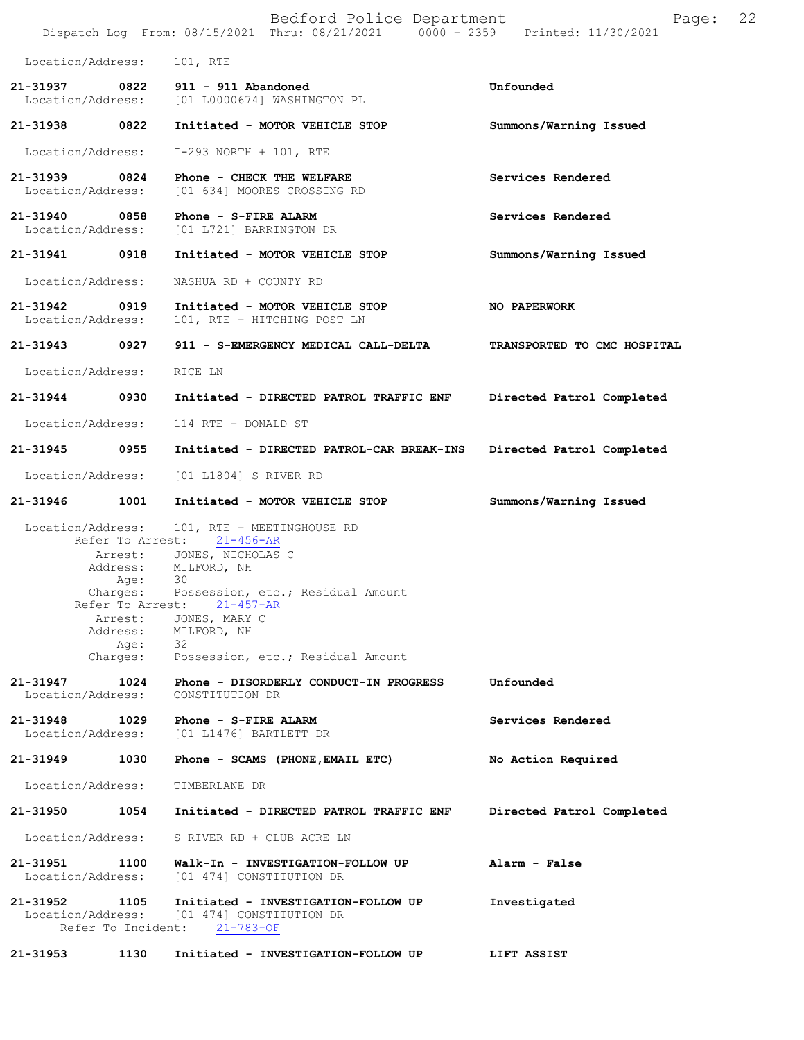|                               |                                                                                                     | Bedford Police Department<br>Dispatch Log From: 08/15/2021 Thru: 08/21/2021 0000 - 2359 Printed: 11/30/2021                                                                              | Page:                       | 22 |
|-------------------------------|-----------------------------------------------------------------------------------------------------|------------------------------------------------------------------------------------------------------------------------------------------------------------------------------------------|-----------------------------|----|
| Location/Address:             |                                                                                                     | 101, RTE                                                                                                                                                                                 |                             |    |
| 21-31937<br>Location/Address: | 0822                                                                                                | 911 - 911 Abandoned<br>[01 L0000674] WASHINGTON PL                                                                                                                                       | Unfounded                   |    |
| 21-31938 0822                 |                                                                                                     | Initiated - MOTOR VEHICLE STOP                                                                                                                                                           | Summons/Warning Issued      |    |
| Location/Address:             |                                                                                                     | $I-293$ NORTH + 101, RTE                                                                                                                                                                 |                             |    |
| 21-31939<br>Location/Address: | 0824                                                                                                | Phone - CHECK THE WELFARE<br>[01 634] MOORES CROSSING RD                                                                                                                                 | Services Rendered           |    |
| 21-31940<br>Location/Address: | 0858                                                                                                | Phone - S-FIRE ALARM<br>[01 L721] BARRINGTON DR                                                                                                                                          | Services Rendered           |    |
| 21-31941 0918                 |                                                                                                     | Initiated - MOTOR VEHICLE STOP                                                                                                                                                           | Summons/Warning Issued      |    |
| Location/Address:             |                                                                                                     | NASHUA RD + COUNTY RD                                                                                                                                                                    |                             |    |
| 21-31942<br>Location/Address: | 0919                                                                                                | Initiated - MOTOR VEHICLE STOP<br>101, RTE + HITCHING POST LN                                                                                                                            | NO PAPERWORK                |    |
| 21-31943 0927                 |                                                                                                     | 911 - S-EMERGENCY MEDICAL CALL-DELTA                                                                                                                                                     | TRANSPORTED TO CMC HOSPITAL |    |
| Location/Address:             |                                                                                                     | RICE LN                                                                                                                                                                                  |                             |    |
| 21-31944                      | 0930                                                                                                | Initiated - DIRECTED PATROL TRAFFIC ENF                                                                                                                                                  | Directed Patrol Completed   |    |
| Location/Address:             |                                                                                                     | 114 RTE + DONALD ST                                                                                                                                                                      |                             |    |
| 21-31945                      | 0955                                                                                                | Initiated - DIRECTED PATROL-CAR BREAK-INS                                                                                                                                                | Directed Patrol Completed   |    |
| Location/Address:             |                                                                                                     | [01 L1804] S RIVER RD                                                                                                                                                                    |                             |    |
| 21-31946                      | 1001                                                                                                | Initiated - MOTOR VEHICLE STOP                                                                                                                                                           | Summons/Warning Issued      |    |
| Location/Address:             | Refer To Arrest:<br>Address:<br>Aqe:<br>Charges:<br>Refer To Arrest:<br>Arrest:<br>Address:<br>Age: | 101, RTE + MEETINGHOUSE RD<br>21-456-AR<br>Arrest: JONES, NICHOLAS C<br>MILFORD, NH<br>30<br>Possession, etc.; Residual Amount<br>$21 - 457 - AR$<br>JONES, MARY C<br>MILFORD, NH<br>-32 |                             |    |
|                               | Charges:                                                                                            | Possession, etc.; Residual Amount                                                                                                                                                        |                             |    |
| 21-31947<br>Location/Address: | 1024                                                                                                | Phone - DISORDERLY CONDUCT-IN PROGRESS<br>CONSTITUTION DR                                                                                                                                | Unfounded                   |    |
| 21-31948<br>Location/Address: | 1029                                                                                                | Phone - S-FIRE ALARM<br>[01 L1476] BARTLETT DR                                                                                                                                           | Services Rendered           |    |
| 21-31949                      | 1030                                                                                                | Phone - SCAMS (PHONE, EMAIL ETC)                                                                                                                                                         | No Action Required          |    |
| Location/Address:             |                                                                                                     | TIMBERLANE DR                                                                                                                                                                            |                             |    |
| 21-31950                      | 1054                                                                                                | Initiated - DIRECTED PATROL TRAFFIC ENF                                                                                                                                                  | Directed Patrol Completed   |    |
| Location/Address:             |                                                                                                     | S RIVER RD + CLUB ACRE LN                                                                                                                                                                |                             |    |
| 21-31951<br>Location/Address: | 1100                                                                                                | Walk-In - INVESTIGATION-FOLLOW UP<br>[01 474] CONSTITUTION DR                                                                                                                            | Alarm - False               |    |
| 21-31952<br>Location/Address: | 1105                                                                                                | Initiated - INVESTIGATION-FOLLOW UP<br>[01 474] CONSTITUTION DR<br>Refer To Incident: 21-783-OF                                                                                          | Investigated                |    |
| 21-31953                      | 1130                                                                                                | Initiated - INVESTIGATION-FOLLOW UP                                                                                                                                                      | LIFT ASSIST                 |    |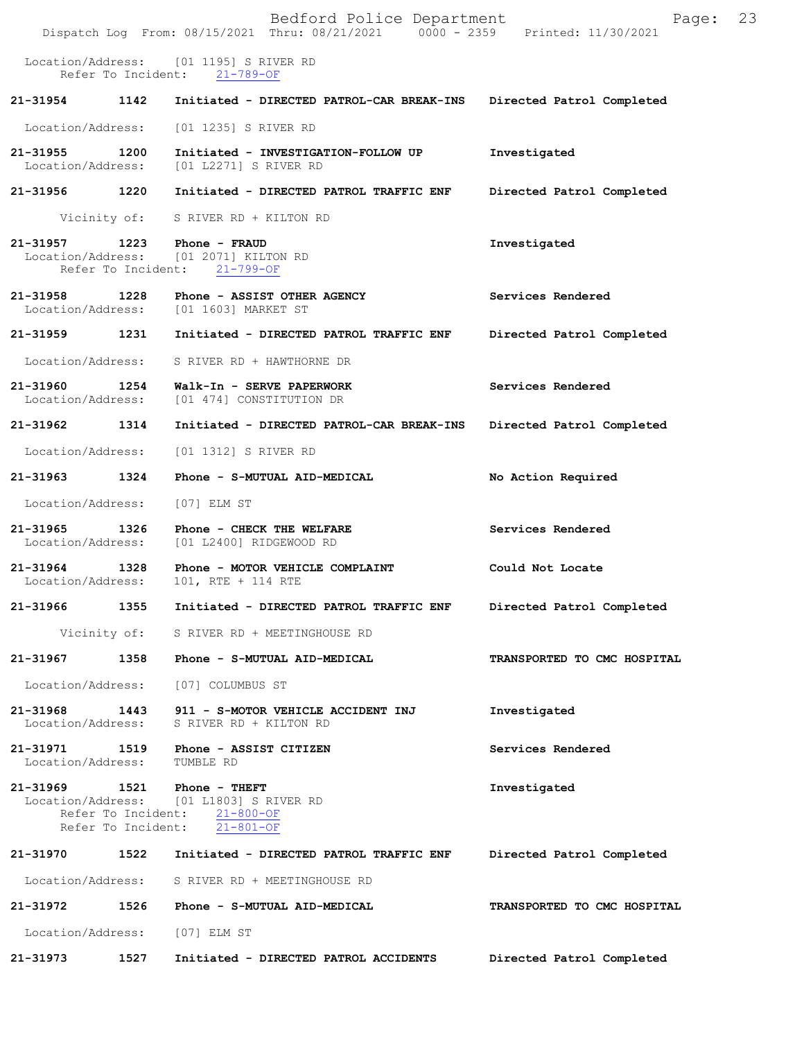Bedford Police Department Fage: 23 Dispatch Log From: 08/15/2021 Thru: 08/21/2021 0000 - 2359 Printed: 11/30/2021 Location/Address: [01 1195] S RIVER RD<br>Refer To Incident: 21-789-OF Refer To Incident: **21-31954 1142 Initiated - DIRECTED PATROL-CAR BREAK-INS Directed Patrol Completed**  Location/Address: [01 1235] S RIVER RD **21-31955 1200 Initiated - INVESTIGATION-FOLLOW UP Investigated**  Location/Address: [01 L2271] S RIVER RD **21-31956 1220 Initiated - DIRECTED PATROL TRAFFIC ENF Directed Patrol Completed**  Vicinity of: S RIVER RD + KILTON RD **21-31957 1223 Phone - FRAUD Investigated**  [01 2071] KILTON RD Refer To Incident: 21-799-OF 21-31958 1228 Phone - ASSIST OTHER AGENCY **Services Rendered Location/Address:** [01 1603] MARKET ST Location/Address: [01 1603] MARKET ST **21-31959 1231 Initiated - DIRECTED PATROL TRAFFIC ENF Directed Patrol Completed**  Location/Address: S RIVER RD + HAWTHORNE DR **21-31960 1254 Walk-In - SERVE PAPERWORK Services Rendered**  Location/Address: [01 474] CONSTITUTION DR **21-31962 1314 Initiated - DIRECTED PATROL-CAR BREAK-INS Directed Patrol Completed**  Location/Address: [01 1312] S RIVER RD **21-31963 1324 Phone - S-MUTUAL AID-MEDICAL No Action Required**  Location/Address: [07] ELM ST **21-31965 1326 Phone - CHECK THE WELFARE Services Rendered Iocation/Address:** [01 L2400] RIDGEWOOD RD [01 L2400] RIDGEWOOD RD **21-31964 1328 Phone - MOTOR VEHICLE COMPLAINT Could Not Locate**  Location/Address: 101, RTE + 114 RTE **21-31966 1355 Initiated - DIRECTED PATROL TRAFFIC ENF Directed Patrol Completed**  Vicinity of: S RIVER RD + MEETINGHOUSE RD **21-31967 1358 Phone - S-MUTUAL AID-MEDICAL TRANSPORTED TO CMC HOSPITAL**  Location/Address: [07] COLUMBUS ST **21-31968 1443 911 - S-MOTOR VEHICLE ACCIDENT INJ Investigated**  Location/Address: S RIVER RD + KILTON RD **21-31971 1519 Phone - ASSIST CITIZEN Services Rendered**  Location/Address: TUMBLE RD **21-31969 1521 Phone - THEFT Investigated**  Location/Address: [01 L1803] S RIVER RD Refer To Incident: 21-800-OF Refer To Incident: 21-801-OF **21-31970 1522 Initiated - DIRECTED PATROL TRAFFIC ENF Directed Patrol Completed**  Location/Address: S RIVER RD + MEETINGHOUSE RD **21-31972 1526 Phone - S-MUTUAL AID-MEDICAL TRANSPORTED TO CMC HOSPITAL**  Location/Address: [07] ELM ST **21-31973 1527 Initiated - DIRECTED PATROL ACCIDENTS Directed Patrol Completed**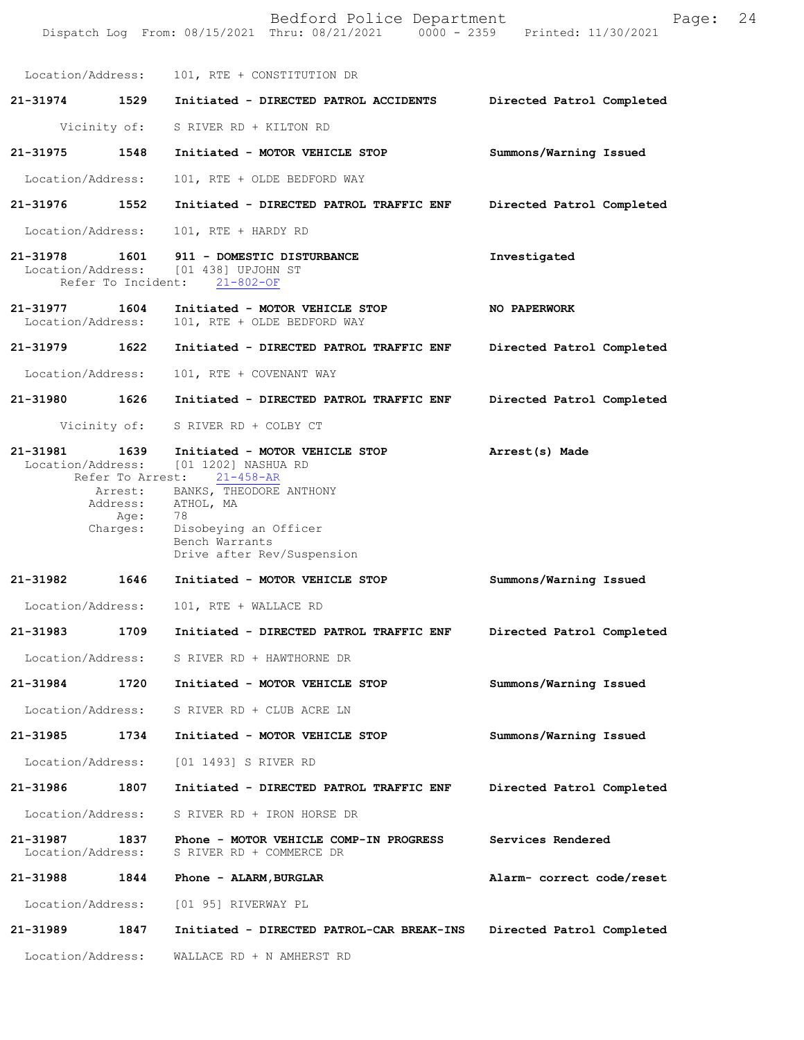|                               |                  | Bedford Police Department<br>Dispatch Log From: 08/15/2021 Thru: 08/21/2021 0000 - 2359 Printed: 11/30/2021                                            | Page:                     | 24 |
|-------------------------------|------------------|--------------------------------------------------------------------------------------------------------------------------------------------------------|---------------------------|----|
|                               |                  | Location/Address: 101, RTE + CONSTITUTION DR                                                                                                           |                           |    |
|                               |                  | 21-31974 1529 Initiated - DIRECTED PATROL ACCIDENTS                                                                                                    | Directed Patrol Completed |    |
|                               |                  | Vicinity of: S RIVER RD + KILTON RD                                                                                                                    |                           |    |
| 21-31975                      | 1548             | Initiated - MOTOR VEHICLE STOP                                                                                                                         | Summons/Warning Issued    |    |
| Location/Address:             |                  | 101, RTE + OLDE BEDFORD WAY                                                                                                                            |                           |    |
|                               |                  | 21-31976  1552  Initiated - DIRECTED PATROL TRAFFIC ENF                                                                                                | Directed Patrol Completed |    |
| Location/Address:             |                  | 101, RTE + HARDY RD                                                                                                                                    |                           |    |
|                               |                  | 21-31978    1601    911 - DOMESTIC DISTURBANCE<br>Location/Address: [01 438] UPJOHN ST<br>Refer To Incident: 21-802-OF                                 | Investigated              |    |
| 21-31977<br>Location/Address: |                  | 1604 Initiated - MOTOR VEHICLE STOP<br>101, RTE + OLDE BEDFORD WAY                                                                                     | NO PAPERWORK              |    |
| 21-31979 1622                 |                  | Initiated - DIRECTED PATROL TRAFFIC ENF                                                                                                                | Directed Patrol Completed |    |
| Location/Address:             |                  | 101, RTE + COVENANT WAY                                                                                                                                |                           |    |
| 21-31980 1626                 |                  | Initiated - DIRECTED PATROL TRAFFIC ENF                                                                                                                | Directed Patrol Completed |    |
|                               |                  | Vicinity of: S RIVER RD + COLBY CT                                                                                                                     |                           |    |
|                               |                  | 21-31981 1639 Initiated - MOTOR VEHICLE STOP<br>Location/Address: [01 1202] NASHUA RD<br>Refer To Arrest: 21-458-AR<br>Arrest: BANKS, THEODORE ANTHONY | Arrest(s) Made            |    |
|                               | Age:<br>Charges: | Address: ATHOL, MA<br>78<br>Disobeying an Officer<br>Bench Warrants<br>Drive after Rev/Suspension                                                      |                           |    |
| 21-31982                      | 1646             | Initiated - MOTOR VEHICLE STOP                                                                                                                         | Summons/Warning Issued    |    |
| Location/Address:             |                  | 101, RTE + WALLACE RD                                                                                                                                  |                           |    |
| 21-31983                      | 1709             | Initiated - DIRECTED PATROL TRAFFIC ENF                                                                                                                | Directed Patrol Completed |    |
| Location/Address:             |                  | S RIVER RD + HAWTHORNE DR                                                                                                                              |                           |    |
| 21-31984                      | 1720             | Initiated - MOTOR VEHICLE STOP                                                                                                                         | Summons/Warning Issued    |    |
| Location/Address:             |                  | S RIVER RD + CLUB ACRE LN                                                                                                                              |                           |    |
| 21-31985                      | 1734             | Initiated - MOTOR VEHICLE STOP                                                                                                                         | Summons/Warning Issued    |    |
| Location/Address:             |                  | [01 1493] S RIVER RD                                                                                                                                   |                           |    |
| 21-31986                      | 1807             | Initiated - DIRECTED PATROL TRAFFIC ENF                                                                                                                | Directed Patrol Completed |    |
| Location/Address:             |                  | S RIVER RD + IRON HORSE DR                                                                                                                             |                           |    |
| 21-31987<br>Location/Address: | 1837             | Phone - MOTOR VEHICLE COMP-IN PROGRESS<br>S RIVER RD + COMMERCE DR                                                                                     | Services Rendered         |    |
| 21-31988                      | 1844             | Phone - ALARM, BURGLAR                                                                                                                                 | Alarm- correct code/reset |    |
| Location/Address:             |                  | [01 95] RIVERWAY PL                                                                                                                                    |                           |    |
| 21-31989                      | 1847             | Initiated - DIRECTED PATROL-CAR BREAK-INS                                                                                                              | Directed Patrol Completed |    |
| Location/Address:             |                  | WALLACE RD + N AMHERST RD                                                                                                                              |                           |    |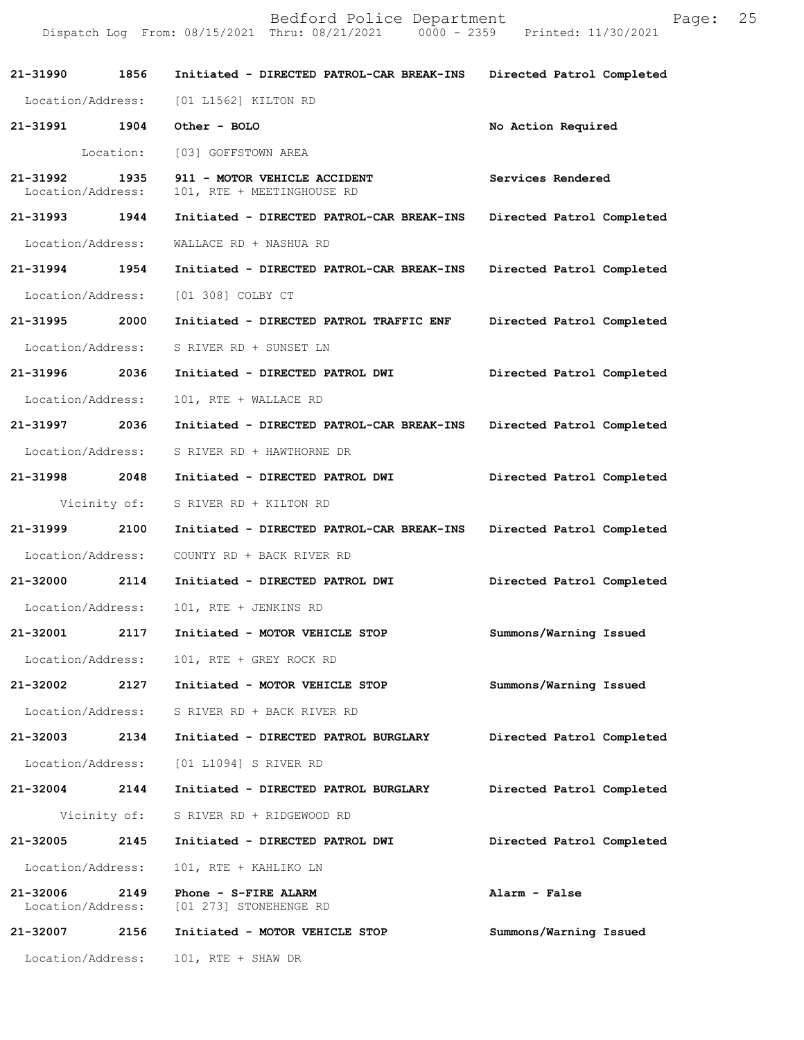|                                    |      | Dispatch Log From: 08/15/2021 Thru: 08/21/2021 0000 - 2359 Printed: 11/30/2021 |                           |
|------------------------------------|------|--------------------------------------------------------------------------------|---------------------------|
| 21-31990 1856                      |      | Initiated - DIRECTED PATROL-CAR BREAK-INS Directed Patrol Completed            |                           |
|                                    |      | Location/Address: [01 L1562] KILTON RD                                         |                           |
| 21-31991 1904                      |      | Other - BOLO                                                                   | No Action Required        |
|                                    |      | Location: [03] GOFFSTOWN AREA                                                  |                           |
| 21-31992 1935<br>Location/Address: |      | 911 - MOTOR VEHICLE ACCIDENT<br>101, RTE + MEETINGHOUSE RD                     | Services Rendered         |
| 21-31993 1944                      |      | Initiated - DIRECTED PATROL-CAR BREAK-INS Directed Patrol Completed            |                           |
| Location/Address:                  |      | WALLACE RD + NASHUA RD                                                         |                           |
| 21-31994 1954                      |      | Initiated - DIRECTED PATROL-CAR BREAK-INS Directed Patrol Completed            |                           |
| Location/Address:                  |      | [01 308] COLBY CT                                                              |                           |
| 21-31995 2000                      |      | Initiated - DIRECTED PATROL TRAFFIC ENF Directed Patrol Completed              |                           |
| Location/Address:                  |      | S RIVER RD + SUNSET LN                                                         |                           |
| 21-31996 2036                      |      | Initiated - DIRECTED PATROL DWI Directed Patrol Completed                      |                           |
| Location/Address:                  |      | 101, RTE + WALLACE RD                                                          |                           |
| 21-31997 2036                      |      | Initiated - DIRECTED PATROL-CAR BREAK-INS Directed Patrol Completed            |                           |
| Location/Address:                  |      | S RIVER RD + HAWTHORNE DR                                                      |                           |
| 21-31998 2048                      |      | Initiated - DIRECTED PATROL DWI                                                | Directed Patrol Completed |
|                                    |      | Vicinity of: S RIVER RD + KILTON RD                                            |                           |
| 21-31999 2100                      |      | Initiated - DIRECTED PATROL-CAR BREAK-INS Directed Patrol Completed            |                           |
|                                    |      | Location/Address: COUNTY RD + BACK RIVER RD                                    |                           |
| 21-32000 2114                      |      | Initiated - DIRECTED PATROL DWI                                                | Directed Patrol Completed |
| Location/Address:                  |      | 101, RTE + JENKINS RD                                                          |                           |
| 21-32001                           | 2117 | Initiated - MOTOR VEHICLE STOP                                                 | Summons/Warning Issued    |
| Location/Address:                  |      | 101, RTE + GREY ROCK RD                                                        |                           |
| 21-32002                           | 2127 | Initiated - MOTOR VEHICLE STOP                                                 | Summons/Warning Issued    |
| Location/Address:                  |      | S RIVER RD + BACK RIVER RD                                                     |                           |
| 21-32003 2134                      |      | Initiated - DIRECTED PATROL BURGLARY                                           | Directed Patrol Completed |
| Location/Address:                  |      | [01 L1094] S RIVER RD                                                          |                           |
| 21-32004 2144                      |      | Initiated - DIRECTED PATROL BURGLARY                                           | Directed Patrol Completed |
|                                    |      | Vicinity of: S RIVER RD + RIDGEWOOD RD                                         |                           |
| 21-32005                           | 2145 | Initiated - DIRECTED PATROL DWI                                                | Directed Patrol Completed |
| Location/Address:                  |      | 101, RTE + KAHLIKO LN                                                          |                           |
| 21-32006<br>Location/Address:      | 2149 | Phone - S-FIRE ALARM<br>[01 273] STONEHENGE RD                                 | Alarm - False             |
| 21-32007                           | 2156 | Initiated - MOTOR VEHICLE STOP                                                 | Summons/Warning Issued    |
| Location/Address:                  |      | $101$ , RTE + SHAW DR                                                          |                           |

Bedford Police Department Fage: 25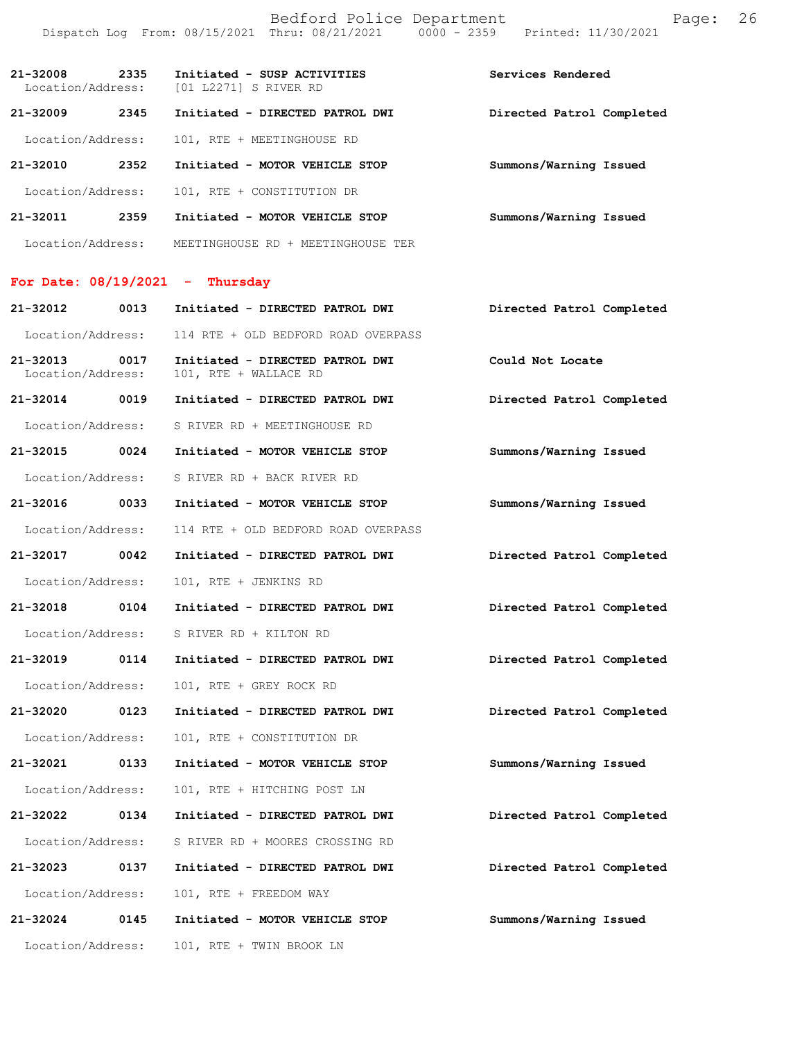| $21 - 32008$<br>Location/Address: | 2335 | Initiated - SUSP ACTIVITIES<br>[01 L2271] S RIVER RD | Services Rendered         |
|-----------------------------------|------|------------------------------------------------------|---------------------------|
| $21 - 32009$                      | 2345 | Initiated - DIRECTED PATROL DWI                      | Directed Patrol Completed |
| Location/Address:                 |      | 101, RTE + MEETINGHOUSE RD                           |                           |
| $21 - 32010$                      | 2352 | Initiated - MOTOR VEHICLE STOP                       | Summons/Warning Issued    |
| Location/Address:                 |      | 101, RTE + CONSTITUTION DR                           |                           |
| 21-32011                          | 2359 | Initiated - MOTOR VEHICLE STOP                       | Summons/Warning Issued    |
| Location/Address:                 |      | MEETINGHOUSE RD + MEETINGHOUSE TER                   |                           |

| For Date: 08/19/2021 |  |  | Thursday |
|----------------------|--|--|----------|
|                      |  |  |          |

| 21-32012                          | 0013 | Initiated - DIRECTED PATROL DWI                          | Directed Patrol Completed |
|-----------------------------------|------|----------------------------------------------------------|---------------------------|
| Location/Address:                 |      | 114 RTE + OLD BEDFORD ROAD OVERPASS                      |                           |
| $21 - 32013$<br>Location/Address: | 0017 | Initiated - DIRECTED PATROL DWI<br>101, RTE + WALLACE RD | Could Not Locate          |
| 21-32014 0019                     |      | Initiated - DIRECTED PATROL DWI                          | Directed Patrol Completed |
| Location/Address:                 |      | S RIVER RD + MEETINGHOUSE RD                             |                           |
| 21-32015 0024                     |      | Initiated - MOTOR VEHICLE STOP                           | Summons/Warning Issued    |
| Location/Address:                 |      | S RIVER RD + BACK RIVER RD                               |                           |
| 21-32016 0033                     |      | Initiated - MOTOR VEHICLE STOP                           | Summons/Warning Issued    |
| Location/Address:                 |      | 114 RTE + OLD BEDFORD ROAD OVERPASS                      |                           |
| 21-32017 0042                     |      | Initiated - DIRECTED PATROL DWI                          | Directed Patrol Completed |
| Location/Address:                 |      | 101, RTE + JENKINS RD                                    |                           |
| 21-32018 0104                     |      | Initiated - DIRECTED PATROL DWI                          | Directed Patrol Completed |
| Location/Address:                 |      | S RIVER RD + KILTON RD                                   |                           |
| 21-32019 0114                     |      | Initiated - DIRECTED PATROL DWI                          | Directed Patrol Completed |
| Location/Address:                 |      | 101, RTE + GREY ROCK RD                                  |                           |
| 21-32020 0123                     |      | Initiated - DIRECTED PATROL DWI                          | Directed Patrol Completed |
| Location/Address:                 |      | 101, RTE + CONSTITUTION DR                               |                           |
| 21-32021 0133                     |      | Initiated - MOTOR VEHICLE STOP                           | Summons/Warning Issued    |
| Location/Address:                 |      | 101, RTE + HITCHING POST LN                              |                           |
| 21-32022 0134                     |      | Initiated - DIRECTED PATROL DWI                          | Directed Patrol Completed |
| Location/Address:                 |      | S RIVER RD + MOORES CROSSING RD                          |                           |
| 21-32023 0137                     |      | Initiated - DIRECTED PATROL DWI                          | Directed Patrol Completed |
| Location/Address:                 |      | 101, RTE + FREEDOM WAY                                   |                           |
| 21-32024 0145                     |      | Initiated - MOTOR VEHICLE STOP                           | Summons/Warning Issued    |
| Location/Address:                 |      | 101, RTE + TWIN BROOK LN                                 |                           |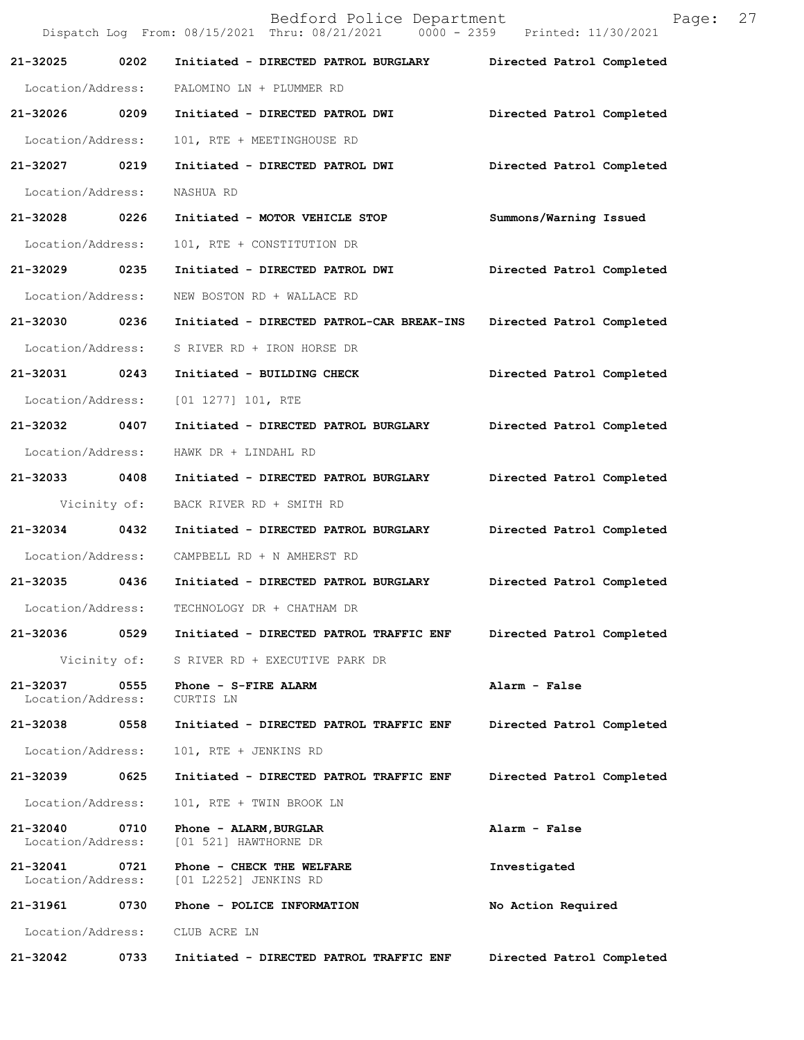|                               |              | Bedford Police Department<br>Dispatch Log From: 08/15/2021 Thru: 08/21/2021   0000 - 2359   Printed: 11/30/2021 | Page:                     | 27 |
|-------------------------------|--------------|-----------------------------------------------------------------------------------------------------------------|---------------------------|----|
| 21-32025 0202                 |              | Initiated - DIRECTED PATROL BURGLARY Directed Patrol Completed                                                  |                           |    |
|                               |              | Location/Address: PALOMINO LN + PLUMMER RD                                                                      |                           |    |
| 21-32026 0209                 |              | Initiated - DIRECTED PATROL DWI                                                                                 | Directed Patrol Completed |    |
| Location/Address:             |              | 101, RTE + MEETINGHOUSE RD                                                                                      |                           |    |
| 21-32027 0219                 |              | Initiated - DIRECTED PATROL DWI                                                                                 | Directed Patrol Completed |    |
| Location/Address:             |              | NASHUA RD                                                                                                       |                           |    |
| 21-32028 0226                 |              | Initiated - MOTOR VEHICLE STOP                                                                                  | Summons/Warning Issued    |    |
| Location/Address:             |              | 101, RTE + CONSTITUTION DR                                                                                      |                           |    |
| 21-32029 0235                 |              | Initiated - DIRECTED PATROL DWI                                                                                 | Directed Patrol Completed |    |
| Location/Address:             |              | NEW BOSTON RD + WALLACE RD                                                                                      |                           |    |
| 21-32030 0236                 |              | Initiated - DIRECTED PATROL-CAR BREAK-INS                                                                       | Directed Patrol Completed |    |
| Location/Address:             |              | S RIVER RD + IRON HORSE DR                                                                                      |                           |    |
| 21-32031 0243                 |              | Initiated - BUILDING CHECK                                                                                      | Directed Patrol Completed |    |
| Location/Address:             |              | [01 1277] 101, RTE                                                                                              |                           |    |
| 21-32032 0407                 |              | Initiated - DIRECTED PATROL BURGLARY                                                                            | Directed Patrol Completed |    |
| Location/Address:             |              | HAWK DR + LINDAHL RD                                                                                            |                           |    |
| 21-32033 0408                 |              | Initiated - DIRECTED PATROL BURGLARY                                                                            | Directed Patrol Completed |    |
| Vicinity of:                  |              | BACK RIVER RD + SMITH RD                                                                                        |                           |    |
| 21-32034 0432                 |              | Initiated - DIRECTED PATROL BURGLARY                                                                            | Directed Patrol Completed |    |
|                               |              | Location/Address: CAMPBELL RD + N AMHERST RD                                                                    |                           |    |
| 21-32035                      | 0436         | Initiated - DIRECTED PATROL BURGLARY Directed Patrol Completed                                                  |                           |    |
| Location/Address:             |              | TECHNOLOGY DR + CHATHAM DR                                                                                      |                           |    |
| 21-32036                      | 0529         | Initiated - DIRECTED PATROL TRAFFIC ENF                                                                         | Directed Patrol Completed |    |
|                               | Vicinity of: | S RIVER RD + EXECUTIVE PARK DR                                                                                  |                           |    |
| 21-32037<br>Location/Address: | 0555         | Phone - S-FIRE ALARM<br>CURTIS LN                                                                               | Alarm - False             |    |
| 21-32038                      | 0558         | Initiated - DIRECTED PATROL TRAFFIC ENF                                                                         | Directed Patrol Completed |    |
| Location/Address:             |              | 101, RTE + JENKINS RD                                                                                           |                           |    |
| 21-32039                      | 0625         | Initiated - DIRECTED PATROL TRAFFIC ENF                                                                         | Directed Patrol Completed |    |
| Location/Address:             |              | 101, RTE + TWIN BROOK LN                                                                                        |                           |    |
| 21-32040<br>Location/Address: | 0710         | Phone - ALARM, BURGLAR<br>[01 521] HAWTHORNE DR                                                                 | Alarm - False             |    |
| 21-32041<br>Location/Address: | 0721         | Phone - CHECK THE WELFARE<br>[01 L2252] JENKINS RD                                                              | Investigated              |    |
| 21-31961                      | 0730         | Phone - POLICE INFORMATION                                                                                      | No Action Required        |    |
| Location/Address:             |              | CLUB ACRE LN                                                                                                    |                           |    |
| 21-32042                      | 0733         | Initiated - DIRECTED PATROL TRAFFIC ENF                                                                         | Directed Patrol Completed |    |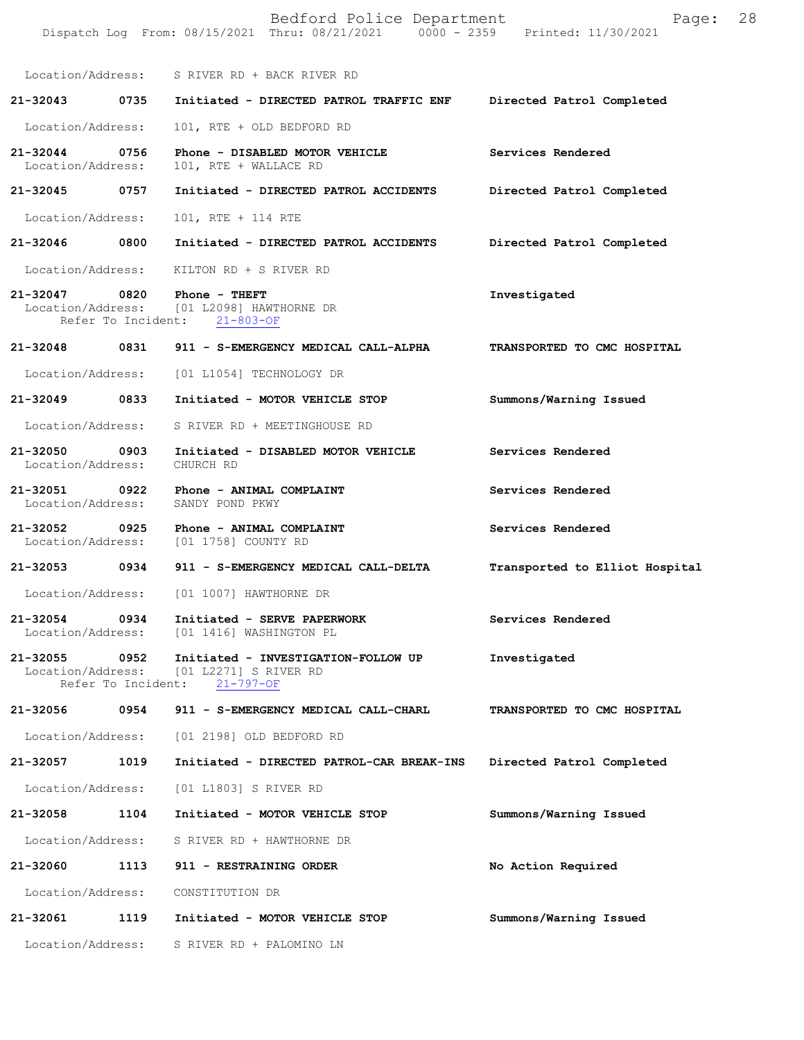|                                    |                            | Bedford Police Department<br>Dispatch Log From: 08/15/2021 Thru: 08/21/2021 0000 - 2359 Printed: 11/30/2021 | Page:                          | 28 |
|------------------------------------|----------------------------|-------------------------------------------------------------------------------------------------------------|--------------------------------|----|
|                                    |                            | Location/Address: S RIVER RD + BACK RIVER RD                                                                |                                |    |
| 21-32043                           | 0735                       | Initiated - DIRECTED PATROL TRAFFIC ENF                                                                     | Directed Patrol Completed      |    |
| Location/Address:                  |                            | 101, RTE + OLD BEDFORD RD                                                                                   |                                |    |
| 21-32044<br>Location/Address:      | 0756                       | Phone - DISABLED MOTOR VEHICLE<br>101, RTE + WALLACE RD                                                     | Services Rendered              |    |
| 21-32045 0757                      |                            | Initiated - DIRECTED PATROL ACCIDENTS                                                                       | Directed Patrol Completed      |    |
| Location/Address:                  |                            | 101, RTE + 114 RTE                                                                                          |                                |    |
| 21-32046                           | 0800                       | Initiated - DIRECTED PATROL ACCIDENTS                                                                       | Directed Patrol Completed      |    |
| Location/Address:                  |                            | KILTON RD + S RIVER RD                                                                                      |                                |    |
| 21-32047                           | 0820                       | Phone - THEFT<br>Location/Address: [01 L2098] HAWTHORNE DR<br>Refer To Incident: 21-803-OF                  | Investigated                   |    |
| 21-32048 0831                      |                            | 911 - S-EMERGENCY MEDICAL CALL-ALPHA                                                                        | TRANSPORTED TO CMC HOSPITAL    |    |
| Location/Address:                  |                            | [01 L1054] TECHNOLOGY DR                                                                                    |                                |    |
| $21 - 32049$                       | 0833                       | Initiated - MOTOR VEHICLE STOP                                                                              | Summons/Warning Issued         |    |
| Location/Address:                  |                            | S RIVER RD + MEETINGHOUSE RD                                                                                |                                |    |
| 21-32050<br>Location/Address:      | 0903                       | Initiated - DISABLED MOTOR VEHICLE<br>CHURCH RD                                                             | Services Rendered              |    |
| 21-32051 0922<br>Location/Address: |                            | Phone - ANIMAL COMPLAINT<br>SANDY POND PKWY                                                                 | Services Rendered              |    |
| 21-32052                           | 0925                       | Phone - ANIMAL COMPLAINT<br>Location/Address: [01 1758] COUNTY RD                                           | Services Rendered              |    |
| 21-32053 0934                      |                            | 911 - S-EMERGENCY MEDICAL CALL-DELTA                                                                        | Transported to Elliot Hospital |    |
| Location/Address:                  |                            | [01 1007] HAWTHORNE DR                                                                                      |                                |    |
| 21-32054<br>Location/Address:      | 0934                       | Initiated - SERVE PAPERWORK<br>[01 1416] WASHINGTON PL                                                      | Services Rendered              |    |
| 21-32055<br>Location/Address:      | 0952<br>Refer To Incident: | Initiated - INVESTIGATION-FOLLOW UP<br>[01 L2271] S RIVER RD<br>$21 - 797 - OF$                             | Investigated                   |    |
| 21-32056                           | 0954                       | 911 - S-EMERGENCY MEDICAL CALL-CHARL                                                                        | TRANSPORTED TO CMC HOSPITAL    |    |
| Location/Address:                  |                            | [01 2198] OLD BEDFORD RD                                                                                    |                                |    |
| 21-32057                           | 1019                       | Initiated - DIRECTED PATROL-CAR BREAK-INS                                                                   | Directed Patrol Completed      |    |
| Location/Address:                  |                            | [01 L1803] S RIVER RD                                                                                       |                                |    |
| 21-32058                           | 1104                       | Initiated - MOTOR VEHICLE STOP                                                                              | Summons/Warning Issued         |    |
| Location/Address:                  |                            | S RIVER RD + HAWTHORNE DR                                                                                   |                                |    |
| 21-32060                           | 1113                       | 911 - RESTRAINING ORDER                                                                                     | No Action Required             |    |
| Location/Address:                  |                            | CONSTITUTION DR                                                                                             |                                |    |
| 21-32061                           | 1119                       | Initiated - MOTOR VEHICLE STOP                                                                              | Summons/Warning Issued         |    |
| Location/Address:                  |                            | S RIVER RD + PALOMINO LN                                                                                    |                                |    |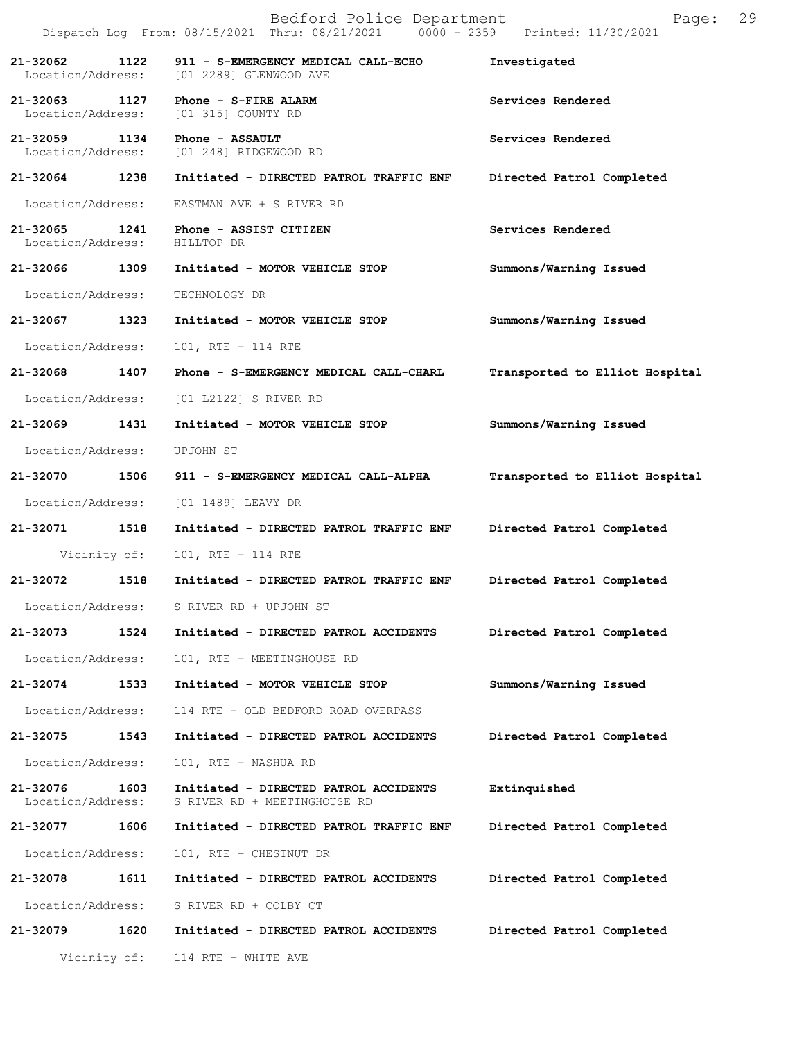|                                    |      | Bedford Police Department<br>Dispatch Log From: 08/15/2021 Thru: 08/21/2021 0000 - 2359 Printed: 11/30/2021 | Page:                          | 29 |
|------------------------------------|------|-------------------------------------------------------------------------------------------------------------|--------------------------------|----|
| 21-32062                           | 1122 | 911 - S-EMERGENCY MEDICAL CALL-ECHO<br>Location/Address: [01 2289] GLENWOOD AVE                             | Investigated                   |    |
|                                    |      | 21-32063 1127 Phone - S-FIRE ALARM<br>Location/Address: [01 315] COUNTY RD                                  | Services Rendered              |    |
| 21-32059 1134<br>Location/Address: |      | Phone - ASSAULT<br>[01 248] RIDGEWOOD RD                                                                    | Services Rendered              |    |
|                                    |      | 21-32064 1238 Initiated - DIRECTED PATROL TRAFFIC ENF                                                       | Directed Patrol Completed      |    |
| Location/Address:                  |      | EASTMAN AVE + S RIVER RD                                                                                    |                                |    |
| Location/Address: HILLTOP DR       |      | 21-32065 1241 Phone - ASSIST CITIZEN                                                                        | Services Rendered              |    |
|                                    |      | 21-32066 1309 Initiated - MOTOR VEHICLE STOP                                                                | Summons/Warning Issued         |    |
| Location/Address:                  |      | TECHNOLOGY DR                                                                                               |                                |    |
| 21-32067 1323                      |      | Initiated - MOTOR VEHICLE STOP                                                                              | Summons/Warning Issued         |    |
| Location/Address:                  |      | 101, RTE + 114 RTE                                                                                          |                                |    |
|                                    |      | 21-32068 1407 Phone - S-EMERGENCY MEDICAL CALL-CHARL                                                        | Transported to Elliot Hospital |    |
|                                    |      | Location/Address: [01 L2122] S RIVER RD                                                                     |                                |    |
| 21-32069 1431                      |      | Initiated - MOTOR VEHICLE STOP                                                                              | Summons/Warning Issued         |    |
| Location/Address:                  |      | UPJOHN ST                                                                                                   |                                |    |
|                                    |      | 21-32070 1506 911 - S-EMERGENCY MEDICAL CALL-ALPHA                                                          | Transported to Elliot Hospital |    |
| Location/Address:                  |      | [01 1489] LEAVY DR                                                                                          |                                |    |
| 21-32071 1518                      |      | Initiated - DIRECTED PATROL TRAFFIC ENF Directed Patrol Completed                                           |                                |    |
| Vicinity of:                       |      | 101, RTE + 114 RTE                                                                                          |                                |    |
| 21-32072                           | 1518 | Initiated - DIRECTED PATROL TRAFFIC ENF Directed Patrol Completed                                           |                                |    |
| Location/Address:                  |      | S RIVER RD + UPJOHN ST                                                                                      |                                |    |
| 21-32073                           | 1524 | Initiated - DIRECTED PATROL ACCIDENTS                                                                       | Directed Patrol Completed      |    |
| Location/Address:                  |      | 101, RTE + MEETINGHOUSE RD                                                                                  |                                |    |
| 21-32074                           | 1533 | Initiated - MOTOR VEHICLE STOP                                                                              | Summons/Warning Issued         |    |
| Location/Address:                  |      | 114 RTE + OLD BEDFORD ROAD OVERPASS                                                                         |                                |    |
| 21-32075                           | 1543 | Initiated - DIRECTED PATROL ACCIDENTS                                                                       | Directed Patrol Completed      |    |
| Location/Address:                  |      | 101, RTE + NASHUA RD                                                                                        |                                |    |
| 21-32076<br>Location/Address:      | 1603 | Initiated - DIRECTED PATROL ACCIDENTS<br>S RIVER RD + MEETINGHOUSE RD                                       | Extinquished                   |    |
| 21-32077                           | 1606 | Initiated - DIRECTED PATROL TRAFFIC ENF                                                                     | Directed Patrol Completed      |    |
| Location/Address:                  |      | 101, RTE + CHESTNUT DR                                                                                      |                                |    |
| 21-32078                           | 1611 | Initiated - DIRECTED PATROL ACCIDENTS                                                                       | Directed Patrol Completed      |    |
| Location/Address:                  |      | S RIVER RD + COLBY CT                                                                                       |                                |    |
| 21-32079                           | 1620 | Initiated - DIRECTED PATROL ACCIDENTS                                                                       | Directed Patrol Completed      |    |
|                                    |      | Vicinity of: 114 RTE + WHITE AVE                                                                            |                                |    |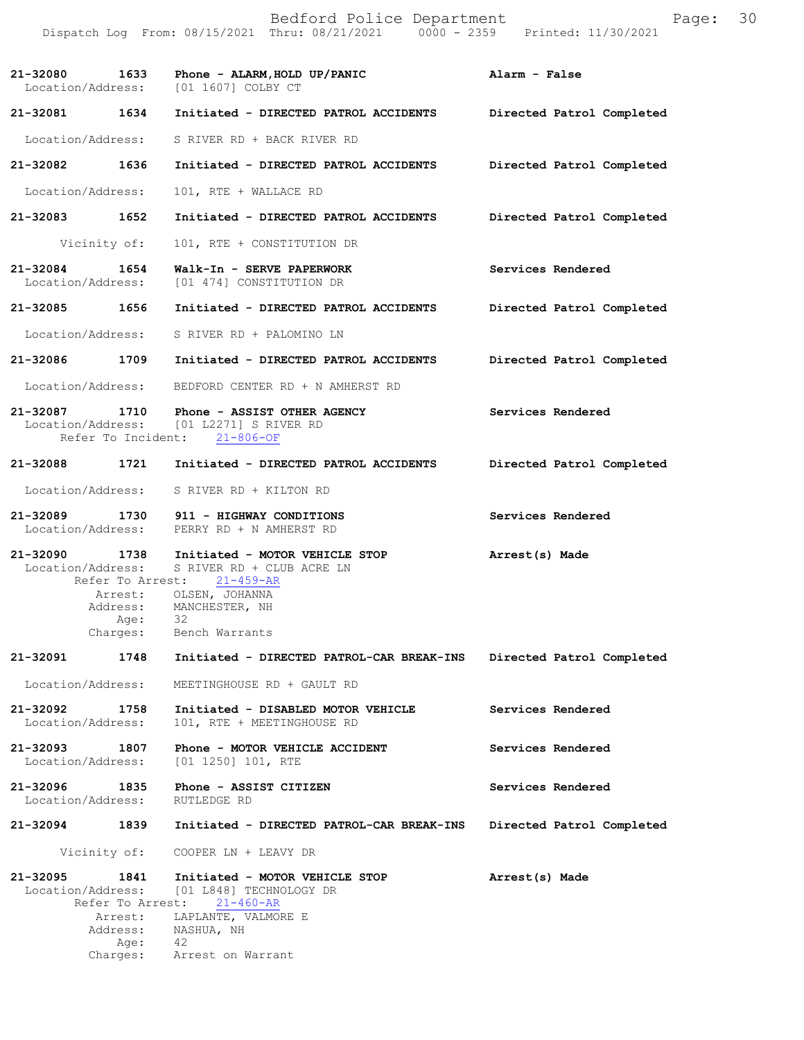|                               |                                         | Bedford Police Department<br>Dispatch Log From: 08/15/2021 Thru: 08/21/2021 0000 - 2359 Printed: 11/30/2021                                                                            | Page:                     | 30 |
|-------------------------------|-----------------------------------------|----------------------------------------------------------------------------------------------------------------------------------------------------------------------------------------|---------------------------|----|
|                               |                                         | 21-32080 1633 Phone - ALARM, HOLD UP/PANIC<br>Location/Address: [01 1607] COLBY CT                                                                                                     | Alarm - False             |    |
|                               |                                         | 21-32081 1634 Initiated - DIRECTED PATROL ACCIDENTS Directed Patrol Completed                                                                                                          |                           |    |
|                               |                                         | Location/Address: S RIVER RD + BACK RIVER RD                                                                                                                                           |                           |    |
| 21-32082 1636                 |                                         | Initiated - DIRECTED PATROL ACCIDENTS Directed Patrol Completed                                                                                                                        |                           |    |
| Location/Address:             |                                         | 101, RTE + WALLACE RD                                                                                                                                                                  |                           |    |
| 21-32083 1652                 |                                         | Initiated - DIRECTED PATROL ACCIDENTS Directed Patrol Completed                                                                                                                        |                           |    |
|                               | Vicinity of:                            | 101, RTE + CONSTITUTION DR                                                                                                                                                             |                           |    |
|                               |                                         | 21-32084 1654 Walk-In - SERVE PAPERWORK<br>Location/Address: [01 474] CONSTITUTION DR                                                                                                  | Services Rendered         |    |
|                               |                                         | 21-32085 1656 Initiated - DIRECTED PATROL ACCIDENTS Directed Patrol Completed                                                                                                          |                           |    |
|                               |                                         | Location/Address: S RIVER RD + PALOMINO LN                                                                                                                                             |                           |    |
|                               |                                         | 21-32086 1709 Initiated - DIRECTED PATROL ACCIDENTS                                                                                                                                    | Directed Patrol Completed |    |
|                               |                                         | Location/Address: BEDFORD CENTER RD + N AMHERST RD                                                                                                                                     |                           |    |
|                               |                                         | 21-32087 1710 Phone - ASSIST OTHER AGENCY<br>Location/Address: [01 L2271] S RIVER RD<br>Refer To Incident: 21-806-OF                                                                   | Services Rendered         |    |
|                               |                                         | 21-32088 1721 Initiated - DIRECTED PATROL ACCIDENTS                                                                                                                                    | Directed Patrol Completed |    |
|                               |                                         | Location/Address: S RIVER RD + KILTON RD                                                                                                                                               |                           |    |
|                               |                                         | 21-32089 1730 911 - HIGHWAY CONDITIONS<br>Location/Address: PERRY RD + N AMHERST RD                                                                                                    | Services Rendered         |    |
|                               | Arrest:<br>Address:<br>Age:<br>Charges: | 21-32090 1738 Initiated - MOTOR VEHICLE STOP<br>Location/Address: S RIVER RD + CLUB ACRE LN<br>Refer To Arrest: 21-459-AR<br>OLSEN, JOHANNA<br>MANCHESTER, NH<br>-32<br>Bench Warrants | Arrest(s) Made            |    |
| 21-32091                      | 1748                                    | Initiated - DIRECTED PATROL-CAR BREAK-INS                                                                                                                                              | Directed Patrol Completed |    |
| Location/Address:             |                                         | MEETINGHOUSE RD + GAULT RD                                                                                                                                                             |                           |    |
| 21-32092<br>Location/Address: | 1758                                    | Initiated - DISABLED MOTOR VEHICLE<br>101, RTE + MEETINGHOUSE RD                                                                                                                       | Services Rendered         |    |
| 21-32093<br>Location/Address: | 1807                                    | Phone - MOTOR VEHICLE ACCIDENT<br>$[01 1250] 101$ , RTE                                                                                                                                | Services Rendered         |    |
| 21-32096<br>Location/Address: | 1835                                    | Phone - ASSIST CITIZEN<br>RUTLEDGE RD                                                                                                                                                  | Services Rendered         |    |
| 21-32094                      | 1839                                    | Initiated - DIRECTED PATROL-CAR BREAK-INS                                                                                                                                              | Directed Patrol Completed |    |
|                               | Vicinity of:                            | COOPER LN + LEAVY DR                                                                                                                                                                   |                           |    |
| 21-32095<br>Location/Address: | 1841<br>Refer To Arrest:<br>Arrest:     | Initiated - MOTOR VEHICLE STOP<br>[01 L848] TECHNOLOGY DR<br>21-460-AR<br>LAPLANTE, VALMORE E                                                                                          | Arrest(s) Made            |    |
|                               | Address:<br>Age:                        | NASHUA, NH<br>42                                                                                                                                                                       |                           |    |
|                               | Charges:                                | Arrest on Warrant                                                                                                                                                                      |                           |    |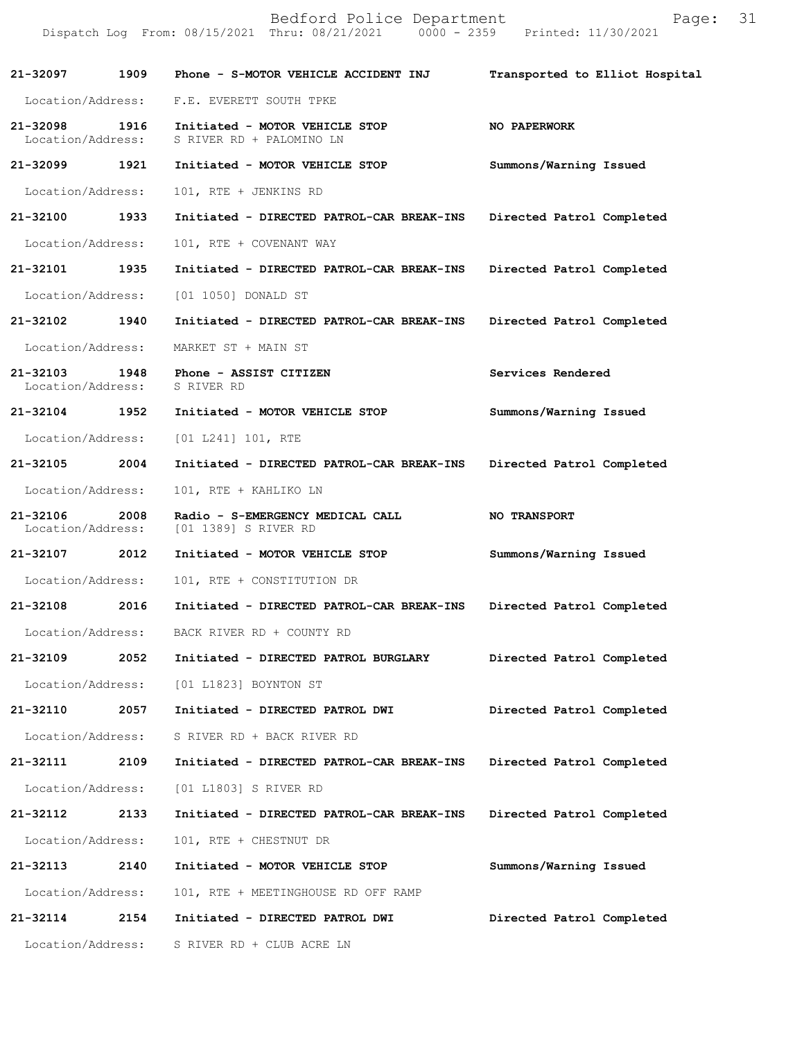|                               |      | Bedford Police Department<br>Dispatch Log From: 08/15/2021 Thru: 08/21/2021 0000 - 2359 Printed: 11/30/2021 | Page:                          | 31 |
|-------------------------------|------|-------------------------------------------------------------------------------------------------------------|--------------------------------|----|
| 21-32097                      | 1909 | Phone - S-MOTOR VEHICLE ACCIDENT INJ                                                                        | Transported to Elliot Hospital |    |
| Location/Address:             |      | F.E. EVERETT SOUTH TPKE                                                                                     |                                |    |
| 21-32098<br>Location/Address: | 1916 | Initiated - MOTOR VEHICLE STOP<br>S RIVER RD + PALOMINO LN                                                  | NO PAPERWORK                   |    |
| 21-32099                      | 1921 | Initiated - MOTOR VEHICLE STOP                                                                              | Summons/Warning Issued         |    |
| Location/Address:             |      | 101, RTE + JENKINS RD                                                                                       |                                |    |
| 21-32100                      | 1933 | Initiated - DIRECTED PATROL-CAR BREAK-INS                                                                   | Directed Patrol Completed      |    |
| Location/Address:             |      | 101, RTE + COVENANT WAY                                                                                     |                                |    |
| 21-32101                      | 1935 | Initiated - DIRECTED PATROL-CAR BREAK-INS                                                                   | Directed Patrol Completed      |    |
| Location/Address:             |      | [01 1050] DONALD ST                                                                                         |                                |    |
| 21-32102                      | 1940 | Initiated - DIRECTED PATROL-CAR BREAK-INS                                                                   | Directed Patrol Completed      |    |
| Location/Address:             |      | MARKET ST + MAIN ST                                                                                         |                                |    |
| 21-32103<br>Location/Address: | 1948 | Phone - ASSIST CITIZEN<br>S RIVER RD                                                                        | Services Rendered              |    |
| 21-32104 1952                 |      | Initiated - MOTOR VEHICLE STOP                                                                              | Summons/Warning Issued         |    |
| Location/Address:             |      | [01 L241] 101, RTE                                                                                          |                                |    |
| 21-32105                      | 2004 | Initiated - DIRECTED PATROL-CAR BREAK-INS                                                                   | Directed Patrol Completed      |    |
| Location/Address:             |      | 101, RTE + KAHLIKO LN                                                                                       |                                |    |
| 21-32106<br>Location/Address: | 2008 | Radio - S-EMERGENCY MEDICAL CALL<br>[01 1389] S RIVER RD                                                    | <b>NO TRANSPORT</b>            |    |
| 21-32107 2012                 |      | Initiated - MOTOR VEHICLE STOP                                                                              | Summons/Warning Issued         |    |
| Location/Address:             |      | 101, RTE + CONSTITUTION DR                                                                                  |                                |    |
| 21-32108                      | 2016 | Initiated - DIRECTED PATROL-CAR BREAK-INS                                                                   | Directed Patrol Completed      |    |
| Location/Address:             |      | BACK RIVER RD + COUNTY RD                                                                                   |                                |    |
| 21-32109                      | 2052 | Initiated - DIRECTED PATROL BURGLARY                                                                        | Directed Patrol Completed      |    |
| Location/Address:             |      | [01 L1823] BOYNTON ST                                                                                       |                                |    |
| 21-32110                      | 2057 | Initiated - DIRECTED PATROL DWI                                                                             | Directed Patrol Completed      |    |
| Location/Address:             |      | S RIVER RD + BACK RIVER RD                                                                                  |                                |    |
| 21-32111                      | 2109 | Initiated - DIRECTED PATROL-CAR BREAK-INS                                                                   | Directed Patrol Completed      |    |
| Location/Address:             |      | [01 L1803] S RIVER RD                                                                                       |                                |    |
| 21-32112                      | 2133 | Initiated - DIRECTED PATROL-CAR BREAK-INS                                                                   | Directed Patrol Completed      |    |
| Location/Address:             |      | 101, RTE + CHESTNUT DR                                                                                      |                                |    |
| 21-32113                      | 2140 | Initiated - MOTOR VEHICLE STOP                                                                              | Summons/Warning Issued         |    |
| Location/Address:             |      | 101, RTE + MEETINGHOUSE RD OFF RAMP                                                                         |                                |    |
| 21-32114                      | 2154 | Initiated - DIRECTED PATROL DWI                                                                             | Directed Patrol Completed      |    |
| Location/Address:             |      | S RIVER RD + CLUB ACRE LN                                                                                   |                                |    |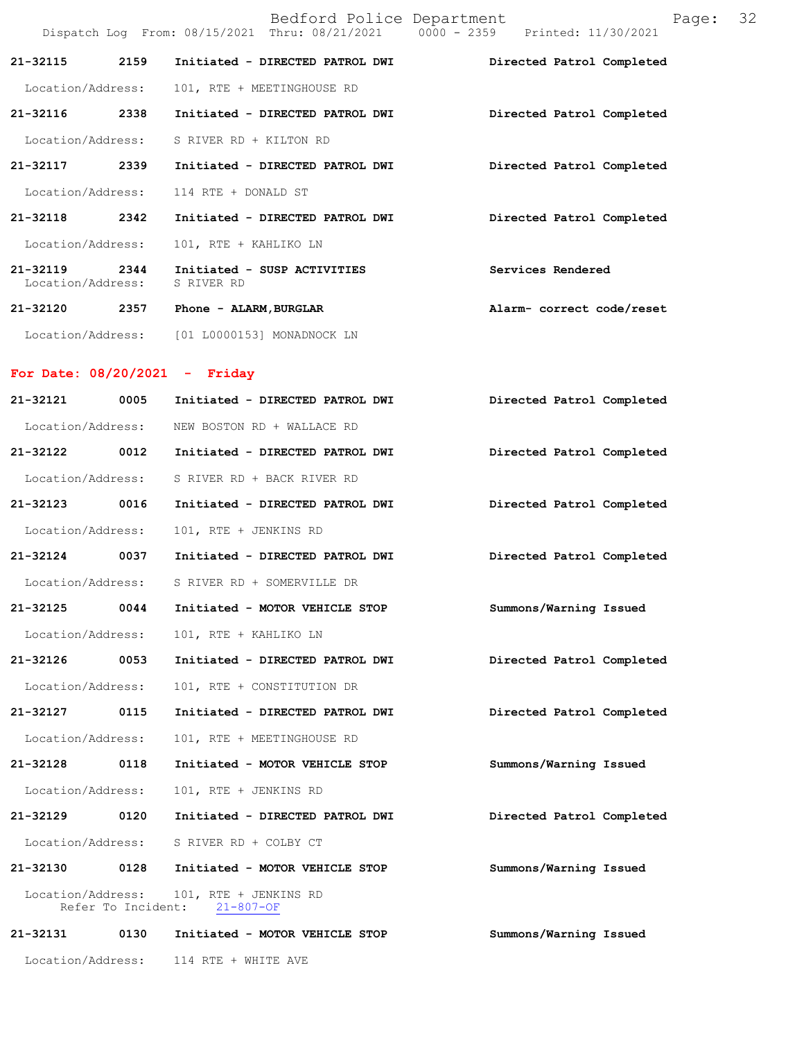|                                   |      |                                              | Bedford Police Department        | Dispatch Log From: 08/15/2021 Thru: 08/21/2021 0000 - 2359 Printed: 11/30/2021 | Page: | -32 |
|-----------------------------------|------|----------------------------------------------|----------------------------------|--------------------------------------------------------------------------------|-------|-----|
| 21-32115                          | 2159 |                                              | Initiated - DIRECTED PATROL DWI  | Directed Patrol Completed                                                      |       |     |
|                                   |      | Location/Address: 101, RTE + MEETINGHOUSE RD |                                  |                                                                                |       |     |
| 21-32116                          | 2338 |                                              | Initiated - DIRECTED PATROL DWI  | Directed Patrol Completed                                                      |       |     |
|                                   |      | Location/Address: S RIVER RD + KILTON RD     |                                  |                                                                                |       |     |
| 21-32117 2339                     |      |                                              | Initiated - DIRECTED PATROL DWI  | Directed Patrol Completed                                                      |       |     |
|                                   |      | Location/Address: 114 RTE + DONALD ST        |                                  |                                                                                |       |     |
| 21-32118 2342                     |      |                                              | Initiated - DIRECTED PATROL DWI  | Directed Patrol Completed                                                      |       |     |
|                                   |      | Location/Address: 101, RTE + KAHLIKO LN      |                                  |                                                                                |       |     |
| $21 - 32119$<br>Location/Address: |      | S RIVER RD                                   | 2344 Initiated - SUSP ACTIVITIES | Services Rendered                                                              |       |     |
| 21-32120                          | 2357 | Phone - ALARM, BURGLAR                       |                                  | Alarm- correct code/reset                                                      |       |     |
| Location/Address:                 |      |                                              | [01 L0000153] MONADNOCK LN       |                                                                                |       |     |

## **For Date: 08/20/2021 - Friday**

| 21-32121          | 0005 | Initiated - DIRECTED PATROL DWI                       | Directed Patrol Completed |
|-------------------|------|-------------------------------------------------------|---------------------------|
| Location/Address: |      | NEW BOSTON RD + WALLACE RD                            |                           |
| 21-32122 0012     |      | Initiated - DIRECTED PATROL DWI                       | Directed Patrol Completed |
| Location/Address: |      | S RIVER RD + BACK RIVER RD                            |                           |
| 21-32123 0016     |      | Initiated - DIRECTED PATROL DWI                       | Directed Patrol Completed |
| Location/Address: |      | 101, RTE + JENKINS RD                                 |                           |
| 21-32124 0037     |      | Initiated - DIRECTED PATROL DWI                       | Directed Patrol Completed |
| Location/Address: |      | S RIVER RD + SOMERVILLE DR                            |                           |
| 21-32125 0044     |      | Initiated - MOTOR VEHICLE STOP                        | Summons/Warning Issued    |
| Location/Address: |      | 101, RTE + KAHLIKO LN                                 |                           |
| 21-32126 0053     |      | Initiated - DIRECTED PATROL DWI                       | Directed Patrol Completed |
| Location/Address: |      | 101, RTE + CONSTITUTION DR                            |                           |
| 21-32127 0115     |      | Initiated - DIRECTED PATROL DWI                       | Directed Patrol Completed |
| Location/Address: |      | 101, RTE + MEETINGHOUSE RD                            |                           |
| 21-32128 0118     |      | Initiated - MOTOR VEHICLE STOP                        | Summons/Warning Issued    |
| Location/Address: |      | 101, RTE + JENKINS RD                                 |                           |
| 21-32129 0120     |      | Initiated - DIRECTED PATROL DWI                       | Directed Patrol Completed |
|                   |      | Location/Address: S RIVER RD + COLBY CT               |                           |
| 21-32130 0128     |      | Initiated - MOTOR VEHICLE STOP                        | Summons/Warning Issued    |
| Location/Address: |      | 101, RTE + JENKINS RD<br>Refer To Incident: 21-807-OF |                           |
| 21-32131 0130     |      | Initiated - MOTOR VEHICLE STOP                        | Summons/Warning Issued    |
| Location/Address: |      | 114 RTE + WHITE AVE                                   |                           |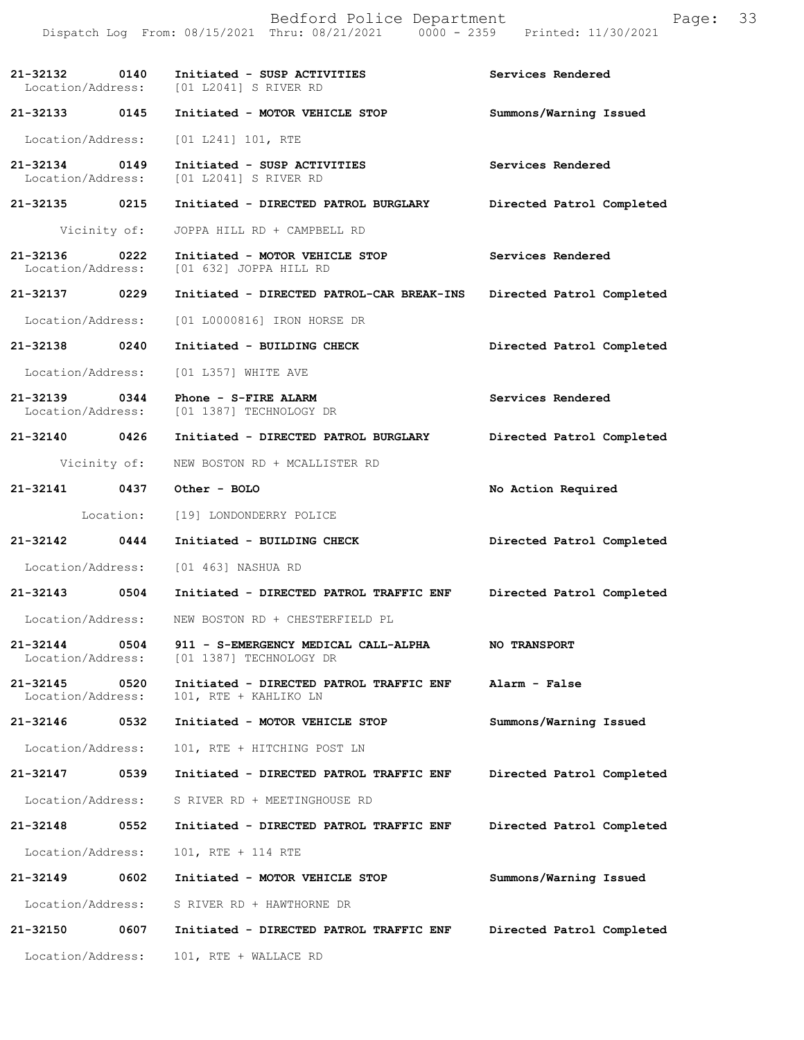|                                    |              | Bedford Police Department<br>Dispatch Log From: 08/15/2021 Thru: 08/21/2021 0000 - 2359 Printed: 11/30/2021 | Page:                     | 33 |
|------------------------------------|--------------|-------------------------------------------------------------------------------------------------------------|---------------------------|----|
|                                    |              | 21-32132 0140 Initiated - SUSP ACTIVITIES<br>Location/Address: [01 L2041] S RIVER RD                        | Services Rendered         |    |
| 21-32133 0145                      |              | Initiated - MOTOR VEHICLE STOP                                                                              | Summons/Warning Issued    |    |
| Location/Address:                  |              | $[01 L241] 101$ , RTE                                                                                       |                           |    |
| 21-32134 0149<br>Location/Address: |              | Initiated - SUSP ACTIVITIES<br>[01 L2041] S RIVER RD                                                        | Services Rendered         |    |
| 21-32135 0215                      |              | Initiated - DIRECTED PATROL BURGLARY                                                                        | Directed Patrol Completed |    |
|                                    | Vicinity of: | JOPPA HILL RD + CAMPBELL RD                                                                                 |                           |    |
| 21-32136 0222<br>Location/Address: |              | Initiated - MOTOR VEHICLE STOP<br>[01 632] JOPPA HILL RD                                                    | Services Rendered         |    |
| 21-32137 0229                      |              | Initiated - DIRECTED PATROL-CAR BREAK-INS                                                                   | Directed Patrol Completed |    |
| Location/Address:                  |              | [01 L0000816] IRON HORSE DR                                                                                 |                           |    |
| 21-32138 0240                      |              | Initiated - BUILDING CHECK                                                                                  | Directed Patrol Completed |    |
| Location/Address:                  |              | [01 L357] WHITE AVE                                                                                         |                           |    |
| 21-32139 0344                      |              | Phone - S-FIRE ALARM<br>Location/Address: [01 1387] TECHNOLOGY DR                                           | Services Rendered         |    |
| 21-32140 0426                      |              | Initiated - DIRECTED PATROL BURGLARY                                                                        | Directed Patrol Completed |    |
|                                    | Vicinity of: | NEW BOSTON RD + MCALLISTER RD                                                                               |                           |    |
| 21-32141 0437                      |              | Other - BOLO                                                                                                | No Action Required        |    |
|                                    | Location:    | [19] LONDONDERRY POLICE                                                                                     |                           |    |
| 21-32142 0444                      |              | Initiated - BUILDING CHECK                                                                                  | Directed Patrol Completed |    |
|                                    |              | Location/Address: [01 463] NASHUA RD                                                                        |                           |    |
| 21-32143                           | 0504         | Initiated - DIRECTED PATROL TRAFFIC ENF                                                                     | Directed Patrol Completed |    |
| Location/Address:                  |              | NEW BOSTON RD + CHESTERFIELD PL                                                                             |                           |    |
| 21-32144<br>Location/Address:      | 0504         | 911 - S-EMERGENCY MEDICAL CALL-ALPHA<br>[01 1387] TECHNOLOGY DR                                             | <b>NO TRANSPORT</b>       |    |
| 21-32145<br>Location/Address:      | 0520         | Initiated - DIRECTED PATROL TRAFFIC ENF<br>101, RTE + KAHLIKO LN                                            | Alarm - False             |    |
| 21-32146                           | 0532         | Initiated - MOTOR VEHICLE STOP                                                                              | Summons/Warning Issued    |    |
| Location/Address:                  |              | 101, RTE + HITCHING POST LN                                                                                 |                           |    |
| 21-32147                           | 0539         | Initiated - DIRECTED PATROL TRAFFIC ENF                                                                     | Directed Patrol Completed |    |
| Location/Address:                  |              | S RIVER RD + MEETINGHOUSE RD                                                                                |                           |    |
| 21-32148                           | 0552         | Initiated - DIRECTED PATROL TRAFFIC ENF                                                                     | Directed Patrol Completed |    |
| Location/Address:                  |              | 101, RTE + 114 RTE                                                                                          |                           |    |
| 21-32149                           | 0602         | Initiated - MOTOR VEHICLE STOP                                                                              | Summons/Warning Issued    |    |
| Location/Address:                  |              | S RIVER RD + HAWTHORNE DR                                                                                   |                           |    |
| 21-32150                           | 0607         | Initiated - DIRECTED PATROL TRAFFIC ENF                                                                     | Directed Patrol Completed |    |
| Location/Address:                  |              | 101, RTE + WALLACE RD                                                                                       |                           |    |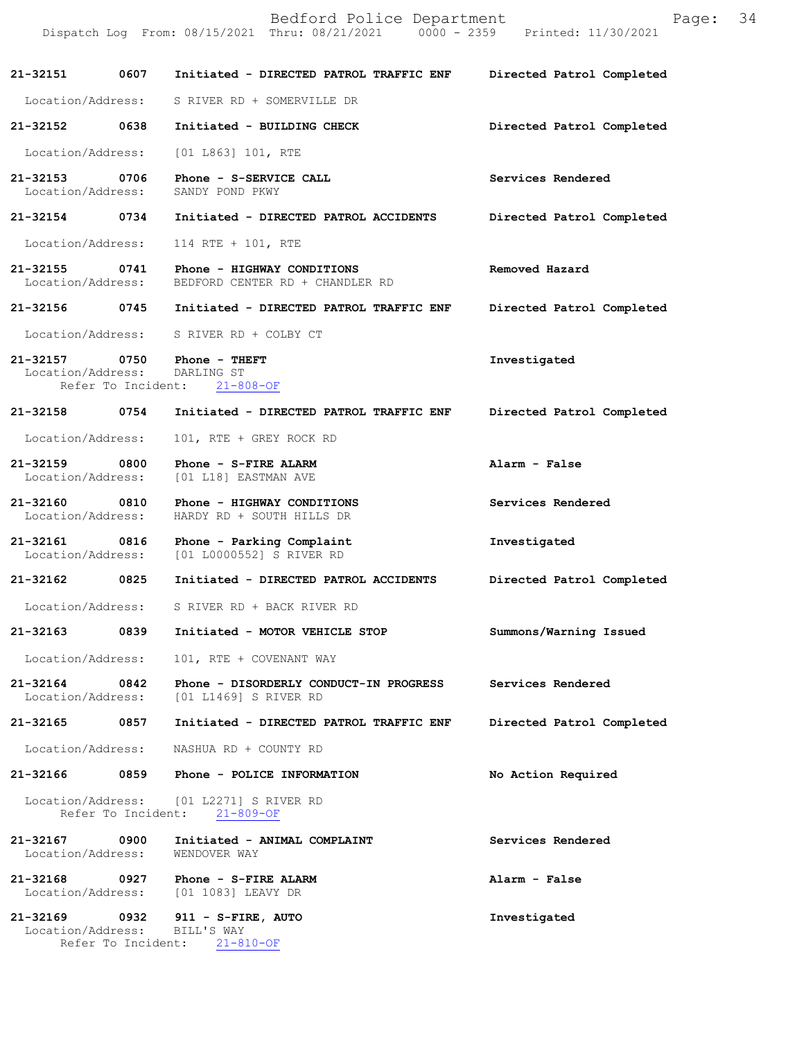|                                    |      | Bedford Police Department<br>Dispatch Log From: 08/15/2021 Thru: 08/21/2021 0000 - 2359 Printed: 11/30/2021 | Page:                     | 34 |
|------------------------------------|------|-------------------------------------------------------------------------------------------------------------|---------------------------|----|
| 21-32151                           |      | 0607 Initiated - DIRECTED PATROL TRAFFIC ENF                                                                | Directed Patrol Completed |    |
| Location/Address:                  |      | S RIVER RD + SOMERVILLE DR                                                                                  |                           |    |
| 21-32152 0638                      |      | Initiated - BUILDING CHECK                                                                                  | Directed Patrol Completed |    |
| Location/Address:                  |      | $[01 L863] 101$ , RTE                                                                                       |                           |    |
| 21-32153 0706<br>Location/Address: |      | Phone - S-SERVICE CALL<br>SANDY POND PKWY                                                                   | Services Rendered         |    |
| 21-32154 0734                      |      | Initiated - DIRECTED PATROL ACCIDENTS                                                                       | Directed Patrol Completed |    |
| Location/Address:                  |      | 114 RTE + 101, RTE                                                                                          |                           |    |
|                                    |      | 21-32155 0741 Phone - HIGHWAY CONDITIONS<br>Location/Address: BEDFORD CENTER RD + CHANDLER RD               | Removed Hazard            |    |
|                                    |      | 21-32156 0745 Initiated - DIRECTED PATROL TRAFFIC ENF                                                       | Directed Patrol Completed |    |
|                                    |      | Location/Address: S RIVER RD + COLBY CT                                                                     |                           |    |
| Location/Address:                  |      | 21-32157 0750 Phone - THEFT<br>DARLING ST<br>Refer To Incident: 21-808-OF                                   | Investigated              |    |
| 21-32158                           | 0754 | Initiated - DIRECTED PATROL TRAFFIC ENF                                                                     | Directed Patrol Completed |    |
| Location/Address:                  |      | 101, RTE + GREY ROCK RD                                                                                     |                           |    |
| $21 - 32159$<br>Location/Address:  | 0800 | Phone - S-FIRE ALARM<br>[01 L18] EASTMAN AVE                                                                | Alarm - False             |    |
| 21-32160<br>Location/Address:      | 0810 | Phone - HIGHWAY CONDITIONS<br>HARDY RD + SOUTH HILLS DR                                                     | Services Rendered         |    |

**21-32161 0816 Phone - Parking Complaint Investigated**  Location/Address: [01 L0000552] S RIVER RD

**21-32162 0825 Initiated - DIRECTED PATROL ACCIDENTS Directed Patrol Completed** 

Location/Address: S RIVER RD + BACK RIVER RD

**21-32163 0839 Initiated - MOTOR VEHICLE STOP Summons/Warning Issued** 

Location/Address: 101, RTE + COVENANT WAY

**21-32164 0842 Phone - DISORDERLY CONDUCT-IN PROGRESS Services Rendered**  Location/Address: [01 L1469] S RIVER RD

**21-32165 0857 Initiated - DIRECTED PATROL TRAFFIC ENF Directed Patrol Completed** 

Location/Address: NASHUA RD + COUNTY RD

**21-32166 0859 Phone - POLICE INFORMATION No Action Required** 

 Location/Address: [01 L2271] S RIVER RD Refer To Incident: 21-809-OF

**21-32167 0900 Initiated - ANIMAL COMPLAINT Services Rendered**  Location/Address:

**21-32168 0927 Phone - S-FIRE ALARM Alarm - False**  Location/Address: [01 1083] LEAVY DR

**21-32169 0932 911 - S-FIRE, AUTO Investigated**  Location/Address: BILL'S WAY Refer To Incident: 21-810-OF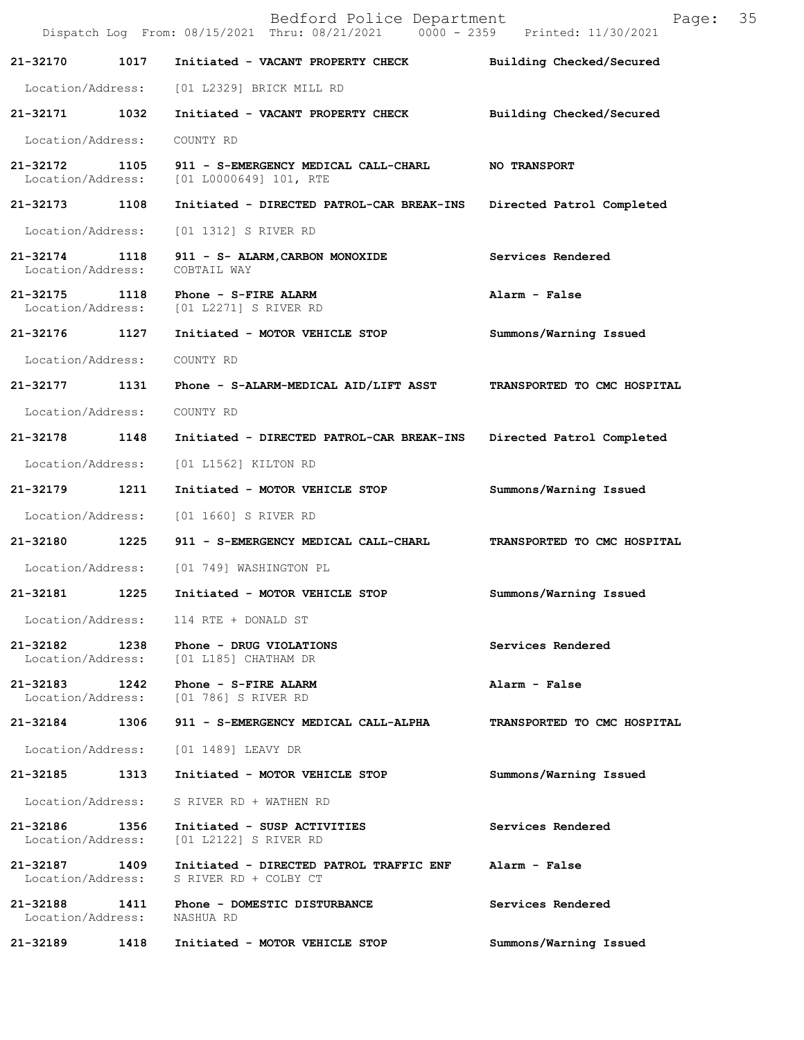|                                    |      | Bedford Police Department<br>Dispatch Log From: 08/15/2021 Thru: 08/21/2021 0000 - 2359 Printed: 11/30/2021 | 35<br>Page:                 |  |
|------------------------------------|------|-------------------------------------------------------------------------------------------------------------|-----------------------------|--|
| 21-32170                           | 1017 | Initiated - VACANT PROPERTY CHECK                                                                           | Building Checked/Secured    |  |
|                                    |      | Location/Address: [01 L2329] BRICK MILL RD                                                                  |                             |  |
| 21-32171 1032                      |      | Initiated - VACANT PROPERTY CHECK                                                                           | Building Checked/Secured    |  |
| Location/Address:                  |      | COUNTY RD                                                                                                   |                             |  |
| 21-32172<br>Location/Address:      | 1105 | 911 - S-EMERGENCY MEDICAL CALL-CHARL<br>[01 L0000649] 101, RTE                                              | <b>NO TRANSPORT</b>         |  |
| 21-32173 1108                      |      | Initiated - DIRECTED PATROL-CAR BREAK-INS                                                                   | Directed Patrol Completed   |  |
| Location/Address:                  |      | [01 1312] S RIVER RD                                                                                        |                             |  |
| 21-32174 1118<br>Location/Address: |      | 911 - S- ALARM, CARBON MONOXIDE<br>COBTAIL WAY                                                              | Services Rendered           |  |
| 21-32175 1118<br>Location/Address: |      | Phone - S-FIRE ALARM<br>[01 L2271] S RIVER RD                                                               | Alarm - False               |  |
| 21-32176 1127                      |      | Initiated - MOTOR VEHICLE STOP                                                                              | Summons/Warning Issued      |  |
| Location/Address:                  |      | COUNTY RD                                                                                                   |                             |  |
| 21-32177                           | 1131 | Phone - S-ALARM-MEDICAL AID/LIFT ASST                                                                       | TRANSPORTED TO CMC HOSPITAL |  |
| Location/Address:                  |      | COUNTY RD                                                                                                   |                             |  |
| 21-32178                           | 1148 | Initiated - DIRECTED PATROL-CAR BREAK-INS Directed Patrol Completed                                         |                             |  |
| Location/Address:                  |      | [01 L1562] KILTON RD                                                                                        |                             |  |
| 21-32179                           | 1211 | Initiated - MOTOR VEHICLE STOP                                                                              | Summons/Warning Issued      |  |
| Location/Address:                  |      | [01 1660] S RIVER RD                                                                                        |                             |  |
| 21-32180 1225                      |      | 911 - S-EMERGENCY MEDICAL CALL-CHARL                                                                        | TRANSPORTED TO CMC HOSPITAL |  |
| Location/Address:                  |      | [01 749] WASHINGTON PL                                                                                      |                             |  |
| 21-32181                           | 1225 | Initiated - MOTOR VEHICLE STOP                                                                              | Summons/Warning Issued      |  |
|                                    |      | Location/Address: 114 RTE + DONALD ST                                                                       |                             |  |
|                                    |      | 21-32182 1238 Phone - DRUG VIOLATIONS<br>Location/Address: [01 L185] CHATHAM DR                             | Services Rendered           |  |
| 21-32183 1242                      |      | Phone - S-FIRE ALARM<br>Location/Address: [01 786] S RIVER RD                                               | Alarm - False               |  |
|                                    |      | 21-32184 1306 911 - S-EMERGENCY MEDICAL CALL-ALPHA                                                          | TRANSPORTED TO CMC HOSPITAL |  |
|                                    |      | Location/Address: [01 1489] LEAVY DR                                                                        |                             |  |
| 21-32185                           | 1313 | Initiated - MOTOR VEHICLE STOP                                                                              | Summons/Warning Issued      |  |
| Location/Address:                  |      | S RIVER RD + WATHEN RD                                                                                      |                             |  |
| 21-32186 1356<br>Location/Address: |      | Initiated - SUSP ACTIVITIES<br>[01 L2122] S RIVER RD                                                        | Services Rendered           |  |
|                                    |      | 21-32187 1409 Initiated - DIRECTED PATROL TRAFFIC ENF<br>Location/Address: S RIVER RD + COLBY CT            | Alarm - False               |  |
|                                    |      | 21-32188 1411 Phone - DOMESTIC DISTURBANCE<br>Location/Address: NASHUA RD                                   | Services Rendered           |  |
| 21-32189 1418                      |      | Initiated - MOTOR VEHICLE STOP                                                                              | Summons/Warning Issued      |  |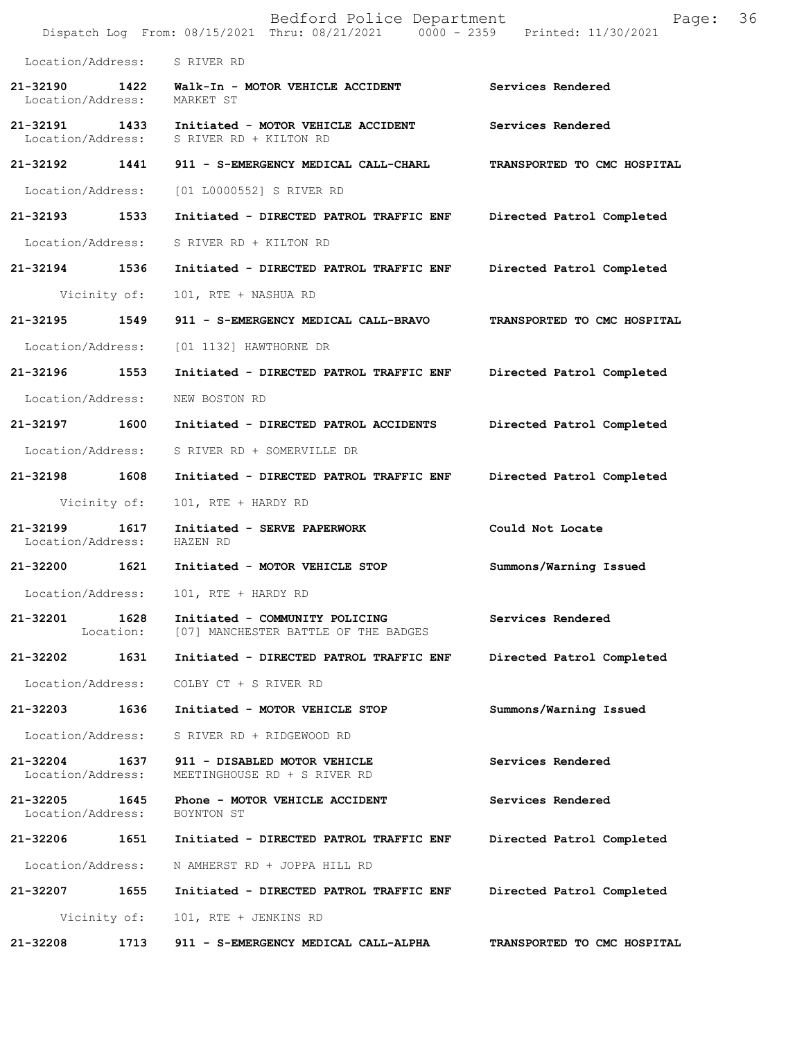|                                    |      | Bedford Police Department<br>Dispatch Log From: 08/15/2021 Thru: 08/21/2021 0000 - 2359 Printed: 11/30/2021 | 36<br>Page:                 |
|------------------------------------|------|-------------------------------------------------------------------------------------------------------------|-----------------------------|
| Location/Address: S RIVER RD       |      |                                                                                                             |                             |
| 21-32190<br>Location/Address:      |      | 1422 Walk-In - MOTOR VEHICLE ACCIDENT<br>MARKET ST                                                          | Services Rendered           |
| 21-32191 1433<br>Location/Address: |      | Initiated - MOTOR VEHICLE ACCIDENT<br>S RIVER RD + KILTON RD                                                | Services Rendered           |
|                                    |      | 21-32192 1441 911 - S-EMERGENCY MEDICAL CALL-CHARL                                                          | TRANSPORTED TO CMC HOSPITAL |
| Location/Address:                  |      | [01 L0000552] S RIVER RD                                                                                    |                             |
| 21-32193 1533                      |      | Initiated - DIRECTED PATROL TRAFFIC ENF                                                                     | Directed Patrol Completed   |
| Location/Address:                  |      | S RIVER RD + KILTON RD                                                                                      |                             |
| 21-32194 1536                      |      | Initiated - DIRECTED PATROL TRAFFIC ENF                                                                     | Directed Patrol Completed   |
| Vicinity of:                       |      | 101, RTE + NASHUA RD                                                                                        |                             |
| 21-32195<br>1549                   |      | 911 - S-EMERGENCY MEDICAL CALL-BRAVO                                                                        | TRANSPORTED TO CMC HOSPITAL |
| Location/Address:                  |      | [01 1132] HAWTHORNE DR                                                                                      |                             |
| 21-32196                           | 1553 | Initiated - DIRECTED PATROL TRAFFIC ENF Directed Patrol Completed                                           |                             |
| Location/Address:                  |      | NEW BOSTON RD                                                                                               |                             |
| 21-32197 1600                      |      | Initiated - DIRECTED PATROL ACCIDENTS                                                                       | Directed Patrol Completed   |
| Location/Address:                  |      | S RIVER RD + SOMERVILLE DR                                                                                  |                             |
| 21-32198 1608                      |      | Initiated - DIRECTED PATROL TRAFFIC ENF                                                                     | Directed Patrol Completed   |
| Vicinity of:                       |      | 101, RTE + HARDY RD                                                                                         |                             |
| 21-32199<br>Location/Address:      | 1617 | Initiated - SERVE PAPERWORK<br>HAZEN RD                                                                     | Could Not Locate            |
| 21-32200 1621                      |      | Initiated - MOTOR VEHICLE STOP                                                                              | Summons/Warning Issued      |
| Location/Address:                  |      | 101, RTE + HARDY RD                                                                                         |                             |
| 21-32201 1628                      |      | Initiated - COMMUNITY POLICING<br>Location: [07] MANCHESTER BATTLE OF THE BADGES                            | Services Rendered           |
| 21-32202 1631                      |      | Initiated - DIRECTED PATROL TRAFFIC ENF                                                                     | Directed Patrol Completed   |
| Location/Address:                  |      | COLBY CT + S RIVER RD                                                                                       |                             |
| 21-32203 1636                      |      | Initiated - MOTOR VEHICLE STOP                                                                              | Summons/Warning Issued      |
| Location/Address:                  |      | S RIVER RD + RIDGEWOOD RD                                                                                   |                             |
| Location/Address:                  |      | 21-32204 1637 911 - DISABLED MOTOR VEHICLE<br>MEETINGHOUSE RD + S RIVER RD                                  | Services Rendered           |
| Location/Address: BOYNTON ST       |      | 21-32205 1645 Phone - MOTOR VEHICLE ACCIDENT                                                                | Services Rendered           |
| 21-32206                           | 1651 | Initiated - DIRECTED PATROL TRAFFIC ENF                                                                     | Directed Patrol Completed   |
| Location/Address:                  |      | N AMHERST RD + JOPPA HILL RD                                                                                |                             |
| 21-32207 1655                      |      | Initiated - DIRECTED PATROL TRAFFIC ENF                                                                     | Directed Patrol Completed   |
|                                    |      | Vicinity of: 101, RTE + JENKINS RD                                                                          |                             |
| 21-32208                           | 1713 | 911 - S-EMERGENCY MEDICAL CALL-ALPHA                                                                        | TRANSPORTED TO CMC HOSPITAL |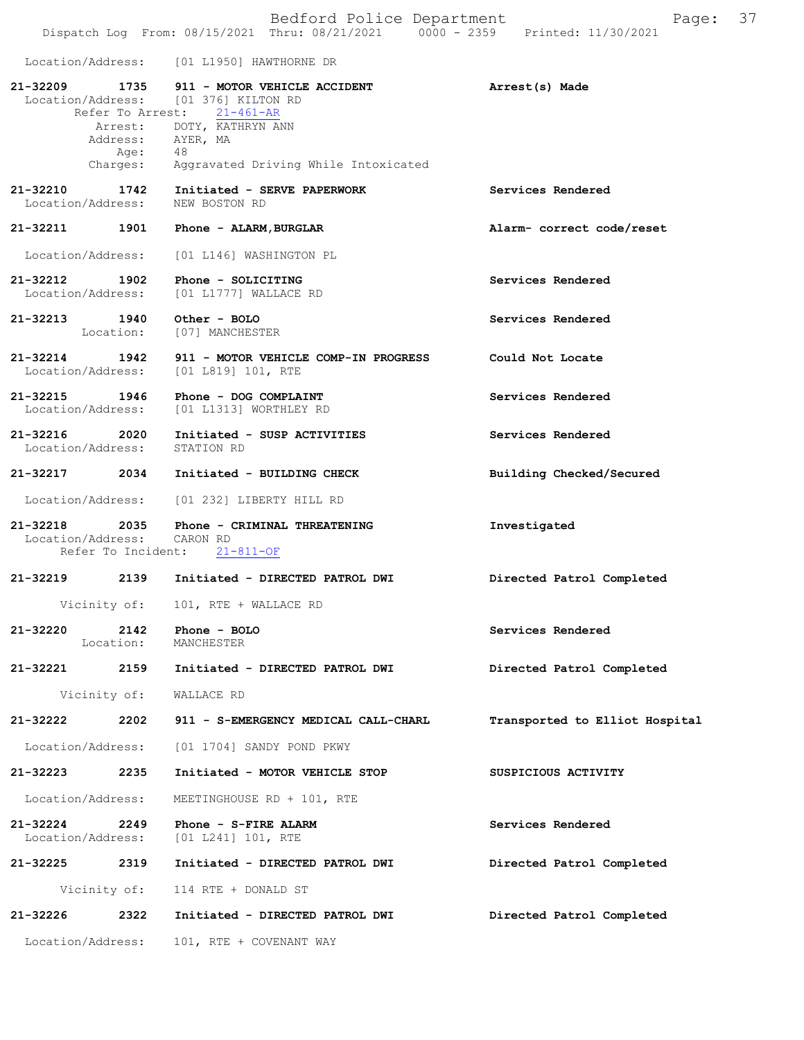|                                               |                   | Bedford Police Department<br>Dispatch Log From: 08/15/2021 Thru: 08/21/2021 0000 - 2359 Printed: 11/30/2021 | 37<br>Page:                    |
|-----------------------------------------------|-------------------|-------------------------------------------------------------------------------------------------------------|--------------------------------|
|                                               |                   | Location/Address: [01 L1950] HAWTHORNE DR                                                                   |                                |
| 21-32209 1735                                 |                   | 911 - MOTOR VEHICLE ACCIDENT<br>Location/Address: [01 376] KILTON RD<br>Refer To Arrest: 21-461-AR          | Arrest(s) Made                 |
|                                               | Age:              | Arrest: DOTY, KATHRYN ANN<br>Address: AYER, MA<br>48                                                        |                                |
| 21-32210<br>Location/Address:                 | 1742              | Charges: Aggravated Driving While Intoxicated<br>Initiated - SERVE PAPERWORK<br>NEW BOSTON RD               | Services Rendered              |
| 21-32211 1901                                 |                   | Phone - ALARM, BURGLAR                                                                                      | Alarm- correct code/reset      |
| Location/Address:                             |                   | [01 L146] WASHINGTON PL                                                                                     |                                |
| 21-32212 1902                                 |                   | Phone - SOLICITING<br>Location/Address: [01 L1777] WALLACE RD                                               | Services Rendered              |
| 21-32213 1940                                 | Location:         | Other - BOLO<br>[07] MANCHESTER                                                                             | Services Rendered              |
| 21-32214 1942                                 |                   | 911 - MOTOR VEHICLE COMP-IN PROGRESS<br>Location/Address: [01 L819] 101, RTE                                | Could Not Locate               |
| 21-32215 1946                                 |                   | Phone - DOG COMPLAINT<br>Location/Address: [01 L1313] WORTHLEY RD                                           | Services Rendered              |
| 21-32216 2020<br>Location/Address: STATION RD |                   | Initiated - SUSP ACTIVITIES                                                                                 | Services Rendered              |
| 21-32217 2034                                 |                   | Initiated - BUILDING CHECK                                                                                  | Building Checked/Secured       |
| Location/Address:                             |                   | [01 232] LIBERTY HILL RD                                                                                    |                                |
| Location/Address: CARON RD                    |                   | 21-32218 2035 Phone - CRIMINAL THREATENING<br>Refer To Incident: 21-811-OF                                  | Investigated                   |
| 21-32219                                      | 2139              | Initiated - DIRECTED PATROL DWI                                                                             | Directed Patrol Completed      |
| Vicinity of:                                  |                   | 101, RTE + WALLACE RD                                                                                       |                                |
| 21-32220                                      | 2142<br>Location: | Phone - BOLO<br>MANCHESTER                                                                                  | Services Rendered              |
| 21-32221                                      | 2159              | Initiated - DIRECTED PATROL DWI                                                                             | Directed Patrol Completed      |
| Vicinity of:                                  |                   | WALLACE RD                                                                                                  |                                |
| 21-32222                                      | 2202              | 911 - S-EMERGENCY MEDICAL CALL-CHARL                                                                        | Transported to Elliot Hospital |
| Location/Address:                             |                   | [01 1704] SANDY POND PKWY                                                                                   |                                |
| 21-32223                                      | 2235              | Initiated - MOTOR VEHICLE STOP                                                                              | SUSPICIOUS ACTIVITY            |
| Location/Address:                             |                   | MEETINGHOUSE RD + 101, RTE                                                                                  |                                |
| 21-32224<br>Location/Address:                 | 2249              | Phone - S-FIRE ALARM<br>$[01 L241] 101$ , RTE                                                               | Services Rendered              |
| 21-32225                                      | 2319              | Initiated - DIRECTED PATROL DWI                                                                             | Directed Patrol Completed      |
|                                               | Vicinity of:      | 114 RTE + DONALD ST                                                                                         |                                |
| 21-32226                                      | 2322              | Initiated - DIRECTED PATROL DWI                                                                             | Directed Patrol Completed      |
| Location/Address:                             |                   | 101, RTE + COVENANT WAY                                                                                     |                                |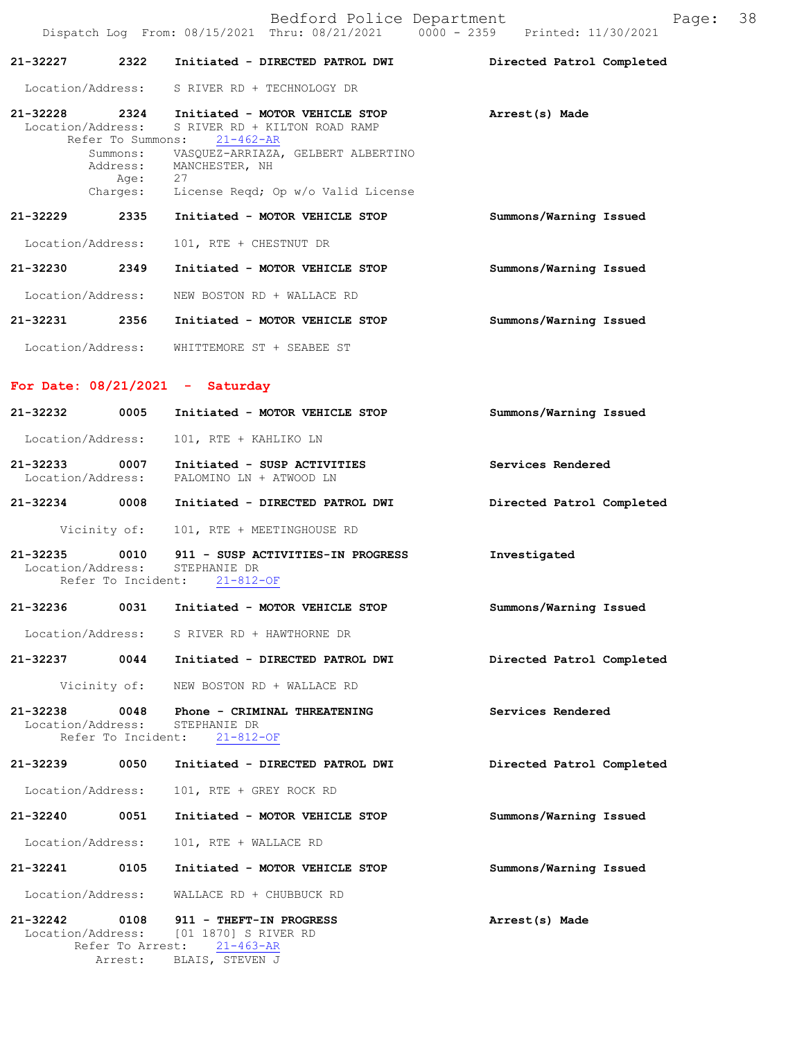|               |                                                 | Bedford Police Department<br>Dispatch Log From: 08/15/2021 Thru: 08/21/2021 0000 - 2359 Printed: 11/30/2021 | Page:                     | 38 |
|---------------|-------------------------------------------------|-------------------------------------------------------------------------------------------------------------|---------------------------|----|
|               |                                                 |                                                                                                             |                           |    |
| 21-32227      | 2322                                            | Initiated - DIRECTED PATROL DWI                                                                             | Directed Patrol Completed |    |
|               |                                                 | Location/Address: S RIVER RD + TECHNOLOGY DR                                                                |                           |    |
|               | Location/Address:<br>Refer To Summons:          | 21-32228 2324 Initiated - MOTOR VEHICLE STOP<br>S RIVER RD + KILTON ROAD RAMP<br>$21 - 462 - AR$            | Arrest(s) Made            |    |
|               | Address:<br>Age:                                | Summons: VASQUEZ-ARRIAZA, GELBERT ALBERTINO<br>MANCHESTER, NH<br>27                                         |                           |    |
|               | Charges:                                        | License Reqd; Op w/o Valid License                                                                          |                           |    |
| 21-32229      | 2335                                            | Initiated - MOTOR VEHICLE STOP                                                                              | Summons/Warning Issued    |    |
|               | Location/Address:                               | 101, RTE + CHESTNUT DR                                                                                      |                           |    |
| 21-32230 2349 |                                                 | Initiated - MOTOR VEHICLE STOP                                                                              | Summons/Warning Issued    |    |
|               | Location/Address:                               | NEW BOSTON RD + WALLACE RD                                                                                  |                           |    |
|               | 21-32231 2356                                   | Initiated - MOTOR VEHICLE STOP                                                                              | Summons/Warning Issued    |    |
|               | Location/Address:                               | WHITTEMORE ST + SEABEE ST                                                                                   |                           |    |
|               |                                                 | For Date: $08/21/2021$ - Saturday                                                                           |                           |    |
| 21-32232      | 0005                                            | Initiated - MOTOR VEHICLE STOP                                                                              | Summons/Warning Issued    |    |
|               | Location/Address:                               | 101, RTE + KAHLIKO LN                                                                                       |                           |    |
|               | 21-32233 0007                                   | Initiated - SUSP ACTIVITIES<br>Location/Address: PALOMINO LN + ATWOOD LN                                    | Services Rendered         |    |
|               | 21-32234 0008                                   | Initiated - DIRECTED PATROL DWI                                                                             | Directed Patrol Completed |    |
|               | Vicinity of:                                    | 101, RTE + MEETINGHOUSE RD                                                                                  |                           |    |
| 21-32235      | 0010<br>Location/Address:<br>Refer To Incident: | 911 - SUSP ACTIVITIES-IN PROGRESS<br>STEPHANIE DR<br>$21 - 812 - OF$                                        | Investigated              |    |
| 21-32236      | 0031                                            | Initiated - MOTOR VEHICLE STOP                                                                              | Summons/Warning Issued    |    |
|               | Location/Address:                               | S RIVER RD + HAWTHORNE DR                                                                                   |                           |    |
| 21-32237      | 0044                                            | Initiated - DIRECTED PATROL DWI                                                                             | Directed Patrol Completed |    |
|               | Vicinity of:                                    | NEW BOSTON RD + WALLACE RD                                                                                  |                           |    |
| 21-32238      | 0048<br>Location/Address:<br>Refer To Incident: | Phone - CRIMINAL THREATENING<br>STEPHANIE DR<br>$21 - 812 - OF$                                             | Services Rendered         |    |
| $21 - 32239$  | 0050                                            | Initiated - DIRECTED PATROL DWI                                                                             | Directed Patrol Completed |    |
|               | Location/Address:                               | 101, RTE + GREY ROCK RD                                                                                     |                           |    |
| 21-32240      | 0051                                            | Initiated - MOTOR VEHICLE STOP                                                                              | Summons/Warning Issued    |    |
|               | Location/Address:                               | 101, RTE + WALLACE RD                                                                                       |                           |    |
| 21-32241      | 0105                                            | Initiated - MOTOR VEHICLE STOP                                                                              | Summons/Warning Issued    |    |
|               | Location/Address:                               | WALLACE RD + CHUBBUCK RD                                                                                    |                           |    |
| 21-32242      | 0108<br>Location/Address:                       | 911 - THEFT-IN PROGRESS<br>[01 1870] S RIVER RD                                                             | Arrest(s) Made            |    |
|               | Refer To Arrest:<br>Arrest:                     | $21 - 463 - AR$<br>BLAIS, STEVEN J                                                                          |                           |    |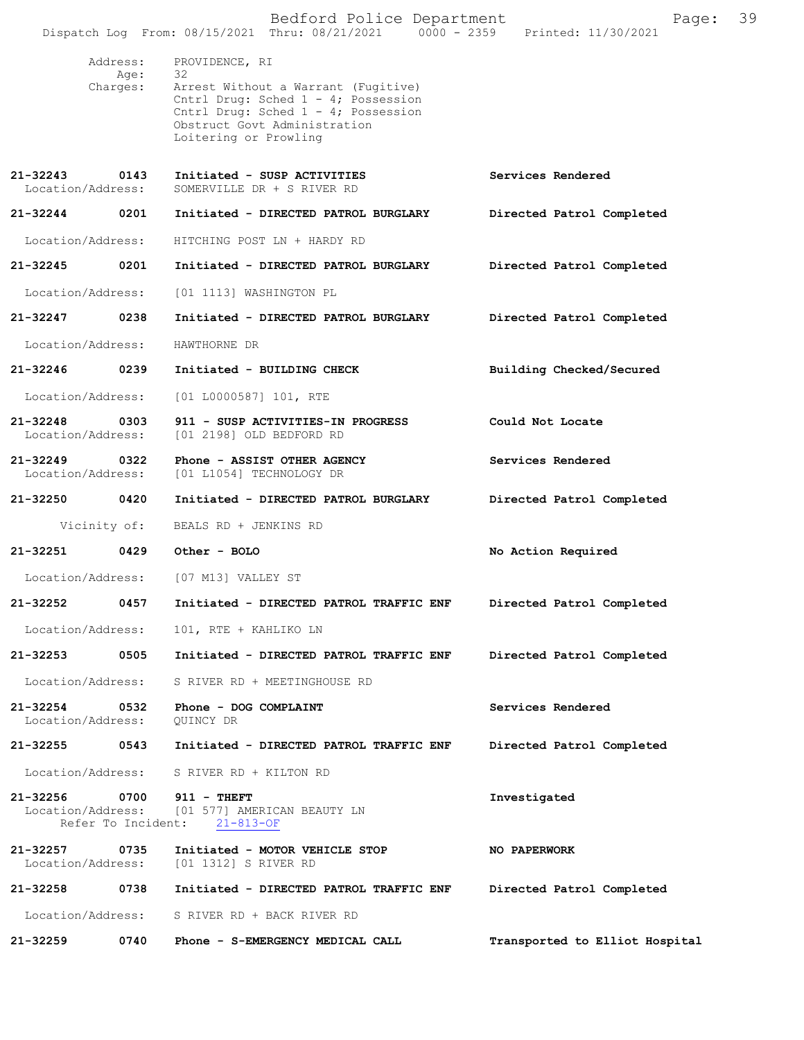|          |                                    | Bedford Police Department<br>Dispatch Log From: 08/15/2021 Thru: 08/21/2021   0000 - 2359   Printed: 11/30/2021                                                                                    | Page:                          | 39 |
|----------|------------------------------------|----------------------------------------------------------------------------------------------------------------------------------------------------------------------------------------------------|--------------------------------|----|
|          | Address:<br>Age:<br>Charges:       | PROVIDENCE, RI<br>32<br>Arrest Without a Warrant (Fugitive)<br>Cntrl Drug: Sched 1 - 4; Possession<br>Cntrl Drug: Sched 1 - 4; Possession<br>Obstruct Govt Administration<br>Loitering or Prowling |                                |    |
|          | 21-32243 0143<br>Location/Address: | Initiated - SUSP ACTIVITIES<br>SOMERVILLE DR + S RIVER RD                                                                                                                                          | Services Rendered              |    |
|          | 21-32244 0201                      | Initiated - DIRECTED PATROL BURGLARY                                                                                                                                                               | Directed Patrol Completed      |    |
|          | Location/Address:                  | HITCHING POST LN + HARDY RD                                                                                                                                                                        |                                |    |
|          | 21-32245 0201                      | Initiated - DIRECTED PATROL BURGLARY                                                                                                                                                               | Directed Patrol Completed      |    |
|          | Location/Address:                  | [01 1113] WASHINGTON PL                                                                                                                                                                            |                                |    |
|          | 21-32247 0238                      | Initiated - DIRECTED PATROL BURGLARY                                                                                                                                                               | Directed Patrol Completed      |    |
|          | Location/Address:                  | HAWTHORNE DR                                                                                                                                                                                       |                                |    |
|          | 21-32246 0239                      | Initiated - BUILDING CHECK                                                                                                                                                                         | Building Checked/Secured       |    |
|          | Location/Address:                  | $[01 L0000587] 101$ , RTE                                                                                                                                                                          |                                |    |
| 21-32248 | 0303<br>Location/Address:          | 911 - SUSP ACTIVITIES-IN PROGRESS<br>[01 2198] OLD BEDFORD RD                                                                                                                                      | Could Not Locate               |    |
|          | 21-32249 0322<br>Location/Address: | Phone - ASSIST OTHER AGENCY<br>[01 L1054] TECHNOLOGY DR                                                                                                                                            | Services Rendered              |    |
|          | 21-32250 0420                      | Initiated - DIRECTED PATROL BURGLARY                                                                                                                                                               | Directed Patrol Completed      |    |
|          | Vicinity of:                       | BEALS RD + JENKINS RD                                                                                                                                                                              |                                |    |
|          | 21-32251 0429                      | Other - BOLO                                                                                                                                                                                       | No Action Required             |    |
|          |                                    | Location/Address: [07 M13] VALLEY ST                                                                                                                                                               |                                |    |
| 21-32252 | 0457                               | Initiated - DIRECTED PATROL TRAFFIC ENF                                                                                                                                                            | Directed Patrol Completed      |    |
|          | Location/Address:                  | 101, RTE + KAHLIKO LN                                                                                                                                                                              |                                |    |
| 21-32253 | 0505                               | Initiated - DIRECTED PATROL TRAFFIC ENF                                                                                                                                                            | Directed Patrol Completed      |    |
|          | Location/Address:                  | S RIVER RD + MEETINGHOUSE RD                                                                                                                                                                       |                                |    |
| 21-32254 | 0532<br>Location/Address:          | Phone - DOG COMPLAINT<br>OUINCY DR                                                                                                                                                                 | Services Rendered              |    |
|          | 21-32255 0543                      | Initiated - DIRECTED PATROL TRAFFIC ENF                                                                                                                                                            | Directed Patrol Completed      |    |
|          |                                    | Location/Address: S RIVER RD + KILTON RD                                                                                                                                                           |                                |    |
| 21-32256 | 0700<br>Location/Address:          | $911 - THEFT$<br>[01 577] AMERICAN BEAUTY LN<br>Refer To Incident: 21-813-OF                                                                                                                       | Investigated                   |    |
| 21-32257 | 0735<br>Location/Address:          | Initiated - MOTOR VEHICLE STOP<br>[01 1312] S RIVER RD                                                                                                                                             | <b>NO PAPERWORK</b>            |    |
|          | 21-32258 0738                      | Initiated - DIRECTED PATROL TRAFFIC ENF                                                                                                                                                            | Directed Patrol Completed      |    |
|          | Location/Address:                  | S RIVER RD + BACK RIVER RD                                                                                                                                                                         |                                |    |
| 21-32259 | 0740                               | Phone - S-EMERGENCY MEDICAL CALL                                                                                                                                                                   | Transported to Elliot Hospital |    |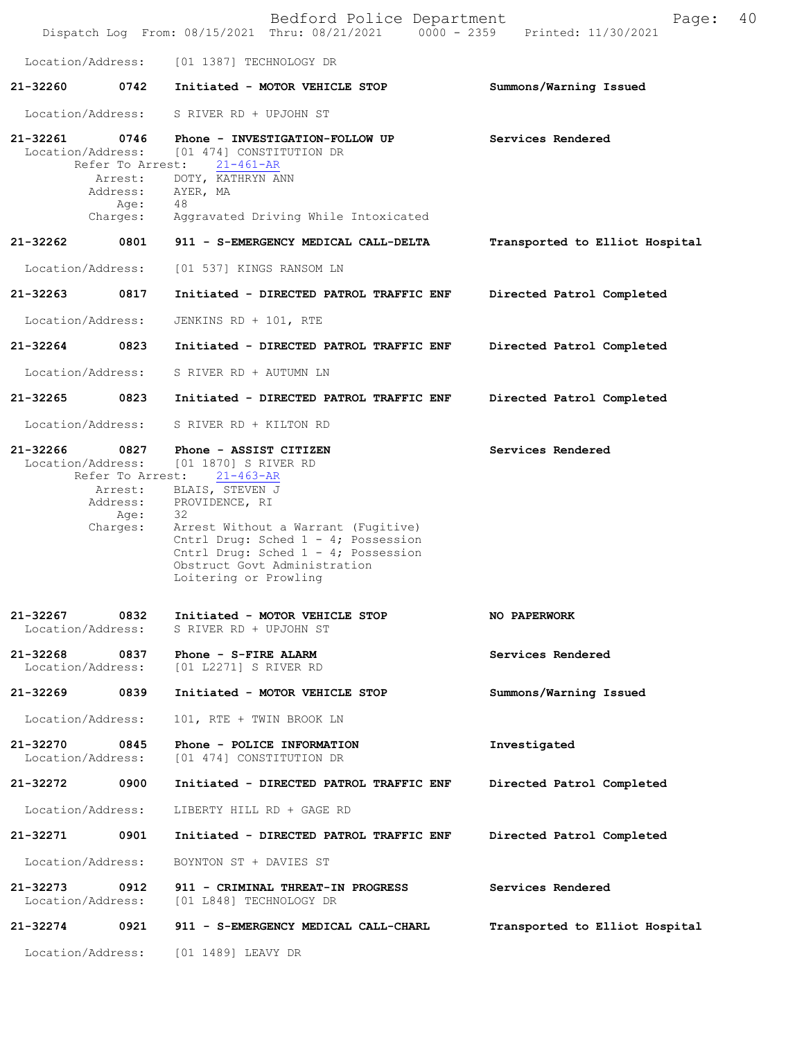|                                   |                                                                     | Bedford Police Department<br>Dispatch Log From: 08/15/2021 Thru: 08/21/2021 0000 - 2359                                                                                                                                                                                                    | 40<br>Page:<br>Printed: 11/30/2021 |
|-----------------------------------|---------------------------------------------------------------------|--------------------------------------------------------------------------------------------------------------------------------------------------------------------------------------------------------------------------------------------------------------------------------------------|------------------------------------|
| Location/Address:                 |                                                                     | [01 1387] TECHNOLOGY DR                                                                                                                                                                                                                                                                    |                                    |
| 21-32260                          | 0742                                                                | Initiated - MOTOR VEHICLE STOP                                                                                                                                                                                                                                                             | Summons/Warning Issued             |
| Location/Address:                 |                                                                     | S RIVER RD + UPJOHN ST                                                                                                                                                                                                                                                                     |                                    |
| 21-32261<br>Location/Address:     | 0746<br>Refer To Arrest:<br>Arrest:<br>Address:<br>Age:<br>Charges: | Phone - INVESTIGATION-FOLLOW UP<br>[01 474] CONSTITUTION DR<br>$21 - 461 - AR$<br>DOTY, KATHRYN ANN<br>AYER, MA<br>48<br>Aggravated Driving While Intoxicated                                                                                                                              | Services Rendered                  |
| 21-32262                          | 0801                                                                | 911 - S-EMERGENCY MEDICAL CALL-DELTA                                                                                                                                                                                                                                                       | Transported to Elliot Hospital     |
| Location/Address:                 |                                                                     | [01 537] KINGS RANSOM LN                                                                                                                                                                                                                                                                   |                                    |
| $21 - 32263$                      | 0817                                                                | Initiated - DIRECTED PATROL TRAFFIC ENF                                                                                                                                                                                                                                                    | Directed Patrol Completed          |
| Location/Address:                 |                                                                     | JENKINS RD + 101, RTE                                                                                                                                                                                                                                                                      |                                    |
| $21 - 32264$                      | 0823                                                                | Initiated - DIRECTED PATROL TRAFFIC ENF                                                                                                                                                                                                                                                    | Directed Patrol Completed          |
| Location/Address:                 |                                                                     | S RIVER RD + AUTUMN LN                                                                                                                                                                                                                                                                     |                                    |
| 21-32265                          | 0823                                                                | Initiated - DIRECTED PATROL TRAFFIC ENF                                                                                                                                                                                                                                                    | Directed Patrol Completed          |
| Location/Address:                 |                                                                     | S RIVER RD + KILTON RD                                                                                                                                                                                                                                                                     |                                    |
| 21-32266<br>Location/Address:     | 0827<br>Refer To Arrest:<br>Arrest:<br>Address:<br>Age:<br>Charges: | Phone - ASSIST CITIZEN<br>[01 1870] S RIVER RD<br>$21 - 463 - AR$<br>BLAIS, STEVEN J<br>PROVIDENCE, RI<br>32<br>Arrest Without a Warrant (Fugitive)<br>Cntrl Drug: Sched 1 - 4; Possession<br>Cntrl Drug: Sched 1 - 4; Possession<br>Obstruct Govt Administration<br>Loitering or Prowling | Services Rendered                  |
| 21-32267<br>Location/Address:     | 0832                                                                | Initiated - MOTOR VEHICLE STOP<br>S RIVER RD + UPJOHN ST                                                                                                                                                                                                                                   | <b>NO PAPERWORK</b>                |
| $21 - 32268$<br>Location/Address: | 0837                                                                | Phone - S-FIRE ALARM<br>[01 L2271] S RIVER RD                                                                                                                                                                                                                                              | Services Rendered                  |
| 21-32269                          | 0839                                                                | Initiated - MOTOR VEHICLE STOP                                                                                                                                                                                                                                                             | Summons/Warning Issued             |
| Location/Address:                 |                                                                     | 101, RTE + TWIN BROOK LN                                                                                                                                                                                                                                                                   |                                    |
| 21-32270<br>Location/Address:     | 0845                                                                | Phone - POLICE INFORMATION<br>[01 474] CONSTITUTION DR                                                                                                                                                                                                                                     | Investigated                       |
| 21-32272                          | 0900                                                                | Initiated - DIRECTED PATROL TRAFFIC ENF                                                                                                                                                                                                                                                    | Directed Patrol Completed          |
| Location/Address:                 |                                                                     | LIBERTY HILL RD + GAGE RD                                                                                                                                                                                                                                                                  |                                    |
| 21-32271                          | 0901                                                                | Initiated - DIRECTED PATROL TRAFFIC ENF                                                                                                                                                                                                                                                    | Directed Patrol Completed          |
| Location/Address:                 |                                                                     | BOYNTON ST + DAVIES ST                                                                                                                                                                                                                                                                     |                                    |
| 21-32273<br>Location/Address:     | 0912                                                                | 911 - CRIMINAL THREAT-IN PROGRESS<br>[01 L848] TECHNOLOGY DR                                                                                                                                                                                                                               | Services Rendered                  |
| 21-32274                          | 0921                                                                | 911 - S-EMERGENCY MEDICAL CALL-CHARL                                                                                                                                                                                                                                                       | Transported to Elliot Hospital     |
| Location/Address:                 |                                                                     | [01 1489] LEAVY DR                                                                                                                                                                                                                                                                         |                                    |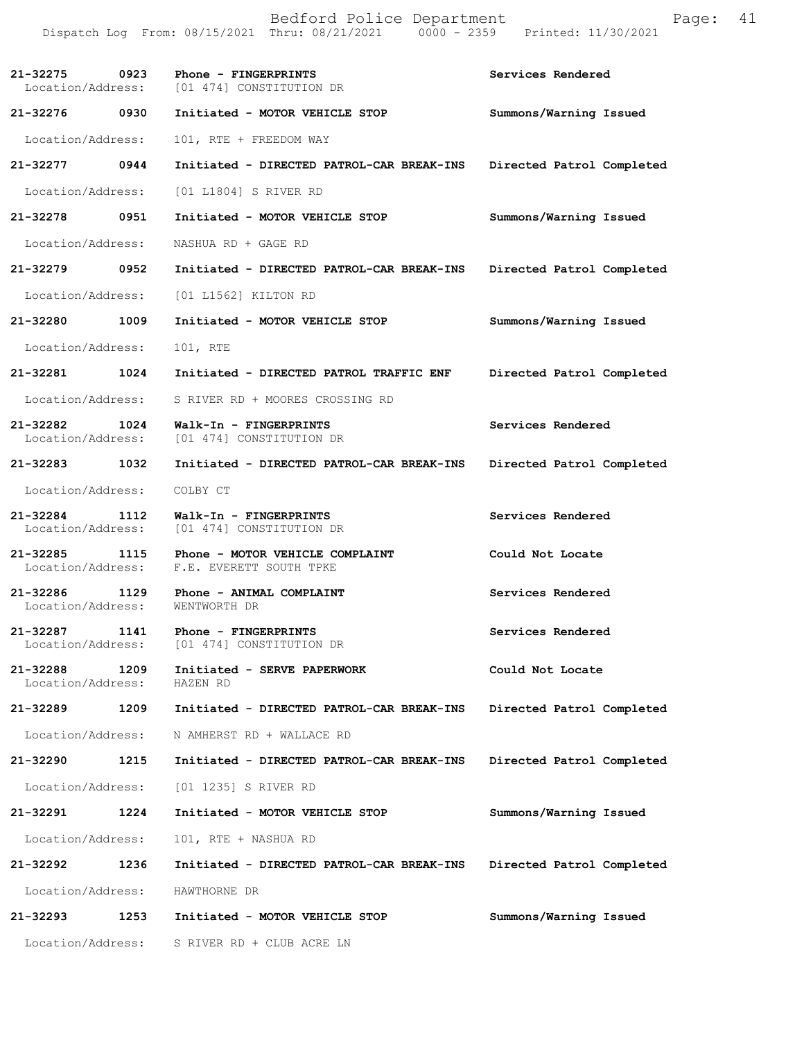|                                    |      | Bedford Police Department<br>Dispatch Log From: 08/15/2021 Thru: 08/21/2021 0000 - 2359 Printed: 11/30/2021 | Page:                     | 41 |
|------------------------------------|------|-------------------------------------------------------------------------------------------------------------|---------------------------|----|
|                                    |      | 21-32275 0923 Phone - FINGERPRINTS<br>Location/Address: [01 474] CONSTITUTION DR                            | Services Rendered         |    |
| 21-32276 0930                      |      | Initiated - MOTOR VEHICLE STOP                                                                              | Summons/Warning Issued    |    |
| Location/Address:                  |      | 101, RTE + FREEDOM WAY                                                                                      |                           |    |
| 21-32277 0944                      |      | Initiated - DIRECTED PATROL-CAR BREAK-INS                                                                   | Directed Patrol Completed |    |
| Location/Address:                  |      | [01 L1804] S RIVER RD                                                                                       |                           |    |
| 21-32278                           | 0951 | Initiated - MOTOR VEHICLE STOP                                                                              | Summons/Warning Issued    |    |
| Location/Address:                  |      | NASHUA RD + GAGE RD                                                                                         |                           |    |
| 21-32279 0952                      |      | Initiated - DIRECTED PATROL-CAR BREAK-INS                                                                   | Directed Patrol Completed |    |
| Location/Address:                  |      | [01 L1562] KILTON RD                                                                                        |                           |    |
| 21-32280                           | 1009 | Initiated - MOTOR VEHICLE STOP                                                                              | Summons/Warning Issued    |    |
| Location/Address:                  |      | 101, RTE                                                                                                    |                           |    |
| 21-32281                           | 1024 | Initiated - DIRECTED PATROL TRAFFIC ENF                                                                     | Directed Patrol Completed |    |
| Location/Address:                  |      | S RIVER RD + MOORES CROSSING RD                                                                             |                           |    |
| 21-32282 1024<br>Location/Address: |      | Walk-In - FINGERPRINTS<br>[01 474] CONSTITUTION DR                                                          | Services Rendered         |    |
| 21-32283 1032                      |      | Initiated - DIRECTED PATROL-CAR BREAK-INS                                                                   | Directed Patrol Completed |    |
| Location/Address:                  |      | COLBY CT                                                                                                    |                           |    |
| 21-32284 1112                      |      | Walk-In - FINGERPRINTS<br>Location/Address: [01 474] CONSTITUTION DR                                        | Services Rendered         |    |
| 21-32285<br>Location/Address:      | 1115 | Phone - MOTOR VEHICLE COMPLAINT<br>F.E. EVERETT SOUTH TPKE                                                  | Could Not Locate          |    |
| 21-32286<br>Location/Address:      | 1129 | Phone - ANIMAL COMPLAINT<br>WENTWORTH DR                                                                    | Services Rendered         |    |
| 21-32287<br>Location/Address:      | 1141 | Phone - FINGERPRINTS<br>[01 474] CONSTITUTION DR                                                            | Services Rendered         |    |
| 21-32288<br>Location/Address:      | 1209 | Initiated - SERVE PAPERWORK<br>HAZEN RD                                                                     | Could Not Locate          |    |
| 21-32289                           | 1209 | Initiated - DIRECTED PATROL-CAR BREAK-INS                                                                   | Directed Patrol Completed |    |
| Location/Address:                  |      | N AMHERST RD + WALLACE RD                                                                                   |                           |    |
| 21-32290                           | 1215 | Initiated - DIRECTED PATROL-CAR BREAK-INS                                                                   | Directed Patrol Completed |    |
| Location/Address:                  |      | [01 1235] S RIVER RD                                                                                        |                           |    |
| 21-32291                           | 1224 | Initiated - MOTOR VEHICLE STOP                                                                              | Summons/Warning Issued    |    |
| Location/Address:                  |      | 101, RTE + NASHUA RD                                                                                        |                           |    |
| 21-32292                           | 1236 | Initiated - DIRECTED PATROL-CAR BREAK-INS                                                                   | Directed Patrol Completed |    |
| Location/Address:                  |      | HAWTHORNE DR                                                                                                |                           |    |
| 21-32293                           | 1253 | Initiated - MOTOR VEHICLE STOP                                                                              | Summons/Warning Issued    |    |
| Location/Address:                  |      | S RIVER RD + CLUB ACRE LN                                                                                   |                           |    |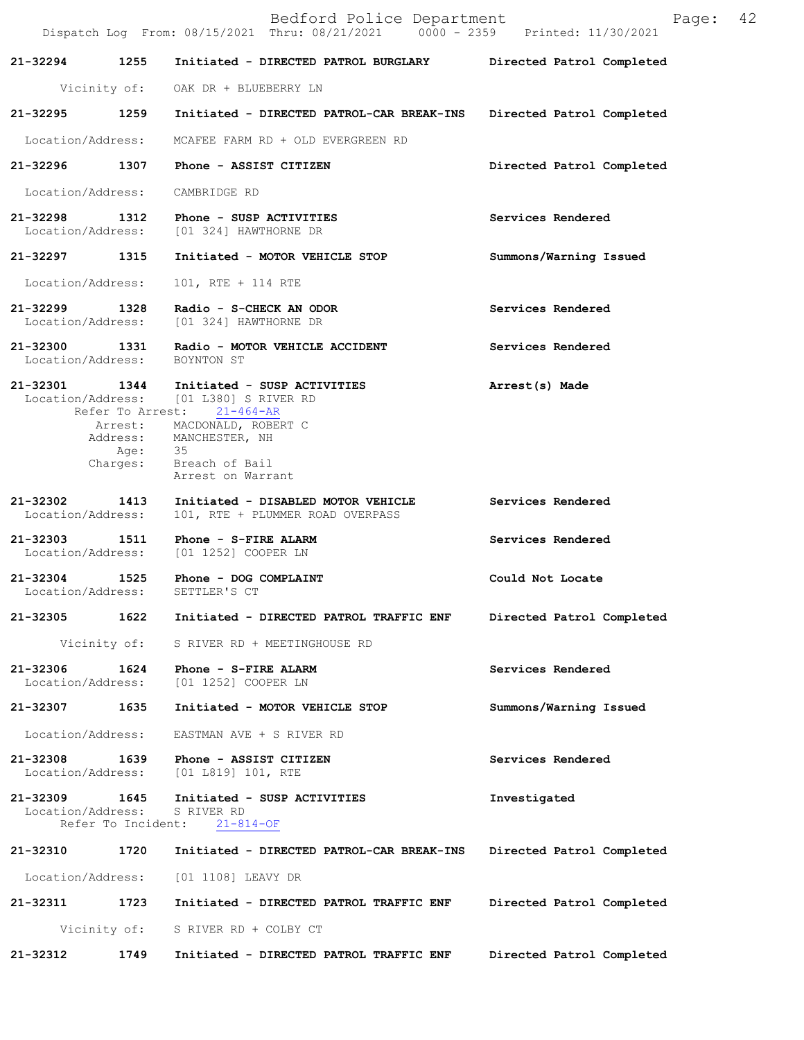|                                    |                            | Bedford Police Department<br>Dispatch Log From: 08/15/2021 Thru: 08/21/2021 0000 - 2359 Printed: 11/30/2021                                                                                                  | 42<br>Page:               |
|------------------------------------|----------------------------|--------------------------------------------------------------------------------------------------------------------------------------------------------------------------------------------------------------|---------------------------|
| 21-32294                           | 1255                       | Initiated - DIRECTED PATROL BURGLARY                                                                                                                                                                         | Directed Patrol Completed |
|                                    |                            | Vicinity of: OAK DR + BLUEBERRY LN                                                                                                                                                                           |                           |
| 21-32295 1259                      |                            | Initiated - DIRECTED PATROL-CAR BREAK-INS                                                                                                                                                                    | Directed Patrol Completed |
| Location/Address:                  |                            | MCAFEE FARM RD + OLD EVERGREEN RD                                                                                                                                                                            |                           |
| 21-32296 1307                      |                            | Phone - ASSIST CITIZEN                                                                                                                                                                                       | Directed Patrol Completed |
| Location/Address:                  |                            | CAMBRIDGE RD                                                                                                                                                                                                 |                           |
|                                    |                            | $21-32298$ 1312 Phone - SUSP ACTIVITIES<br>Location/Address: [01 324] HAWTHORNE DR                                                                                                                           | Services Rendered         |
| 21-32297 1315                      |                            | Initiated - MOTOR VEHICLE STOP                                                                                                                                                                               | Summons/Warning Issued    |
| Location/Address:                  |                            | 101, RTE + 114 RTE                                                                                                                                                                                           |                           |
| 21-32299 1328                      |                            | Radio - S-CHECK AN ODOR<br>Location/Address: [01 324] HAWTHORNE DR                                                                                                                                           | Services Rendered         |
|                                    |                            | 21-32300 1331 Radio - MOTOR VEHICLE ACCIDENT<br>Location/Address: BOYNTON ST                                                                                                                                 | Services Rendered         |
| 21-32301 1344                      | Age:<br>Charges:           | Initiated - SUSP ACTIVITIES<br>Location/Address: [01 L380] S RIVER RD<br>Refer To Arrest: 21-464-AR<br>Arrest: MACDONALD, ROBERT C<br>Address: MANCHESTER, NH<br>- 35<br>Breach of Bail<br>Arrest on Warrant | Arrest(s) Made            |
| 21-32302 1413<br>Location/Address: |                            | Initiated - DISABLED MOTOR VEHICLE<br>101, RTE + PLUMMER ROAD OVERPASS                                                                                                                                       | Services Rendered         |
|                                    |                            | 21-32303 1511 Phone - S-FIRE ALARM<br>Location/Address: [01 1252] COOPER LN                                                                                                                                  | Services Rendered         |
| Location/Address:                  |                            | 21-32304 1525 Phone - DOG COMPLAINT<br>SETTLER'S CT                                                                                                                                                          | Could Not Locate          |
| 21-32305                           | 1622                       | Initiated - DIRECTED PATROL TRAFFIC ENF                                                                                                                                                                      | Directed Patrol Completed |
|                                    | Vicinity of:               | S RIVER RD + MEETINGHOUSE RD                                                                                                                                                                                 |                           |
| 21-32306<br>Location/Address:      | 1624                       | Phone - S-FIRE ALARM<br>[01 1252] COOPER LN                                                                                                                                                                  | Services Rendered         |
| 21-32307                           | 1635                       | Initiated - MOTOR VEHICLE STOP                                                                                                                                                                               | Summons/Warning Issued    |
| Location/Address:                  |                            | EASTMAN AVE + S RIVER RD                                                                                                                                                                                     |                           |
| 21-32308<br>Location/Address:      | 1639                       | Phone - ASSIST CITIZEN<br>[01 L819] 101, RTE                                                                                                                                                                 | Services Rendered         |
| 21-32309<br>Location/Address:      | 1645<br>Refer To Incident: | Initiated - SUSP ACTIVITIES<br>S RIVER RD<br>$21 - 814 - OF$                                                                                                                                                 | Investigated              |
| 21-32310                           | 1720                       | Initiated - DIRECTED PATROL-CAR BREAK-INS                                                                                                                                                                    | Directed Patrol Completed |
| Location/Address:                  |                            | [01 1108] LEAVY DR                                                                                                                                                                                           |                           |
| 21-32311                           | 1723                       | Initiated - DIRECTED PATROL TRAFFIC ENF                                                                                                                                                                      | Directed Patrol Completed |
|                                    | Vicinity of:               | S RIVER RD + COLBY CT                                                                                                                                                                                        |                           |
| 21-32312                           | 1749                       | Initiated - DIRECTED PATROL TRAFFIC ENF                                                                                                                                                                      | Directed Patrol Completed |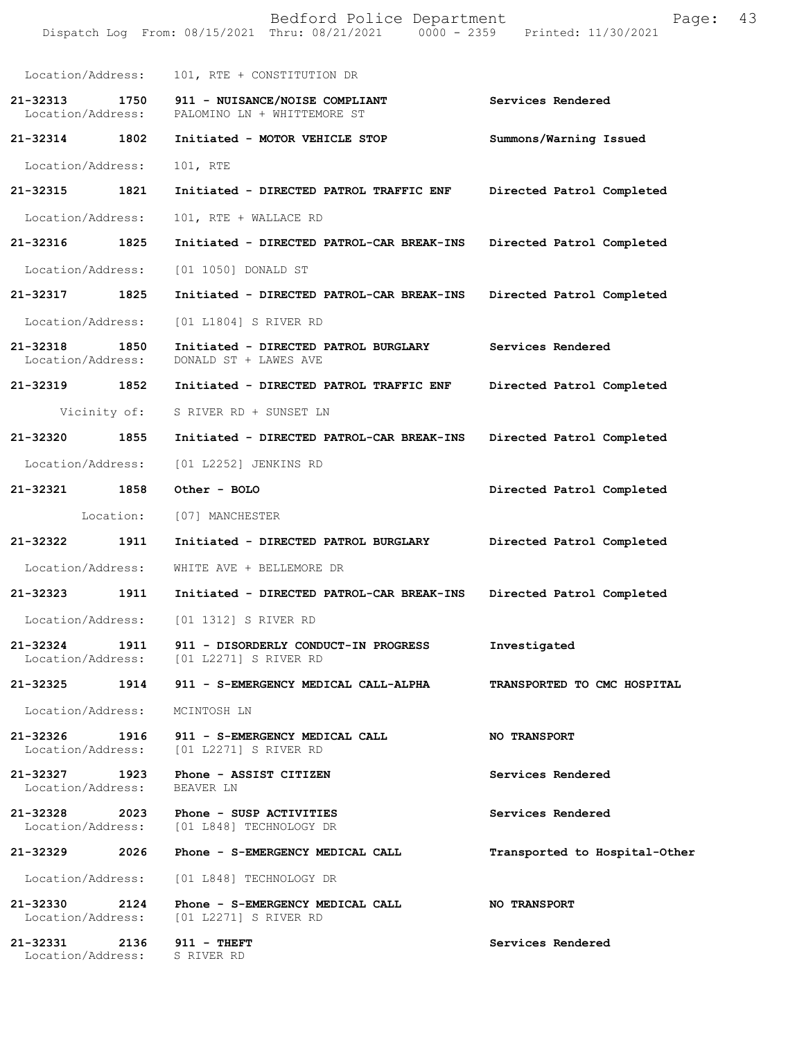|                               |           | Bedford Police Department<br>Dispatch Log From: 08/15/2021 Thru: 08/21/2021 0000 - 2359 Printed: 11/30/2021 | Page:                         | 43 |
|-------------------------------|-----------|-------------------------------------------------------------------------------------------------------------|-------------------------------|----|
| Location/Address:             |           | 101, RTE + CONSTITUTION DR                                                                                  |                               |    |
| 21-32313<br>Location/Address: | 1750      | 911 - NUISANCE/NOISE COMPLIANT<br>PALOMINO LN + WHITTEMORE ST                                               | Services Rendered             |    |
| 21-32314 1802                 |           | Initiated - MOTOR VEHICLE STOP                                                                              | Summons/Warning Issued        |    |
| Location/Address:             |           | 101, RTE                                                                                                    |                               |    |
| 21-32315 1821                 |           | Initiated - DIRECTED PATROL TRAFFIC ENF                                                                     | Directed Patrol Completed     |    |
| Location/Address:             |           | 101, RTE + WALLACE RD                                                                                       |                               |    |
| 21-32316                      | 1825      | Initiated - DIRECTED PATROL-CAR BREAK-INS                                                                   | Directed Patrol Completed     |    |
| Location/Address:             |           | [01 1050] DONALD ST                                                                                         |                               |    |
| 21-32317                      | 1825      | Initiated - DIRECTED PATROL-CAR BREAK-INS                                                                   | Directed Patrol Completed     |    |
| Location/Address:             |           | [01 L1804] S RIVER RD                                                                                       |                               |    |
| 21-32318<br>Location/Address: | 1850      | Initiated - DIRECTED PATROL BURGLARY<br>DONALD ST + LAWES AVE                                               | Services Rendered             |    |
| 21-32319 1852                 |           | Initiated - DIRECTED PATROL TRAFFIC ENF                                                                     | Directed Patrol Completed     |    |
|                               |           | Vicinity of: S RIVER RD + SUNSET LN                                                                         |                               |    |
| 21-32320                      | 1855      | Initiated - DIRECTED PATROL-CAR BREAK-INS                                                                   | Directed Patrol Completed     |    |
| Location/Address:             |           | [01 L2252] JENKINS RD                                                                                       |                               |    |
| 21-32321 1858                 |           | Other - BOLO                                                                                                | Directed Patrol Completed     |    |
|                               | Location: | [07] MANCHESTER                                                                                             |                               |    |
| 21-32322                      | 1911      | Initiated - DIRECTED PATROL BURGLARY                                                                        | Directed Patrol Completed     |    |
| Location/Address:             |           | WHITE AVE + BELLEMORE DR                                                                                    |                               |    |
| 21-32323                      | 1911      | Initiated - DIRECTED PATROL-CAR BREAK-INS                                                                   | Directed Patrol Completed     |    |
|                               |           | Location/Address: [01 1312] S RIVER RD                                                                      |                               |    |
|                               |           | 21-32324 1911 911 - DISORDERLY CONDUCT-IN PROGRESS<br>Location/Address: [01 L2271] S RIVER RD               | Investigated                  |    |
|                               |           | 21-32325 1914 911 - S-EMERGENCY MEDICAL CALL-ALPHA                                                          | TRANSPORTED TO CMC HOSPITAL   |    |
|                               |           | Location/Address: MCINTOSH LN                                                                               |                               |    |
|                               |           | 21-32326 1916 911 - S-EMERGENCY MEDICAL CALL<br>Location/Address: [01 L2271] S RIVER RD                     | <b>NO TRANSPORT</b>           |    |
| Location/Address: BEAVER LN   |           | 21-32327 1923 Phone - ASSIST CITIZEN                                                                        | Services Rendered             |    |
|                               |           | 21-32328 2023 Phone - SUSP ACTIVITIES<br>Location/Address: [01 L848] TECHNOLOGY DR                          | Services Rendered             |    |
| 21-32329                      |           | 2026 Phone - S-EMERGENCY MEDICAL CALL                                                                       | Transported to Hospital-Other |    |
|                               |           | Location/Address: [01 L848] TECHNOLOGY DR                                                                   |                               |    |
|                               |           | 21-32330 2124 Phone - S-EMERGENCY MEDICAL CALL<br>Location/Address: [01 L2271] S RIVER RD                   | <b>NO TRANSPORT</b>           |    |
|                               |           | 21-32331 2136 911 - THEFT<br>Location/Address: S RIVER RD                                                   | Services Rendered             |    |